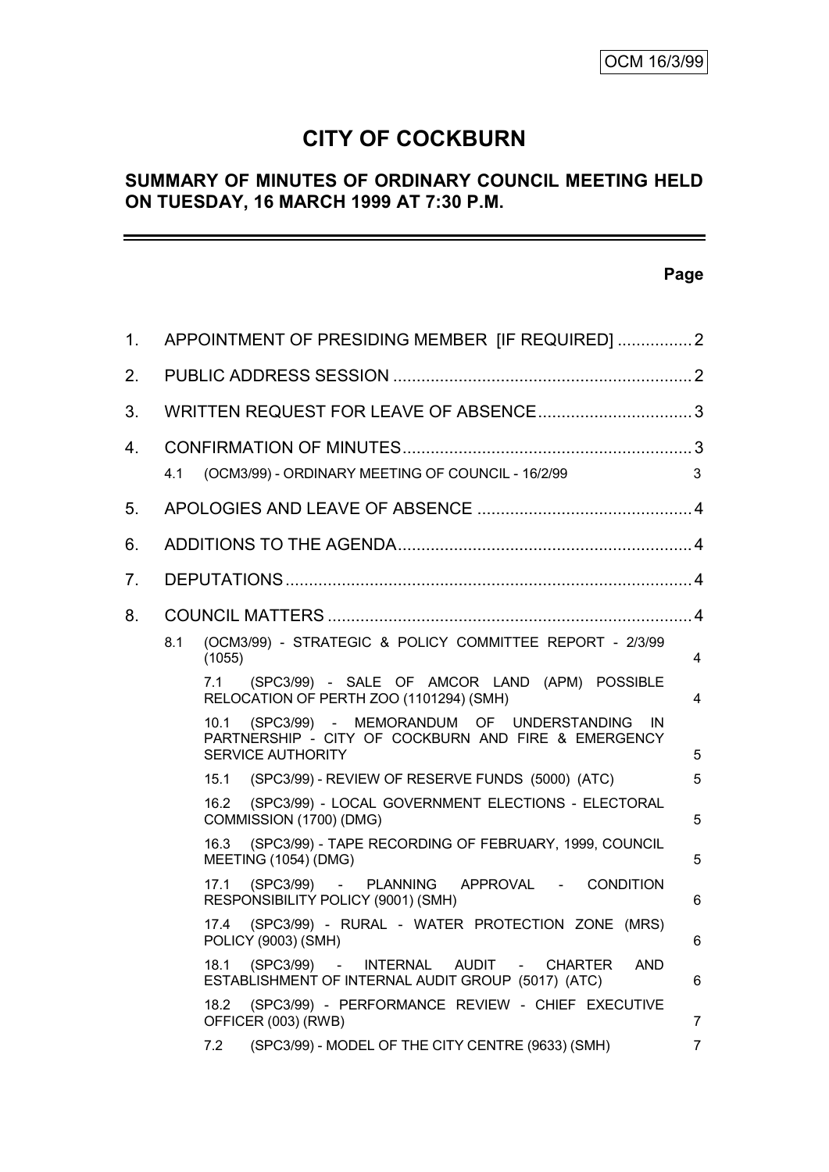# **CITY OF COCKBURN**

# **SUMMARY OF MINUTES OF ORDINARY COUNCIL MEETING HELD ON TUESDAY, 16 MARCH 1999 AT 7:30 P.M.**

# **Page**

 $\equiv$ 

| 1.             | APPOINTMENT OF PRESIDING MEMBER [IF REQUIRED] 2                                                                                    |                |  |  |  |  |
|----------------|------------------------------------------------------------------------------------------------------------------------------------|----------------|--|--|--|--|
| 2.             |                                                                                                                                    |                |  |  |  |  |
| 3.             |                                                                                                                                    |                |  |  |  |  |
| 4.             | (OCM3/99) - ORDINARY MEETING OF COUNCIL - 16/2/99<br>4.1                                                                           | 3              |  |  |  |  |
| 5.             |                                                                                                                                    |                |  |  |  |  |
| 6.             |                                                                                                                                    |                |  |  |  |  |
| 7 <sub>1</sub> |                                                                                                                                    |                |  |  |  |  |
| 8.             |                                                                                                                                    |                |  |  |  |  |
|                | (OCM3/99) - STRATEGIC & POLICY COMMITTEE REPORT - 2/3/99<br>8.1<br>(1055)                                                          | 4              |  |  |  |  |
|                | 7.1 (SPC3/99) - SALE OF AMCOR LAND (APM) POSSIBLE<br>RELOCATION OF PERTH ZOO (1101294) (SMH)                                       | 4              |  |  |  |  |
|                | 10.1 (SPC3/99) - MEMORANDUM OF UNDERSTANDING IN<br>PARTNERSHIP - CITY OF COCKBURN AND FIRE & EMERGENCY<br><b>SERVICE AUTHORITY</b> | 5              |  |  |  |  |
|                | 15.1 (SPC3/99) - REVIEW OF RESERVE FUNDS (5000) (ATC)                                                                              | 5              |  |  |  |  |
|                | 16.2 (SPC3/99) - LOCAL GOVERNMENT ELECTIONS - ELECTORAL<br>COMMISSION (1700) (DMG)                                                 | 5              |  |  |  |  |
|                | (SPC3/99) - TAPE RECORDING OF FEBRUARY, 1999, COUNCIL<br>16.3<br><b>MEETING (1054) (DMG)</b>                                       | 5              |  |  |  |  |
|                | (SPC3/99) - PLANNING APPROVAL - CONDITION<br>17.1<br>RESPONSIBILITY POLICY (9001) (SMH)                                            | 6              |  |  |  |  |
|                | (SPC3/99) - RURAL - WATER PROTECTION ZONE (MRS)<br>17.4<br>POLICY (9003) (SMH)                                                     | 6              |  |  |  |  |
|                | (SPC3/99) - INTERNAL<br>18.1<br>AUDIT -<br><b>CHARTER</b><br><b>AND</b><br>ESTABLISHMENT OF INTERNAL AUDIT GROUP (5017) (ATC)      | 6              |  |  |  |  |
|                | (SPC3/99) - PERFORMANCE REVIEW - CHIEF EXECUTIVE<br>18.2<br>OFFICER (003) (RWB)                                                    | 7              |  |  |  |  |
|                | 7.2<br>(SPC3/99) - MODEL OF THE CITY CENTRE (9633) (SMH)                                                                           | $\overline{7}$ |  |  |  |  |
|                |                                                                                                                                    |                |  |  |  |  |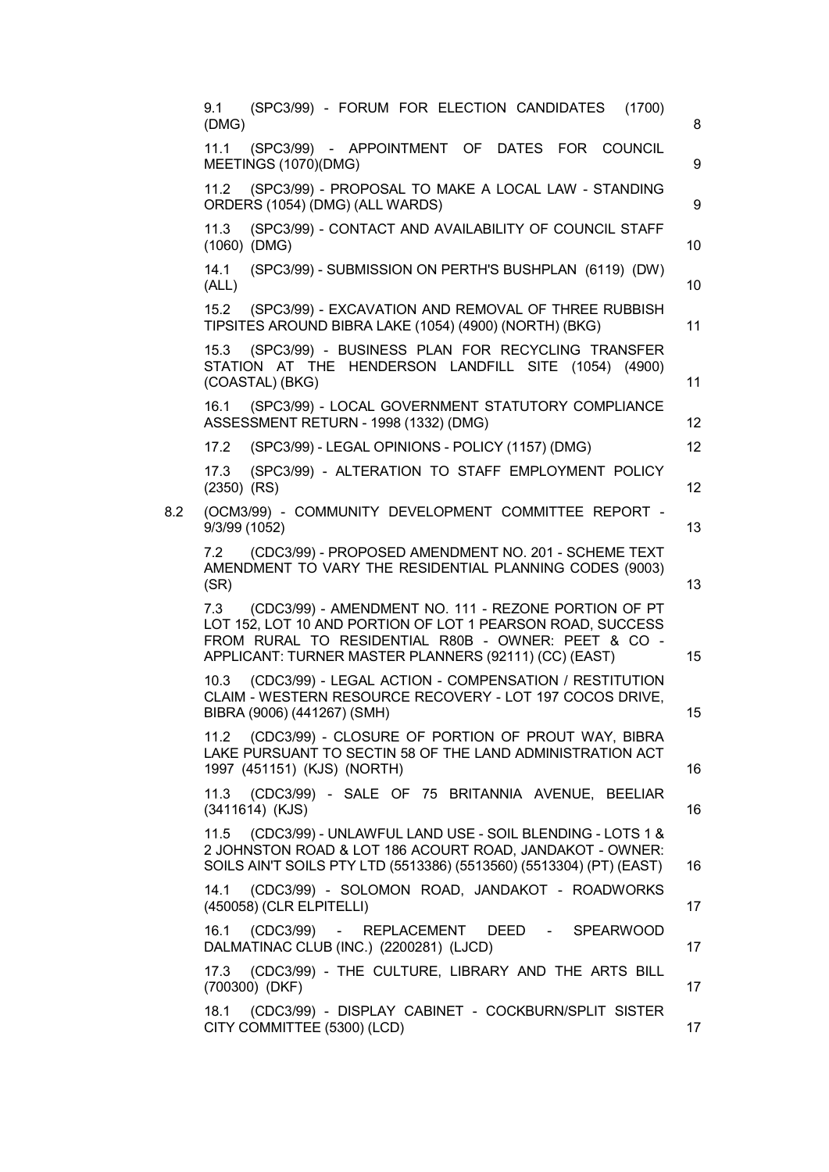|     | (SPC3/99) - FORUM FOR ELECTION CANDIDATES<br>(1700)<br>9.1<br>(DMG)                                                                                                                                                                       | 8  |
|-----|-------------------------------------------------------------------------------------------------------------------------------------------------------------------------------------------------------------------------------------------|----|
|     | (SPC3/99) - APPOINTMENT OF DATES FOR COUNCIL<br>11.1<br>MEETINGS (1070)(DMG)                                                                                                                                                              | 9  |
|     | (SPC3/99) - PROPOSAL TO MAKE A LOCAL LAW - STANDING<br>11.2<br>ORDERS (1054) (DMG) (ALL WARDS)                                                                                                                                            | 9  |
|     | (SPC3/99) - CONTACT AND AVAILABILITY OF COUNCIL STAFF<br>11.3<br>(1060) (DMG)                                                                                                                                                             | 10 |
|     | (SPC3/99) - SUBMISSION ON PERTH'S BUSHPLAN (6119) (DW)<br>14.1<br>(ALL)                                                                                                                                                                   | 10 |
|     | (SPC3/99) - EXCAVATION AND REMOVAL OF THREE RUBBISH<br>15.2<br>TIPSITES AROUND BIBRA LAKE (1054) (4900) (NORTH) (BKG)                                                                                                                     | 11 |
|     | (SPC3/99) - BUSINESS PLAN FOR RECYCLING TRANSFER<br>15.3<br>STATION AT THE HENDERSON LANDFILL SITE (1054) (4900)<br>(COASTAL) (BKG)                                                                                                       | 11 |
|     | (SPC3/99) - LOCAL GOVERNMENT STATUTORY COMPLIANCE<br>16.1<br>ASSESSMENT RETURN - 1998 (1332) (DMG)                                                                                                                                        | 12 |
|     | (SPC3/99) - LEGAL OPINIONS - POLICY (1157) (DMG)<br>17.2                                                                                                                                                                                  | 12 |
|     | (SPC3/99) - ALTERATION TO STAFF EMPLOYMENT POLICY<br>17.3<br>$(2350)$ $(RS)$                                                                                                                                                              | 12 |
| 8.2 | (OCM3/99) - COMMUNITY DEVELOPMENT COMMITTEE REPORT -<br>9/3/99 (1052)                                                                                                                                                                     | 13 |
|     | (CDC3/99) - PROPOSED AMENDMENT NO. 201 - SCHEME TEXT<br>7.2<br>AMENDMENT TO VARY THE RESIDENTIAL PLANNING CODES (9003)<br>(SR)                                                                                                            | 13 |
|     | (CDC3/99) - AMENDMENT NO. 111 - REZONE PORTION OF PT<br>7.3<br>LOT 152, LOT 10 AND PORTION OF LOT 1 PEARSON ROAD, SUCCESS<br>FROM RURAL TO RESIDENTIAL R80B - OWNER: PEET & CO -<br>APPLICANT: TURNER MASTER PLANNERS (92111) (CC) (EAST) | 15 |
|     | (CDC3/99) - LEGAL ACTION - COMPENSATION / RESTITUTION<br>10.3<br>CLAIM - WESTERN RESOURCE RECOVERY - LOT 197 COCOS DRIVE,<br>BIBRA (9006) (441267) (SMH)                                                                                  | 15 |
|     | 11.2 (CDC3/99) - CLOSURE OF PORTION OF PROUT WAY, BIBRA<br>LAKE PURSUANT TO SECTIN 58 OF THE LAND ADMINISTRATION ACT<br>1997 (451151) (KJS) (NORTH)                                                                                       | 16 |
|     | (CDC3/99) - SALE OF 75 BRITANNIA AVENUE, BEELIAR<br>11.3<br>(3411614) (KJS)                                                                                                                                                               | 16 |
|     | (CDC3/99) - UNLAWFUL LAND USE - SOIL BLENDING - LOTS 1 &<br>11.5<br>2 JOHNSTON ROAD & LOT 186 ACOURT ROAD, JANDAKOT - OWNER:<br>SOILS AIN'T SOILS PTY LTD (5513386) (5513560) (5513304) (PT) (EAST)                                       | 16 |
|     | (CDC3/99) - SOLOMON ROAD, JANDAKOT - ROADWORKS<br>14.1<br>(450058) (CLR ELPITELLI)                                                                                                                                                        | 17 |
|     | (CDC3/99) - REPLACEMENT DEED - SPEARWOOD<br>16.1<br>DALMATINAC CLUB (INC.) (2200281) (LJCD)                                                                                                                                               | 17 |
|     | 17.3 (CDC3/99) - THE CULTURE, LIBRARY AND THE ARTS BILL<br>(700300) (DKF)                                                                                                                                                                 | 17 |
|     | 18.1 (CDC3/99) - DISPLAY CABINET - COCKBURN/SPLIT SISTER<br>CITY COMMITTEE (5300) (LCD)                                                                                                                                                   | 17 |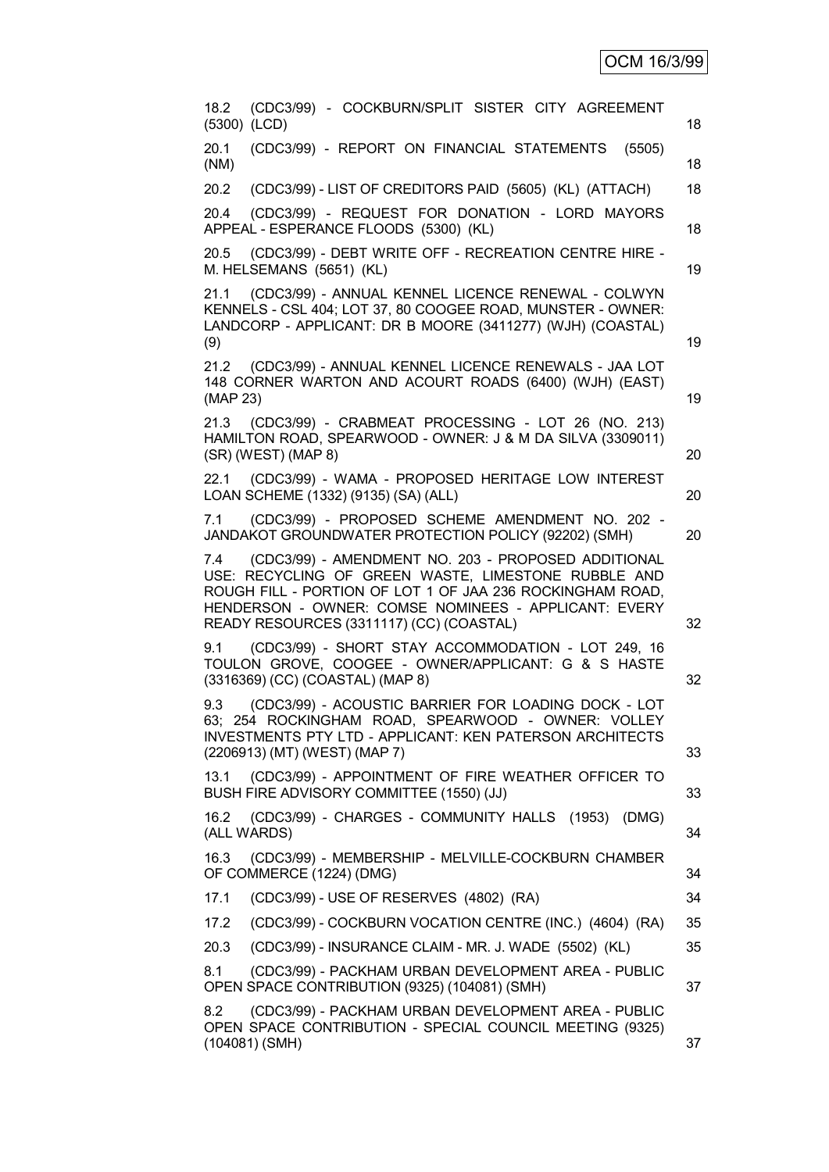| (CDC3/99) - COCKBURN/SPLIT SISTER CITY AGREEMENT<br>18.2<br>(5300) (LCD)                                                                                                                                                                                                           | 18 |
|------------------------------------------------------------------------------------------------------------------------------------------------------------------------------------------------------------------------------------------------------------------------------------|----|
| (CDC3/99) - REPORT ON FINANCIAL STATEMENTS<br>20.1<br>(5505)<br>(NM)                                                                                                                                                                                                               | 18 |
| (CDC3/99) - LIST OF CREDITORS PAID (5605) (KL) (ATTACH)<br>20.2                                                                                                                                                                                                                    | 18 |
| (CDC3/99) - REQUEST FOR DONATION - LORD MAYORS<br>20.4<br>APPEAL - ESPERANCE FLOODS (5300) (KL)                                                                                                                                                                                    | 18 |
| (CDC3/99) - DEBT WRITE OFF - RECREATION CENTRE HIRE -<br>20.5<br>M. HELSEMANS (5651) (KL)                                                                                                                                                                                          | 19 |
| (CDC3/99) - ANNUAL KENNEL LICENCE RENEWAL - COLWYN<br>21.1<br>KENNELS - CSL 404; LOT 37, 80 COOGEE ROAD, MUNSTER - OWNER:<br>LANDCORP - APPLICANT: DR B MOORE (3411277) (WJH) (COASTAL)<br>(9)                                                                                     | 19 |
| 21.2 (CDC3/99) - ANNUAL KENNEL LICENCE RENEWALS - JAA LOT<br>148 CORNER WARTON AND ACOURT ROADS (6400) (WJH) (EAST)<br>(MAP 23)                                                                                                                                                    | 19 |
| 21.3 (CDC3/99) - CRABMEAT PROCESSING - LOT 26 (NO. 213)<br>HAMILTON ROAD, SPEARWOOD - OWNER: J & M DA SILVA (3309011)<br>(SR) (WEST) (MAP 8)                                                                                                                                       | 20 |
| 22.1 (CDC3/99) - WAMA - PROPOSED HERITAGE LOW INTEREST<br>LOAN SCHEME (1332) (9135) (SA) (ALL)                                                                                                                                                                                     | 20 |
| (CDC3/99) - PROPOSED SCHEME AMENDMENT NO. 202 -<br>7.1<br>JANDAKOT GROUNDWATER PROTECTION POLICY (92202) (SMH)                                                                                                                                                                     | 20 |
| (CDC3/99) - AMENDMENT NO. 203 - PROPOSED ADDITIONAL<br>7.4<br>USE: RECYCLING OF GREEN WASTE, LIMESTONE RUBBLE AND<br>ROUGH FILL - PORTION OF LOT 1 OF JAA 236 ROCKINGHAM ROAD,<br>HENDERSON - OWNER: COMSE NOMINEES - APPLICANT: EVERY<br>READY RESOURCES (3311117) (CC) (COASTAL) | 32 |
| (CDC3/99) - SHORT STAY ACCOMMODATION - LOT 249, 16<br>9.1<br>TOULON GROVE, COOGEE - OWNER/APPLICANT: G & S HASTE<br>(3316369) (CC) (COASTAL) (MAP 8)                                                                                                                               | 32 |
| (CDC3/99) - ACOUSTIC BARRIER FOR LOADING DOCK - LOT<br>9.3<br>63; 254 ROCKINGHAM ROAD, SPEARWOOD - OWNER: VOLLEY<br>INVESTMENTS PTY LTD - APPLICANT: KEN PATERSON ARCHITECTS<br>(2206913) (MT) (WEST) (MAP 7)                                                                      | 33 |
| (CDC3/99) - APPOINTMENT OF FIRE WEATHER OFFICER TO<br>13.1<br>BUSH FIRE ADVISORY COMMITTEE (1550) (JJ)                                                                                                                                                                             | 33 |
| (CDC3/99) - CHARGES - COMMUNITY HALLS (1953) (DMG)<br>16.2<br>(ALL WARDS)                                                                                                                                                                                                          | 34 |
| 16.3<br>(CDC3/99) - MEMBERSHIP - MELVILLE-COCKBURN CHAMBER<br>OF COMMERCE (1224) (DMG)                                                                                                                                                                                             | 34 |
| (CDC3/99) - USE OF RESERVES (4802) (RA)<br>17.1                                                                                                                                                                                                                                    | 34 |
| (CDC3/99) - COCKBURN VOCATION CENTRE (INC.) (4604) (RA)<br>17.2                                                                                                                                                                                                                    | 35 |
| (CDC3/99) - INSURANCE CLAIM - MR. J. WADE (5502) (KL)<br>20.3                                                                                                                                                                                                                      | 35 |
| (CDC3/99) - PACKHAM URBAN DEVELOPMENT AREA - PUBLIC<br>8.1<br>OPEN SPACE CONTRIBUTION (9325) (104081) (SMH)                                                                                                                                                                        | 37 |
| (CDC3/99) - PACKHAM URBAN DEVELOPMENT AREA - PUBLIC<br>8.2<br>OPEN SPACE CONTRIBUTION - SPECIAL COUNCIL MEETING (9325)<br>$(104081)$ (SMH)                                                                                                                                         | 37 |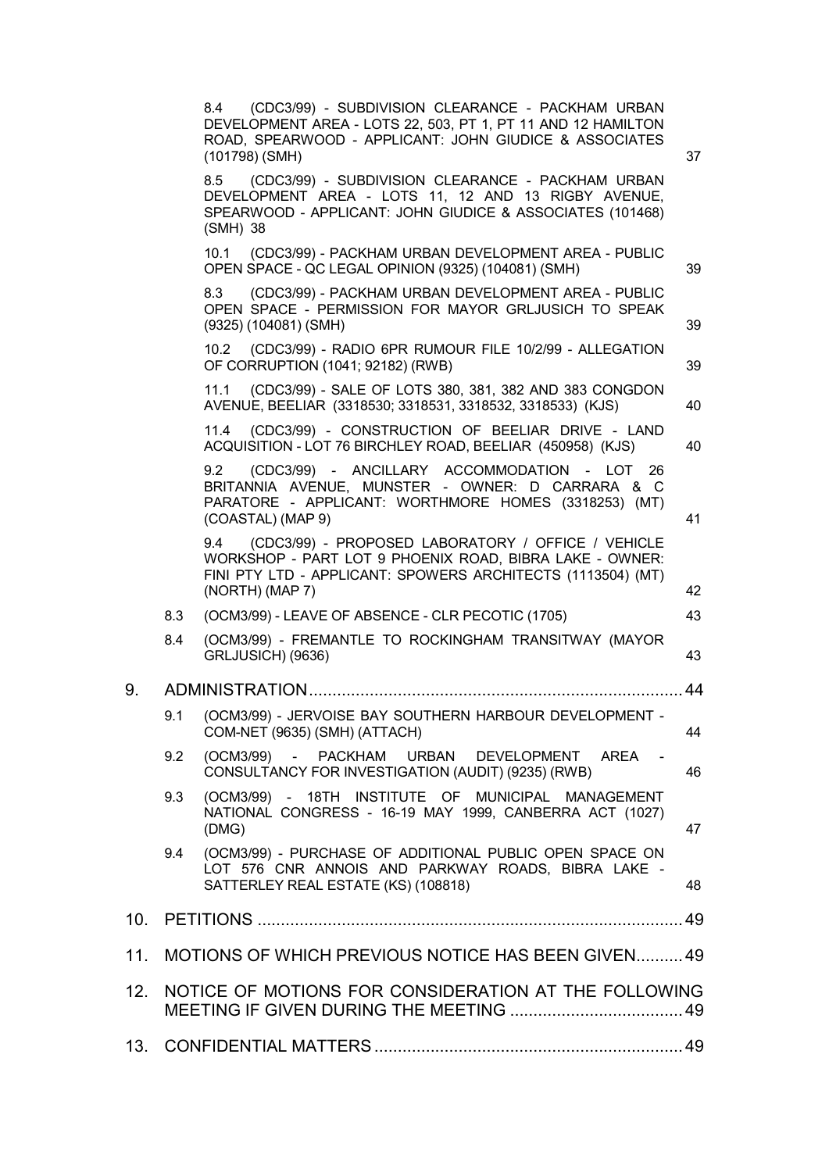|     |     | (CDC3/99) - SUBDIVISION CLEARANCE - PACKHAM URBAN<br>8.4<br>DEVELOPMENT AREA - LOTS 22, 503, PT 1, PT 11 AND 12 HAMILTON<br>ROAD, SPEARWOOD - APPLICANT: JOHN GIUDICE & ASSOCIATES<br>$(101798)$ (SMH) | 37 |
|-----|-----|--------------------------------------------------------------------------------------------------------------------------------------------------------------------------------------------------------|----|
|     |     | (CDC3/99) - SUBDIVISION CLEARANCE - PACKHAM URBAN<br>8.5<br>DEVELOPMENT AREA - LOTS 11, 12 AND 13 RIGBY AVENUE,<br>SPEARWOOD - APPLICANT: JOHN GIUDICE & ASSOCIATES (101468)<br>(SMH) 38               |    |
|     |     | (CDC3/99) - PACKHAM URBAN DEVELOPMENT AREA - PUBLIC<br>10.1<br>OPEN SPACE - QC LEGAL OPINION (9325) (104081) (SMH)                                                                                     | 39 |
|     |     | 8.3<br>(CDC3/99) - PACKHAM URBAN DEVELOPMENT AREA - PUBLIC<br>OPEN SPACE - PERMISSION FOR MAYOR GRLJUSICH TO SPEAK<br>$(9325)$ (104081) (SMH)                                                          | 39 |
|     |     | 10.2 (CDC3/99) - RADIO 6PR RUMOUR FILE 10/2/99 - ALLEGATION<br>OF CORRUPTION (1041; 92182) (RWB)                                                                                                       | 39 |
|     |     | (CDC3/99) - SALE OF LOTS 380, 381, 382 AND 383 CONGDON<br>11.1<br>AVENUE, BEELIAR (3318530; 3318531, 3318532, 3318533) (KJS)                                                                           | 40 |
|     |     | 11.4 (CDC3/99) - CONSTRUCTION OF BEELIAR DRIVE - LAND<br>ACQUISITION - LOT 76 BIRCHLEY ROAD, BEELIAR (450958) (KJS)                                                                                    | 40 |
|     |     | (CDC3/99) - ANCILLARY ACCOMMODATION - LOT 26<br>9.2<br>BRITANNIA AVENUE, MUNSTER - OWNER: D CARRARA & C<br>PARATORE - APPLICANT: WORTHMORE HOMES (3318253) (MT)<br>(COASTAL) (MAP 9)                   | 41 |
|     |     | (CDC3/99) - PROPOSED LABORATORY / OFFICE / VEHICLE<br>9.4<br>WORKSHOP - PART LOT 9 PHOENIX ROAD, BIBRA LAKE - OWNER:<br>FINI PTY LTD - APPLICANT: SPOWERS ARCHITECTS (1113504) (MT)<br>(NORTH) (MAP 7) | 42 |
|     | 8.3 | (OCM3/99) - LEAVE OF ABSENCE - CLR PECOTIC (1705)                                                                                                                                                      | 43 |
|     | 8.4 | (OCM3/99) - FREMANTLE TO ROCKINGHAM TRANSITWAY (MAYOR<br>GRLJUSICH) (9636)                                                                                                                             | 43 |
| 9.  |     |                                                                                                                                                                                                        | 44 |
|     | 9.1 | (OCM3/99) - JERVOISE BAY SOUTHERN HARBOUR DEVELOPMENT -<br>COM-NET (9635) (SMH) (ATTACH)                                                                                                               | 44 |
|     | 9.2 | (OCM3/99) - PACKHAM URBAN DEVELOPMENT AREA -<br>CONSULTANCY FOR INVESTIGATION (AUDIT) (9235) (RWB)                                                                                                     | 46 |
|     | 9.3 | (OCM3/99) - 18TH INSTITUTE OF MUNICIPAL MANAGEMENT<br>NATIONAL CONGRESS - 16-19 MAY 1999, CANBERRA ACT (1027)<br>(DMG)                                                                                 | 47 |
|     | 9.4 | (OCM3/99) - PURCHASE OF ADDITIONAL PUBLIC OPEN SPACE ON<br>LOT 576 CNR ANNOIS AND PARKWAY ROADS, BIBRA LAKE -<br>SATTERLEY REAL ESTATE (KS) (108818)                                                   | 48 |
| 10. |     |                                                                                                                                                                                                        |    |
| 11. |     | MOTIONS OF WHICH PREVIOUS NOTICE HAS BEEN GIVEN49                                                                                                                                                      |    |
| 12. |     | NOTICE OF MOTIONS FOR CONSIDERATION AT THE FOLLOWING                                                                                                                                                   |    |
|     |     |                                                                                                                                                                                                        |    |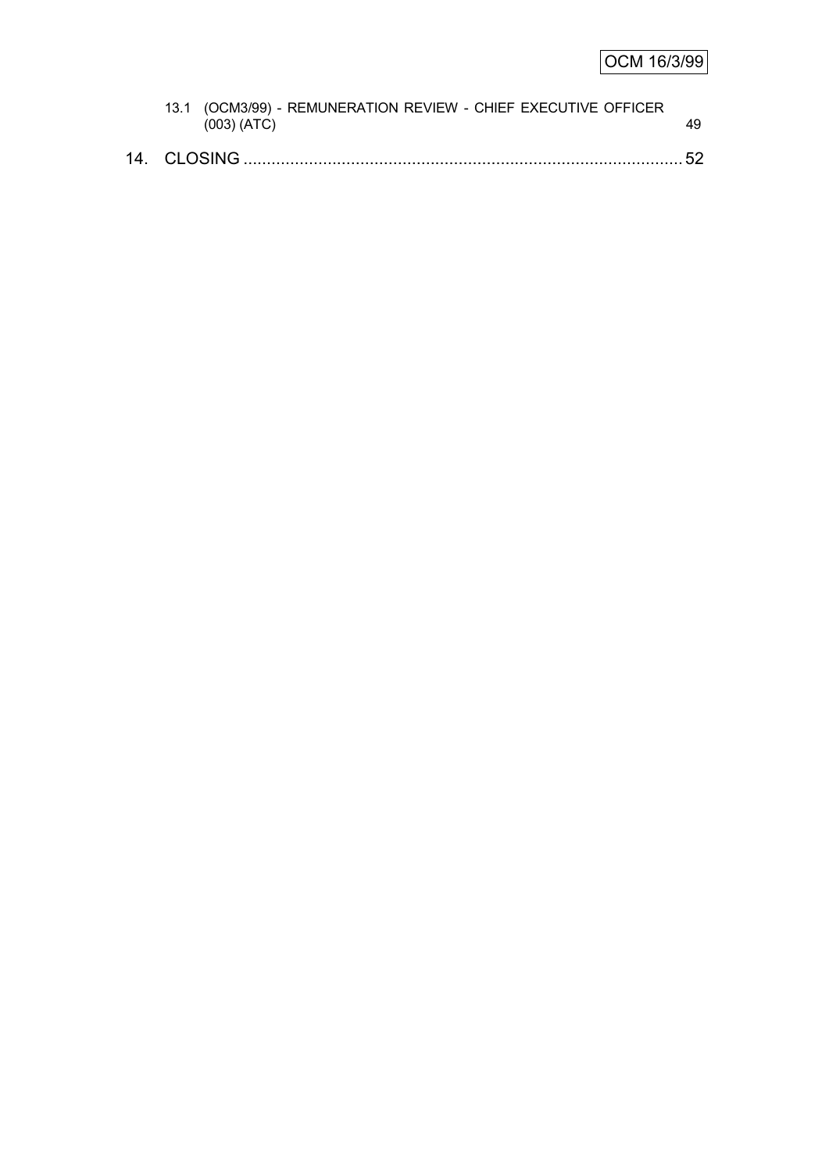| 13.1 (OCM3/99) - REMUNERATION REVIEW - CHIEF EXECUTIVE OFFICER<br>(003) (ATC) |    |
|-------------------------------------------------------------------------------|----|
|                                                                               | 52 |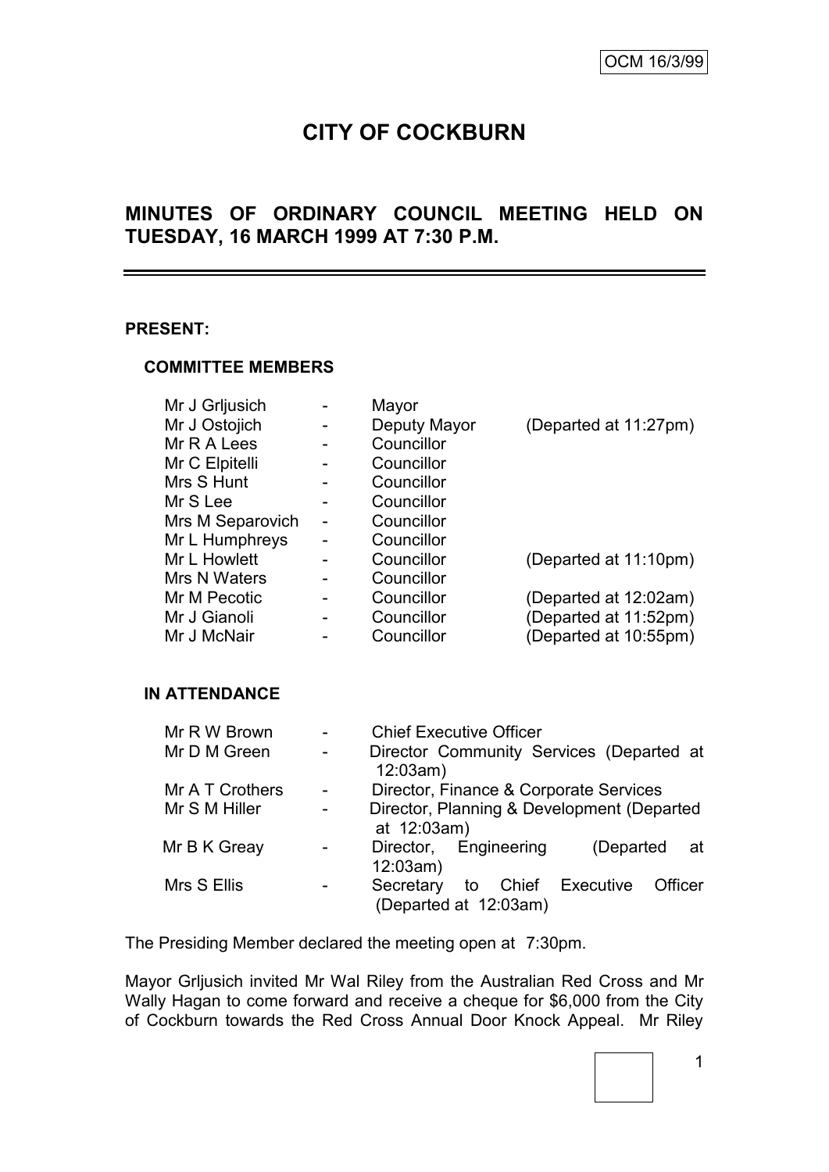# **CITY OF COCKBURN**

# **MINUTES OF ORDINARY COUNCIL MEETING HELD ON TUESDAY, 16 MARCH 1999 AT 7:30 P.M.**

#### **PRESENT:**

#### **COMMITTEE MEMBERS**

| Mr J Grijusich   |                | Mayor        |                       |
|------------------|----------------|--------------|-----------------------|
| Mr J Ostojich    | -              | Deputy Mayor | (Departed at 11:27pm) |
| Mr R A Lees      |                | Councillor   |                       |
| Mr C Elpitelli   |                | Councillor   |                       |
| Mrs S Hunt       |                | Councillor   |                       |
| Mr S Lee         |                | Councillor   |                       |
| Mrs M Separovich | $\overline{a}$ | Councillor   |                       |
| Mr L Humphreys   |                | Councillor   |                       |
| Mr L Howlett     |                | Councillor   | (Departed at 11:10pm) |
| Mrs N Waters     |                | Councillor   |                       |
| Mr M Pecotic     | -              | Councillor   | (Departed at 12:02am) |
| Mr J Gianoli     | -              | Councillor   | (Departed at 11:52pm) |
| Mr J McNair      |                | Councillor   | (Departed at 10:55pm) |

#### **IN ATTENDANCE**

| Mr R W Brown    |                | <b>Chief Executive Officer</b>                       |                    |           |     |
|-----------------|----------------|------------------------------------------------------|--------------------|-----------|-----|
| Mr D M Green    | $\blacksquare$ | Director Community Services (Departed at<br>12:03am) |                    |           |     |
| Mr A T Crothers |                | Director, Finance & Corporate Services               |                    |           |     |
| Mr S M Hiller   | -              | Director, Planning & Development (Departed           |                    |           |     |
|                 |                | at 12:03am)                                          |                    |           |     |
| Mr B K Greay    |                | Director, Engineering                                |                    | (Departed | _at |
|                 |                | 12:03am)                                             |                    |           |     |
| Mrs S Ellis     |                | Secretary                                            | to Chief Executive | Officer   |     |
|                 |                | (Departed at 12:03am)                                |                    |           |     |

The Presiding Member declared the meeting open at 7:30pm.

Mayor Grljusich invited Mr Wal Riley from the Australian Red Cross and Mr Wally Hagan to come forward and receive a cheque for \$6,000 from the City of Cockburn towards the Red Cross Annual Door Knock Appeal. Mr Riley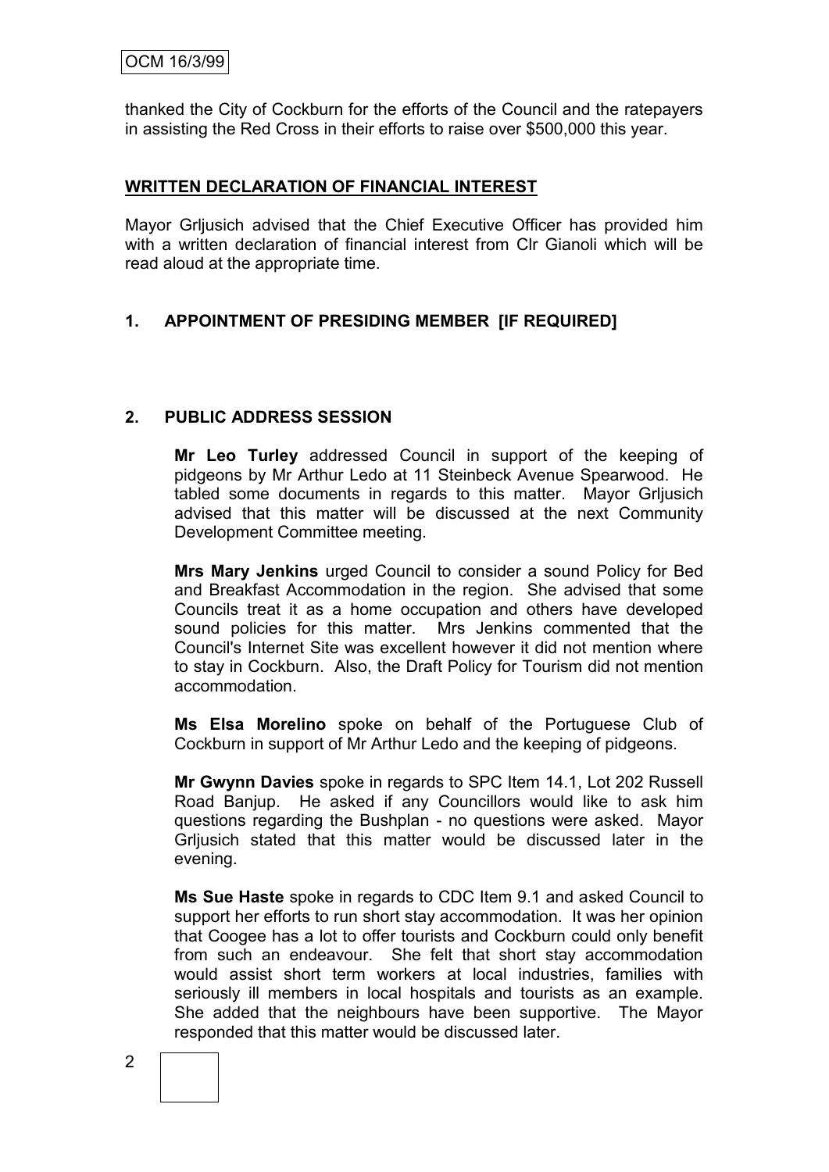thanked the City of Cockburn for the efforts of the Council and the ratepayers in assisting the Red Cross in their efforts to raise over \$500,000 this year.

#### **WRITTEN DECLARATION OF FINANCIAL INTEREST**

Mayor Grljusich advised that the Chief Executive Officer has provided him with a written declaration of financial interest from Clr Gianoli which will be read aloud at the appropriate time.

# **1. APPOINTMENT OF PRESIDING MEMBER [IF REQUIRED]**

#### **2. PUBLIC ADDRESS SESSION**

**Mr Leo Turley** addressed Council in support of the keeping of pidgeons by Mr Arthur Ledo at 11 Steinbeck Avenue Spearwood. He tabled some documents in regards to this matter. Mayor Grljusich advised that this matter will be discussed at the next Community Development Committee meeting.

**Mrs Mary Jenkins** urged Council to consider a sound Policy for Bed and Breakfast Accommodation in the region. She advised that some Councils treat it as a home occupation and others have developed sound policies for this matter. Mrs Jenkins commented that the Council's Internet Site was excellent however it did not mention where to stay in Cockburn. Also, the Draft Policy for Tourism did not mention accommodation.

**Ms Elsa Morelino** spoke on behalf of the Portuguese Club of Cockburn in support of Mr Arthur Ledo and the keeping of pidgeons.

**Mr Gwynn Davies** spoke in regards to SPC Item 14.1, Lot 202 Russell Road Banjup. He asked if any Councillors would like to ask him questions regarding the Bushplan - no questions were asked. Mayor Grljusich stated that this matter would be discussed later in the evening.

**Ms Sue Haste** spoke in regards to CDC Item 9.1 and asked Council to support her efforts to run short stay accommodation. It was her opinion that Coogee has a lot to offer tourists and Cockburn could only benefit from such an endeavour. She felt that short stay accommodation would assist short term workers at local industries, families with seriously ill members in local hospitals and tourists as an example. She added that the neighbours have been supportive. The Mayor responded that this matter would be discussed later.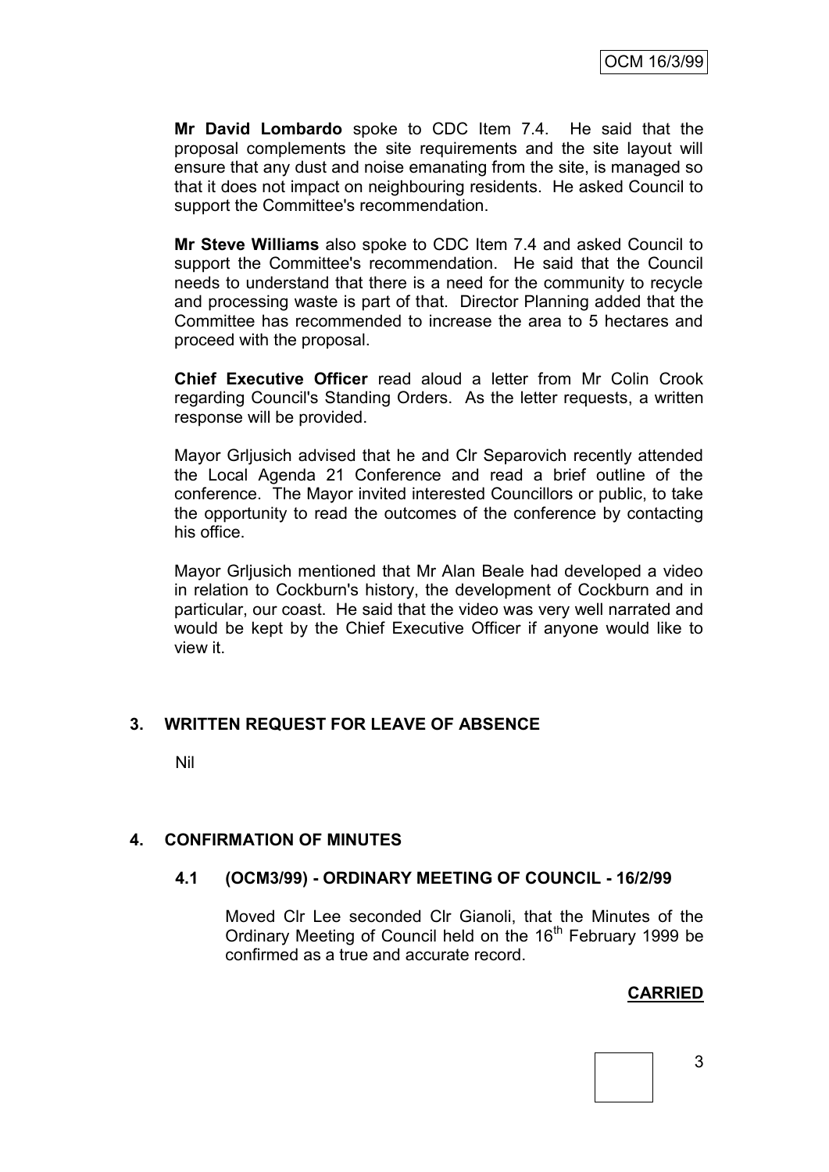**Mr David Lombardo** spoke to CDC Item 7.4. He said that the proposal complements the site requirements and the site layout will ensure that any dust and noise emanating from the site, is managed so that it does not impact on neighbouring residents. He asked Council to support the Committee's recommendation.

**Mr Steve Williams** also spoke to CDC Item 7.4 and asked Council to support the Committee's recommendation. He said that the Council needs to understand that there is a need for the community to recycle and processing waste is part of that. Director Planning added that the Committee has recommended to increase the area to 5 hectares and proceed with the proposal.

**Chief Executive Officer** read aloud a letter from Mr Colin Crook regarding Council's Standing Orders. As the letter requests, a written response will be provided.

Mayor Grljusich advised that he and Clr Separovich recently attended the Local Agenda 21 Conference and read a brief outline of the conference. The Mayor invited interested Councillors or public, to take the opportunity to read the outcomes of the conference by contacting his office.

Mayor Grljusich mentioned that Mr Alan Beale had developed a video in relation to Cockburn's history, the development of Cockburn and in particular, our coast. He said that the video was very well narrated and would be kept by the Chief Executive Officer if anyone would like to view it.

# **3. WRITTEN REQUEST FOR LEAVE OF ABSENCE**

Nil

#### **4. CONFIRMATION OF MINUTES**

#### **4.1 (OCM3/99) - ORDINARY MEETING OF COUNCIL - 16/2/99**

Moved Clr Lee seconded Clr Gianoli, that the Minutes of the Ordinary Meeting of Council held on the 16<sup>th</sup> February 1999 be confirmed as a true and accurate record.

# **CARRIED**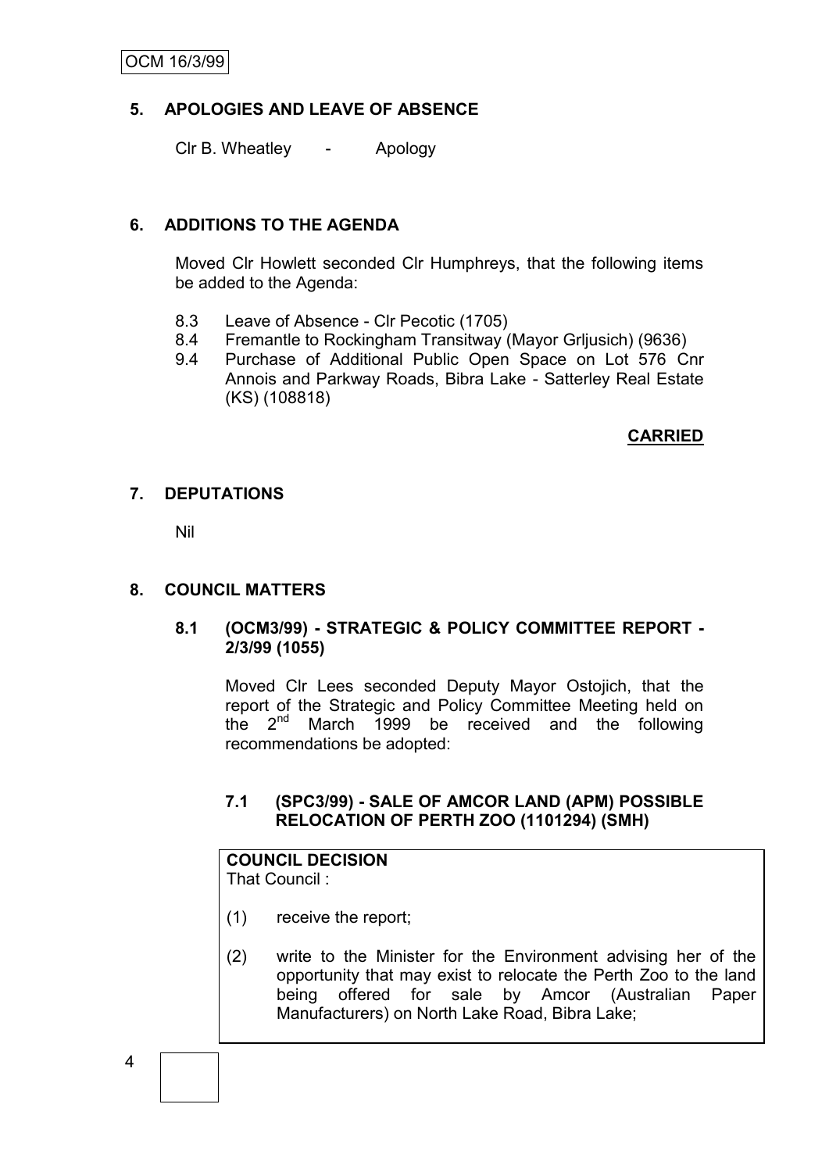# **5. APOLOGIES AND LEAVE OF ABSENCE**

Clr B. Wheatley - Apology

#### **6. ADDITIONS TO THE AGENDA**

Moved Clr Howlett seconded Clr Humphreys, that the following items be added to the Agenda:

- 8.3 Leave of Absence Clr Pecotic (1705)
- 8.4 Fremantle to Rockingham Transitway (Mayor Grljusich) (9636)
- 9.4 Purchase of Additional Public Open Space on Lot 576 Cnr Annois and Parkway Roads, Bibra Lake - Satterley Real Estate (KS) (108818)

# **CARRIED**

#### **7. DEPUTATIONS**

Nil

#### **8. COUNCIL MATTERS**

#### **8.1 (OCM3/99) - STRATEGIC & POLICY COMMITTEE REPORT - 2/3/99 (1055)**

Moved Clr Lees seconded Deputy Mayor Ostojich, that the report of the Strategic and Policy Committee Meeting held on the  $2^{nd}$  March 1999 be received and the following recommendations be adopted:

## **7.1 (SPC3/99) - SALE OF AMCOR LAND (APM) POSSIBLE RELOCATION OF PERTH ZOO (1101294) (SMH)**

# **COUNCIL DECISION**

That Council :

- (1) receive the report;
- (2) write to the Minister for the Environment advising her of the opportunity that may exist to relocate the Perth Zoo to the land being offered for sale by Amcor (Australian Paper Manufacturers) on North Lake Road, Bibra Lake;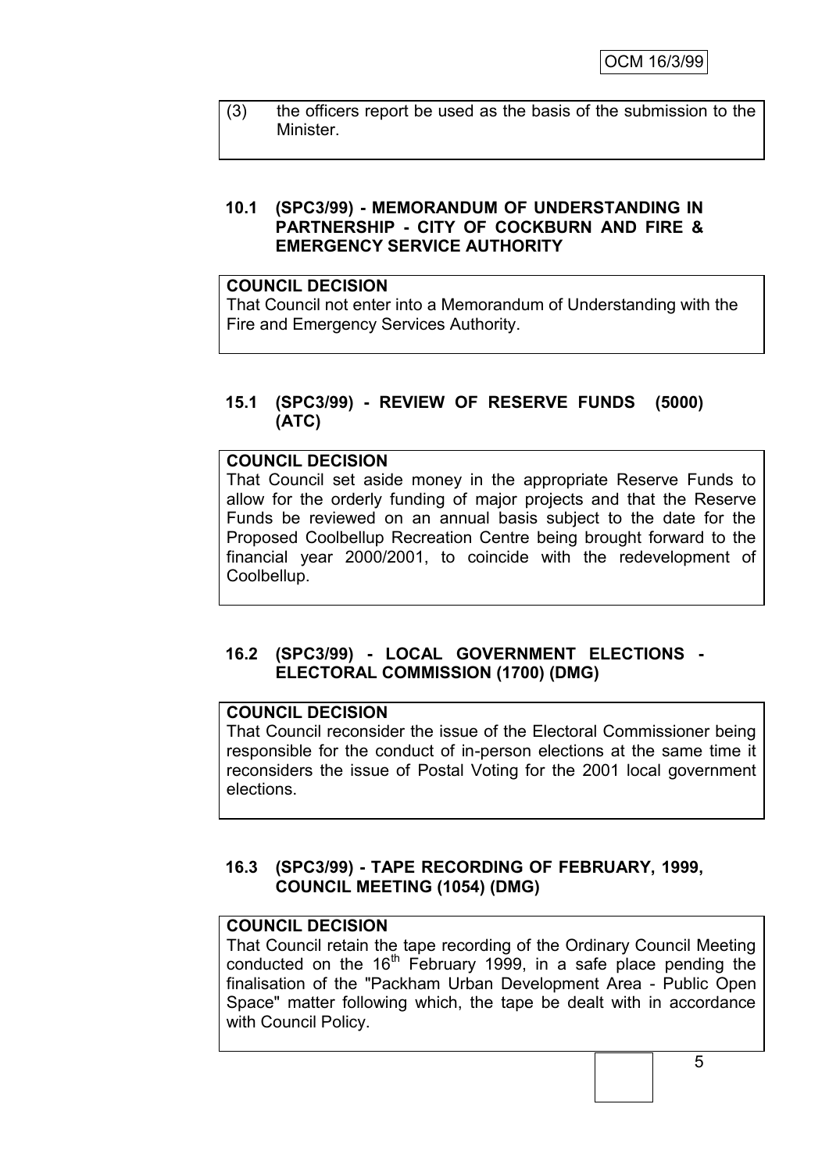(3) the officers report be used as the basis of the submission to the Minister.

#### **10.1 (SPC3/99) - MEMORANDUM OF UNDERSTANDING IN PARTNERSHIP - CITY OF COCKBURN AND FIRE & EMERGENCY SERVICE AUTHORITY**

#### **COUNCIL DECISION**

That Council not enter into a Memorandum of Understanding with the Fire and Emergency Services Authority.

#### **15.1 (SPC3/99) - REVIEW OF RESERVE FUNDS (5000) (ATC)**

### **COUNCIL DECISION**

That Council set aside money in the appropriate Reserve Funds to allow for the orderly funding of major projects and that the Reserve Funds be reviewed on an annual basis subject to the date for the Proposed Coolbellup Recreation Centre being brought forward to the financial year 2000/2001, to coincide with the redevelopment of Coolbellup.

#### **16.2 (SPC3/99) - LOCAL GOVERNMENT ELECTIONS - ELECTORAL COMMISSION (1700) (DMG)**

# **COUNCIL DECISION**

That Council reconsider the issue of the Electoral Commissioner being responsible for the conduct of in-person elections at the same time it reconsiders the issue of Postal Voting for the 2001 local government elections.

## **16.3 (SPC3/99) - TAPE RECORDING OF FEBRUARY, 1999, COUNCIL MEETING (1054) (DMG)**

## **COUNCIL DECISION**

That Council retain the tape recording of the Ordinary Council Meeting conducted on the  $16<sup>th</sup>$  February 1999, in a safe place pending the finalisation of the "Packham Urban Development Area - Public Open Space" matter following which, the tape be dealt with in accordance with Council Policy.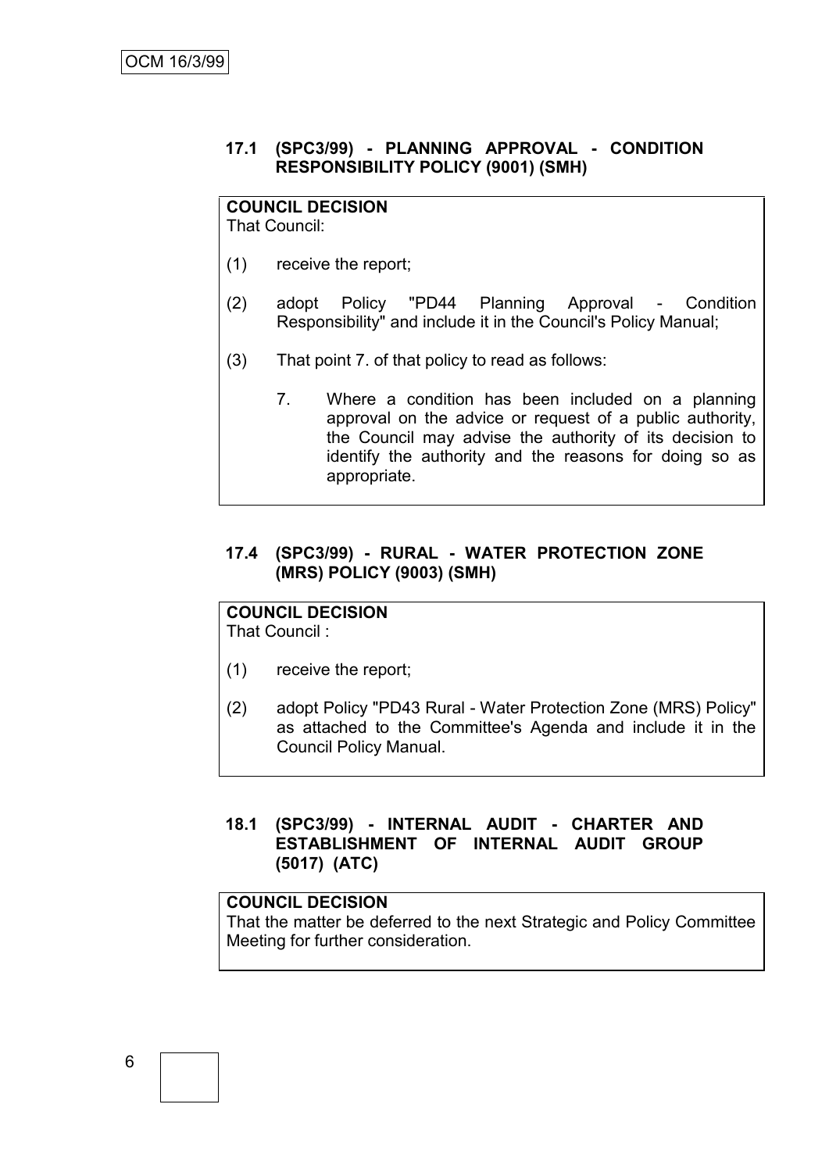#### **17.1 (SPC3/99) - PLANNING APPROVAL - CONDITION RESPONSIBILITY POLICY (9001) (SMH)**

# **COUNCIL DECISION**

That Council:

- (1) receive the report;
- (2) adopt Policy "PD44 Planning Approval Condition Responsibility" and include it in the Council's Policy Manual;
- (3) That point 7. of that policy to read as follows:
	- 7. Where a condition has been included on a planning approval on the advice or request of a public authority, the Council may advise the authority of its decision to identify the authority and the reasons for doing so as appropriate.

#### **17.4 (SPC3/99) - RURAL - WATER PROTECTION ZONE (MRS) POLICY (9003) (SMH)**

# **COUNCIL DECISION**

That Council :

- (1) receive the report;
- (2) adopt Policy "PD43 Rural Water Protection Zone (MRS) Policy" as attached to the Committee's Agenda and include it in the Council Policy Manual.

#### **18.1 (SPC3/99) - INTERNAL AUDIT - CHARTER AND ESTABLISHMENT OF INTERNAL AUDIT GROUP (5017) (ATC)**

#### **COUNCIL DECISION**

That the matter be deferred to the next Strategic and Policy Committee Meeting for further consideration.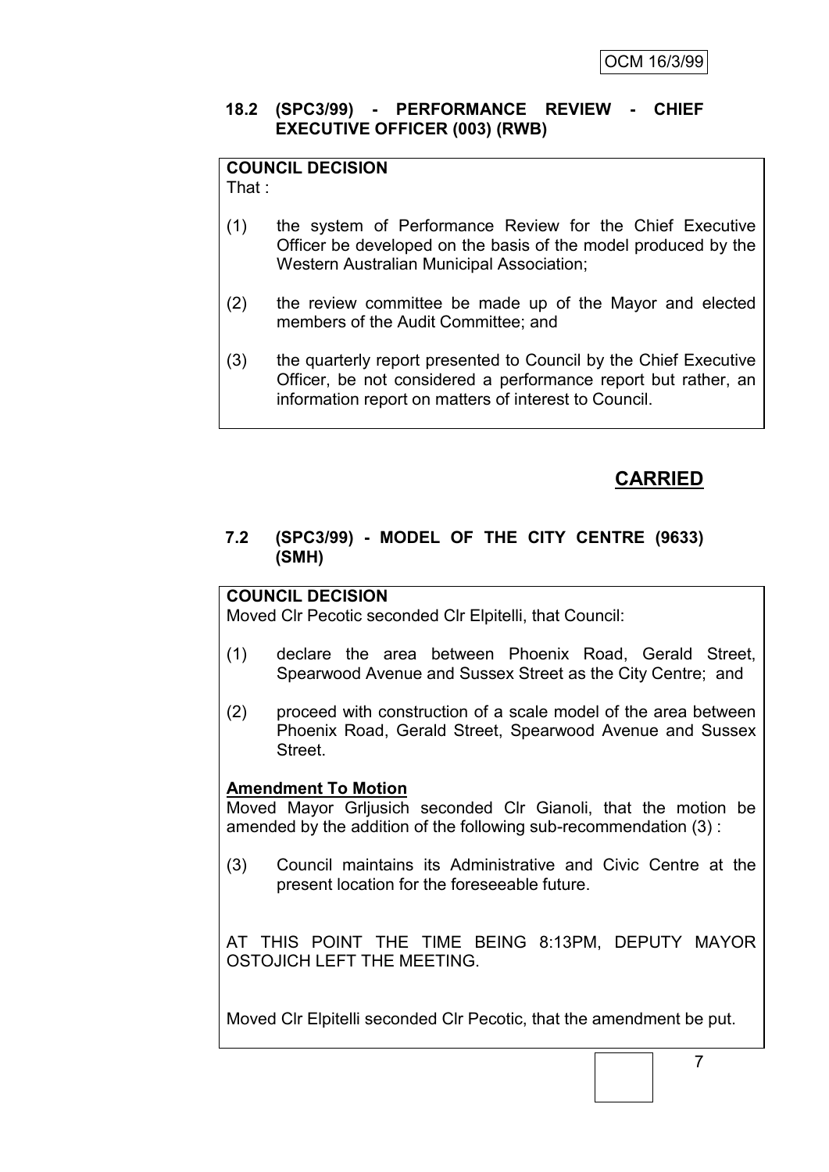#### **18.2 (SPC3/99) - PERFORMANCE REVIEW - CHIEF EXECUTIVE OFFICER (003) (RWB)**

#### **COUNCIL DECISION**

That :

- (1) the system of Performance Review for the Chief Executive Officer be developed on the basis of the model produced by the Western Australian Municipal Association;
- (2) the review committee be made up of the Mayor and elected members of the Audit Committee; and
- (3) the quarterly report presented to Council by the Chief Executive Officer, be not considered a performance report but rather, an information report on matters of interest to Council.

# **CARRIED**

## **7.2 (SPC3/99) - MODEL OF THE CITY CENTRE (9633) (SMH)**

#### **COUNCIL DECISION**

Moved Clr Pecotic seconded Clr Elpitelli, that Council:

- (1) declare the area between Phoenix Road, Gerald Street, Spearwood Avenue and Sussex Street as the City Centre; and
- (2) proceed with construction of a scale model of the area between Phoenix Road, Gerald Street, Spearwood Avenue and Sussex Street.

#### **Amendment To Motion**

Moved Mayor Grljusich seconded Clr Gianoli, that the motion be amended by the addition of the following sub-recommendation (3) :

(3) Council maintains its Administrative and Civic Centre at the present location for the foreseeable future.

AT THIS POINT THE TIME BEING 8:13PM, DEPUTY MAYOR OSTOJICH LEFT THE MEETING.

Moved Clr Elpitelli seconded Clr Pecotic, that the amendment be put.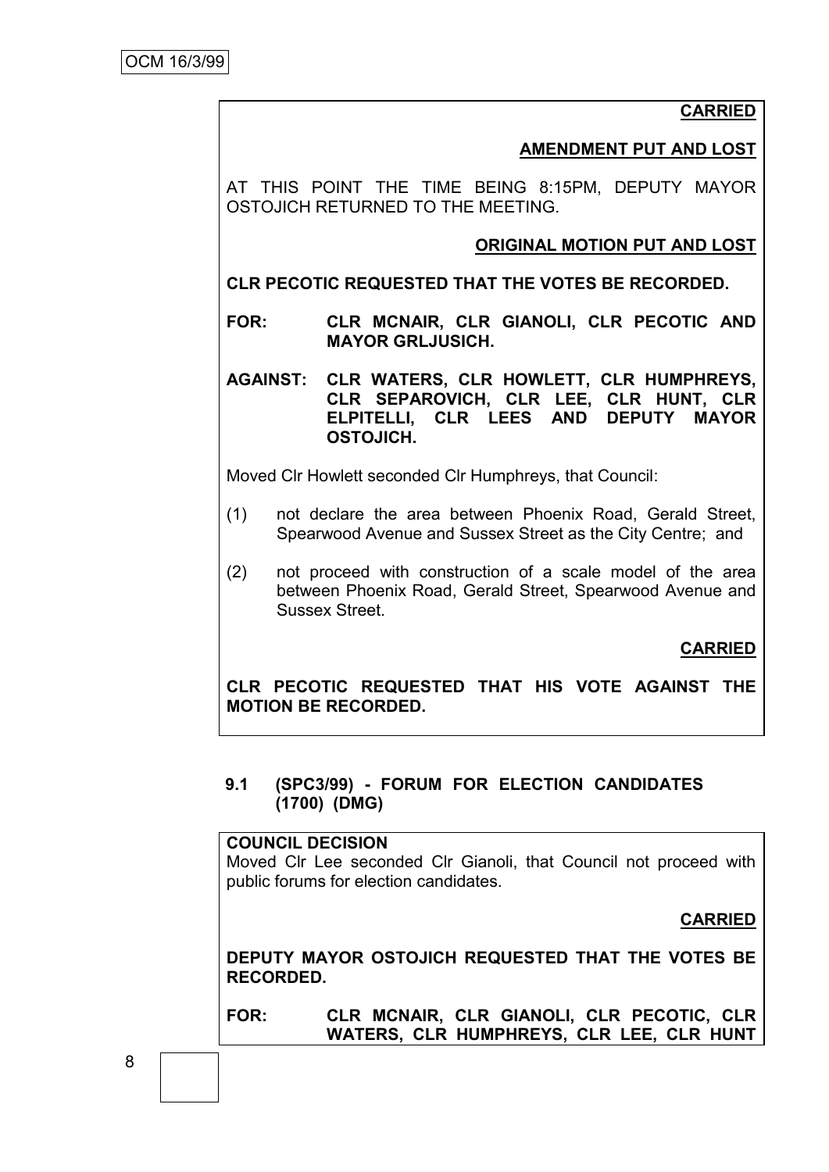**CARRIED**

**AMENDMENT PUT AND LOST**

AT THIS POINT THE TIME BEING 8:15PM, DEPUTY MAYOR OSTOJICH RETURNED TO THE MEETING.

# **ORIGINAL MOTION PUT AND LOST**

**CLR PECOTIC REQUESTED THAT THE VOTES BE RECORDED.**

**FOR: CLR MCNAIR, CLR GIANOLI, CLR PECOTIC AND MAYOR GRLJUSICH.**

**AGAINST: CLR WATERS, CLR HOWLETT, CLR HUMPHREYS, CLR SEPAROVICH, CLR LEE, CLR HUNT, CLR ELPITELLI, CLR LEES AND DEPUTY MAYOR OSTOJICH.**

Moved Clr Howlett seconded Clr Humphreys, that Council:

- (1) not declare the area between Phoenix Road, Gerald Street, Spearwood Avenue and Sussex Street as the City Centre; and
- (2) not proceed with construction of a scale model of the area between Phoenix Road, Gerald Street, Spearwood Avenue and Sussex Street.

**CARRIED**

**CLR PECOTIC REQUESTED THAT HIS VOTE AGAINST THE MOTION BE RECORDED.**

## **9.1 (SPC3/99) - FORUM FOR ELECTION CANDIDATES (1700) (DMG)**

# **COUNCIL DECISION**

Moved Clr Lee seconded Clr Gianoli, that Council not proceed with public forums for election candidates.

**CARRIED**

**DEPUTY MAYOR OSTOJICH REQUESTED THAT THE VOTES BE RECORDED.**

**FOR: CLR MCNAIR, CLR GIANOLI, CLR PECOTIC, CLR WATERS, CLR HUMPHREYS, CLR LEE, CLR HUNT**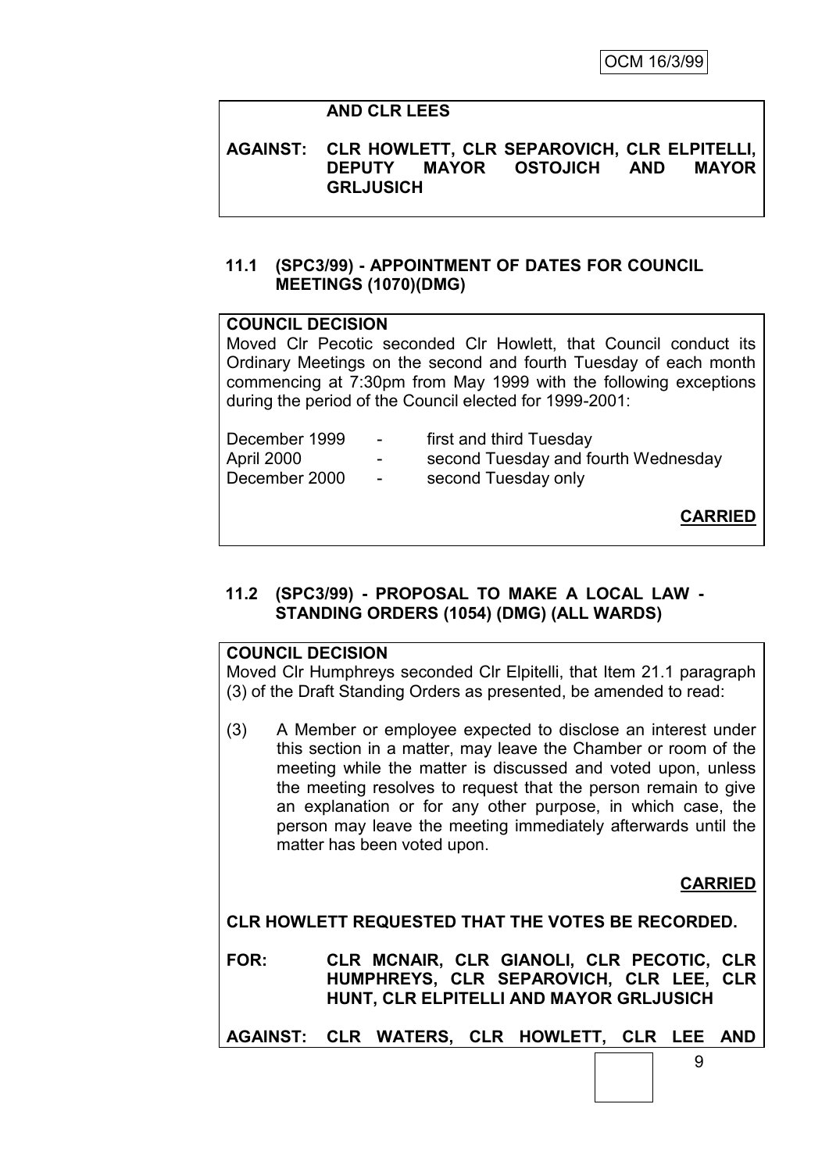## **AND CLR LEES**

#### **AGAINST: CLR HOWLETT, CLR SEPAROVICH, CLR ELPITELLI, DEPUTY MAYOR OSTOJICH AND MAYOR GRLJUSICH**

#### **11.1 (SPC3/99) - APPOINTMENT OF DATES FOR COUNCIL MEETINGS (1070)(DMG)**

#### **COUNCIL DECISION**

Moved Clr Pecotic seconded Clr Howlett, that Council conduct its Ordinary Meetings on the second and fourth Tuesday of each month commencing at 7:30pm from May 1999 with the following exceptions during the period of the Council elected for 1999-2001:

| December 1999 | $\sim$ $-$     | first and third Tuesday             |
|---------------|----------------|-------------------------------------|
| April 2000    | -              | second Tuesday and fourth Wednesday |
| December 2000 | $\blacksquare$ | second Tuesday only                 |
|               |                | <b>CARRIED</b>                      |

## **11.2 (SPC3/99) - PROPOSAL TO MAKE A LOCAL LAW - STANDING ORDERS (1054) (DMG) (ALL WARDS)**

#### **COUNCIL DECISION**

Moved Clr Humphreys seconded Clr Elpitelli, that Item 21.1 paragraph (3) of the Draft Standing Orders as presented, be amended to read:

(3) A Member or employee expected to disclose an interest under this section in a matter, may leave the Chamber or room of the meeting while the matter is discussed and voted upon, unless the meeting resolves to request that the person remain to give an explanation or for any other purpose, in which case, the person may leave the meeting immediately afterwards until the matter has been voted upon.

**CARRIED**

#### **CLR HOWLETT REQUESTED THAT THE VOTES BE RECORDED.**

**FOR: CLR MCNAIR, CLR GIANOLI, CLR PECOTIC, CLR HUMPHREYS, CLR SEPAROVICH, CLR LEE, CLR HUNT, CLR ELPITELLI AND MAYOR GRLJUSICH**

**AGAINST: CLR WATERS, CLR HOWLETT, CLR LEE AND**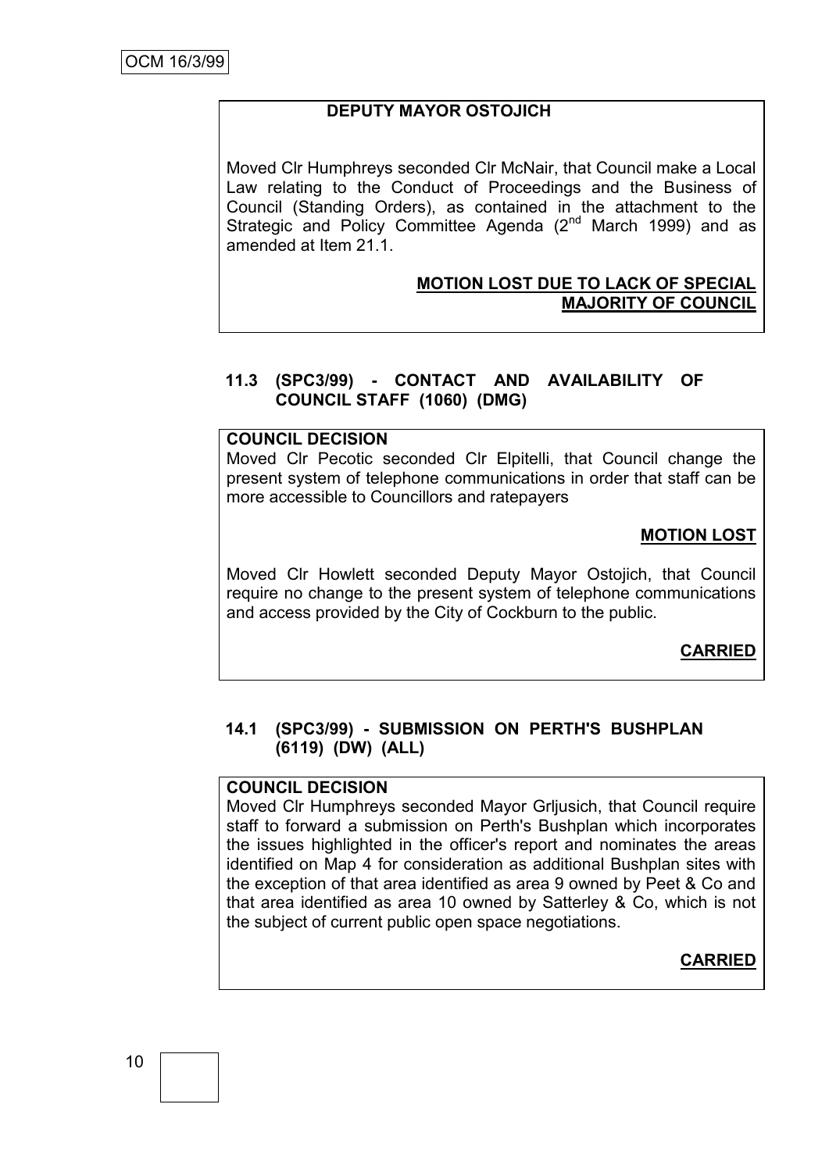# **DEPUTY MAYOR OSTOJICH**

Moved Clr Humphreys seconded Clr McNair, that Council make a Local Law relating to the Conduct of Proceedings and the Business of Council (Standing Orders), as contained in the attachment to the Strategic and Policy Committee Agenda  $(2^{nd}$  March 1999) and as amended at Item 21.1.

#### **MOTION LOST DUE TO LACK OF SPECIAL MAJORITY OF COUNCIL**

# **11.3 (SPC3/99) - CONTACT AND AVAILABILITY OF COUNCIL STAFF (1060) (DMG)**

#### **COUNCIL DECISION**

Moved Clr Pecotic seconded Clr Elpitelli, that Council change the present system of telephone communications in order that staff can be more accessible to Councillors and ratepayers

## **MOTION LOST**

Moved Clr Howlett seconded Deputy Mayor Ostojich, that Council require no change to the present system of telephone communications and access provided by the City of Cockburn to the public.

# **CARRIED**

# **14.1 (SPC3/99) - SUBMISSION ON PERTH'S BUSHPLAN (6119) (DW) (ALL)**

#### **COUNCIL DECISION**

Moved Clr Humphreys seconded Mayor Grljusich, that Council require staff to forward a submission on Perth's Bushplan which incorporates the issues highlighted in the officer's report and nominates the areas identified on Map 4 for consideration as additional Bushplan sites with the exception of that area identified as area 9 owned by Peet & Co and that area identified as area 10 owned by Satterley & Co, which is not the subject of current public open space negotiations.

#### **CARRIED**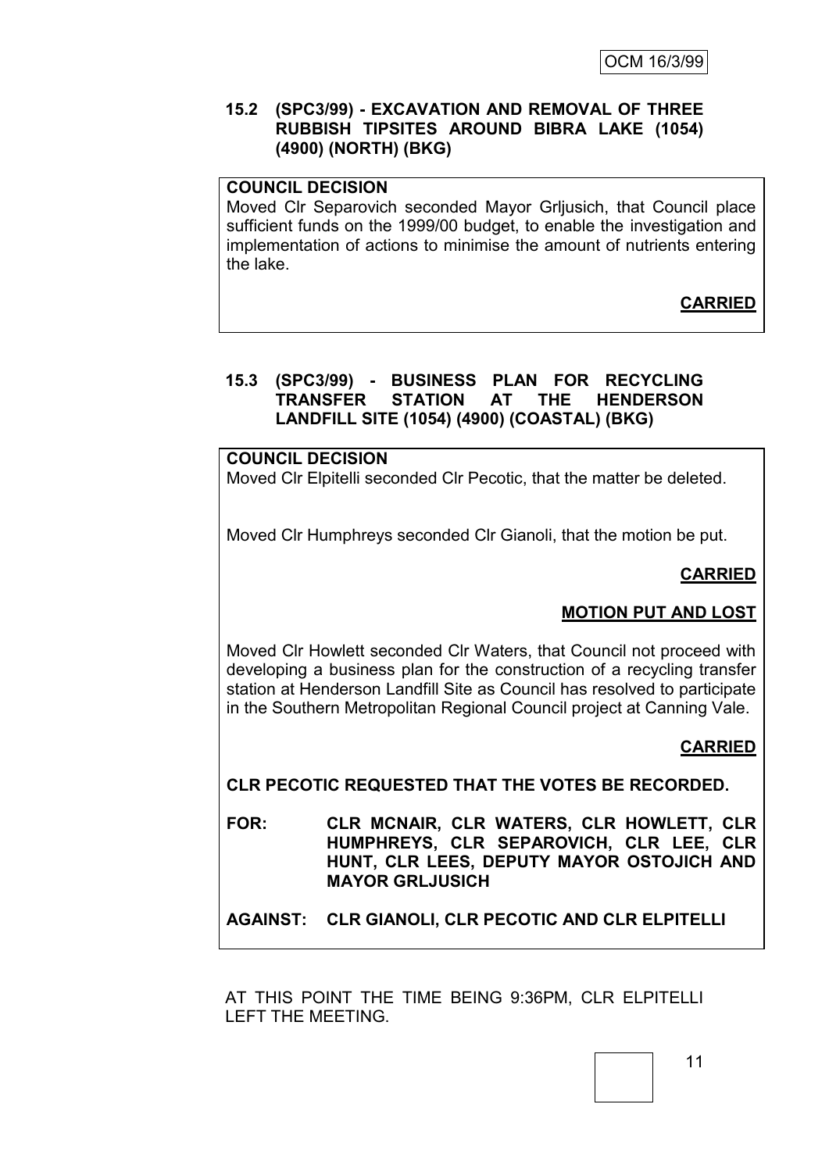#### **15.2 (SPC3/99) - EXCAVATION AND REMOVAL OF THREE RUBBISH TIPSITES AROUND BIBRA LAKE (1054) (4900) (NORTH) (BKG)**

## **COUNCIL DECISION**

Moved Clr Separovich seconded Mayor Grljusich, that Council place sufficient funds on the 1999/00 budget, to enable the investigation and implementation of actions to minimise the amount of nutrients entering the lake.

**CARRIED**

#### **15.3 (SPC3/99) - BUSINESS PLAN FOR RECYCLING TRANSFER STATION AT THE HENDERSON LANDFILL SITE (1054) (4900) (COASTAL) (BKG)**

## **COUNCIL DECISION**

Moved Clr Elpitelli seconded Clr Pecotic, that the matter be deleted.

Moved Clr Humphreys seconded Clr Gianoli, that the motion be put.

#### **CARRIED**

#### **MOTION PUT AND LOST**

Moved Clr Howlett seconded Clr Waters, that Council not proceed with developing a business plan for the construction of a recycling transfer station at Henderson Landfill Site as Council has resolved to participate in the Southern Metropolitan Regional Council project at Canning Vale.

#### **CARRIED**

**CLR PECOTIC REQUESTED THAT THE VOTES BE RECORDED.**

**FOR: CLR MCNAIR, CLR WATERS, CLR HOWLETT, CLR HUMPHREYS, CLR SEPAROVICH, CLR LEE, CLR HUNT, CLR LEES, DEPUTY MAYOR OSTOJICH AND MAYOR GRLJUSICH**

**AGAINST: CLR GIANOLI, CLR PECOTIC AND CLR ELPITELLI**

AT THIS POINT THE TIME BEING 9:36PM, CLR ELPITELLI LEFT THE MEETING.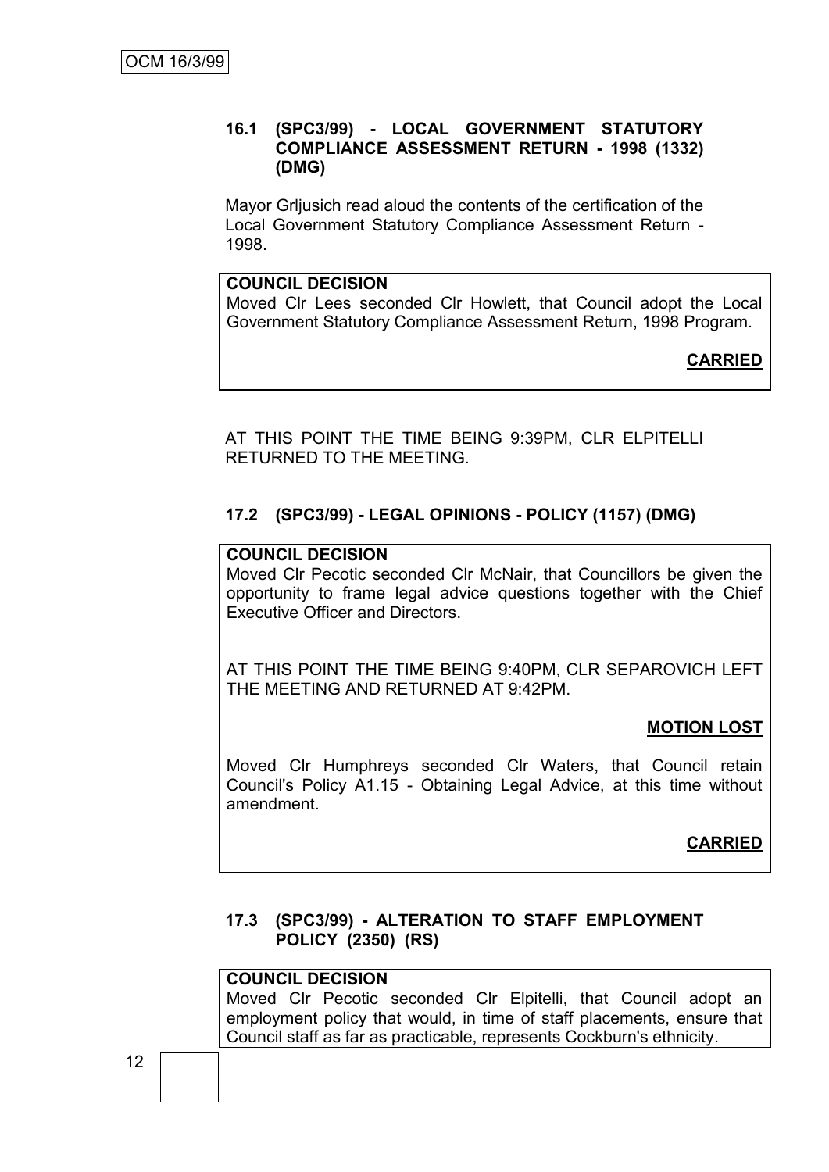#### **16.1 (SPC3/99) - LOCAL GOVERNMENT STATUTORY COMPLIANCE ASSESSMENT RETURN - 1998 (1332) (DMG)**

Mayor Grljusich read aloud the contents of the certification of the Local Government Statutory Compliance Assessment Return - 1998.

#### **COUNCIL DECISION**

Moved Clr Lees seconded Clr Howlett, that Council adopt the Local Government Statutory Compliance Assessment Return, 1998 Program.

**CARRIED**

AT THIS POINT THE TIME BEING 9:39PM, CLR ELPITELLI RETURNED TO THE MEETING.

# **17.2 (SPC3/99) - LEGAL OPINIONS - POLICY (1157) (DMG)**

#### **COUNCIL DECISION**

Moved Clr Pecotic seconded Clr McNair, that Councillors be given the opportunity to frame legal advice questions together with the Chief Executive Officer and Directors.

AT THIS POINT THE TIME BEING 9:40PM, CLR SEPAROVICH LEFT THE MEETING AND RETURNED AT 9:42PM.

# **MOTION LOST**

Moved Clr Humphreys seconded Clr Waters, that Council retain Council's Policy A1.15 - Obtaining Legal Advice, at this time without amendment.

#### **CARRIED**

## **17.3 (SPC3/99) - ALTERATION TO STAFF EMPLOYMENT POLICY (2350) (RS)**

#### **COUNCIL DECISION**

Moved Clr Pecotic seconded Clr Elpitelli, that Council adopt an employment policy that would, in time of staff placements, ensure that Council staff as far as practicable, represents Cockburn's ethnicity.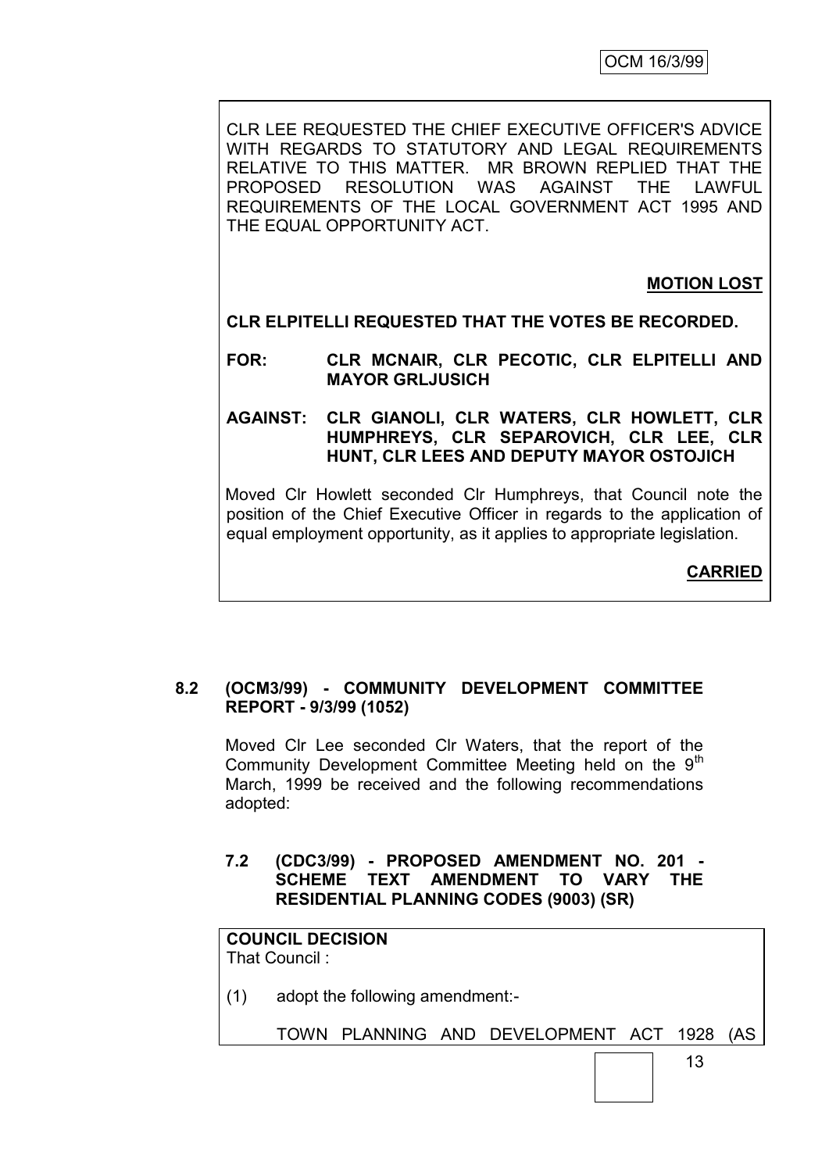CLR LEE REQUESTED THE CHIEF EXECUTIVE OFFICER'S ADVICE WITH REGARDS TO STATUTORY AND LEGAL REQUIREMENTS RELATIVE TO THIS MATTER. MR BROWN REPLIED THAT THE PROPOSED RESOLUTION WAS AGAINST THE LAWFUL REQUIREMENTS OF THE LOCAL GOVERNMENT ACT 1995 AND THE EQUAL OPPORTUNITY ACT.

**MOTION LOST**

**CLR ELPITELLI REQUESTED THAT THE VOTES BE RECORDED.**

**FOR: CLR MCNAIR, CLR PECOTIC, CLR ELPITELLI AND MAYOR GRLJUSICH**

#### **AGAINST: CLR GIANOLI, CLR WATERS, CLR HOWLETT, CLR HUMPHREYS, CLR SEPAROVICH, CLR LEE, CLR HUNT, CLR LEES AND DEPUTY MAYOR OSTOJICH**

Moved Clr Howlett seconded Clr Humphreys, that Council note the position of the Chief Executive Officer in regards to the application of equal employment opportunity, as it applies to appropriate legislation.

**CARRIED**

#### **8.2 (OCM3/99) - COMMUNITY DEVELOPMENT COMMITTEE REPORT - 9/3/99 (1052)**

Moved Clr Lee seconded Clr Waters, that the report of the Community Development Committee Meeting held on the 9<sup>th</sup> March, 1999 be received and the following recommendations adopted:

#### **7.2 (CDC3/99) - PROPOSED AMENDMENT NO. 201 - SCHEME TEXT AMENDMENT TO VARY THE RESIDENTIAL PLANNING CODES (9003) (SR)**

# **COUNCIL DECISION**

That Council :

(1) adopt the following amendment:-

TOWN PLANNING AND DEVELOPMENT ACT 1928 (AS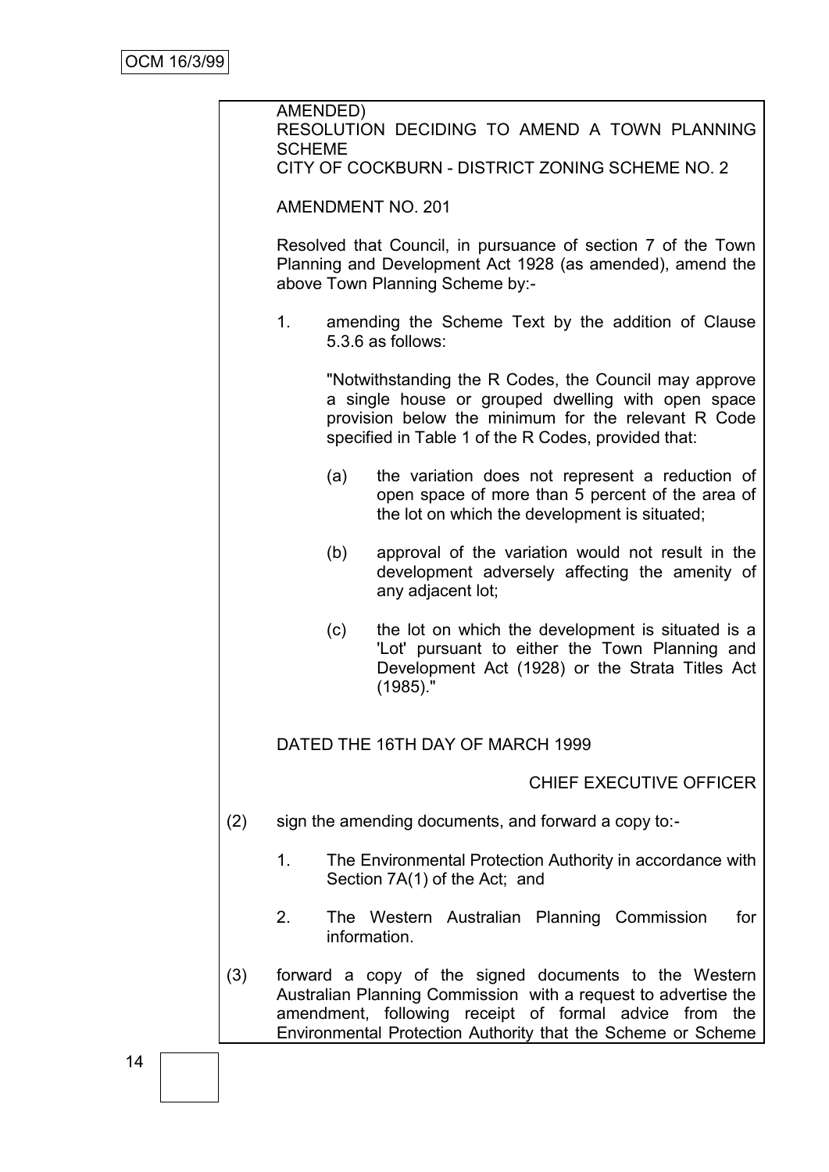|     | AMENDED)<br>RESOLUTION DECIDING TO AMEND A TOWN PLANNING<br><b>SCHEME</b>                                                                                    |     |                                                                                                                                                                                                                                                   |  |  |  |
|-----|--------------------------------------------------------------------------------------------------------------------------------------------------------------|-----|---------------------------------------------------------------------------------------------------------------------------------------------------------------------------------------------------------------------------------------------------|--|--|--|
|     | CITY OF COCKBURN - DISTRICT ZONING SCHEME NO. 2                                                                                                              |     |                                                                                                                                                                                                                                                   |  |  |  |
|     | <b>AMENDMENT NO. 201</b>                                                                                                                                     |     |                                                                                                                                                                                                                                                   |  |  |  |
|     | Resolved that Council, in pursuance of section 7 of the Town<br>Planning and Development Act 1928 (as amended), amend the<br>above Town Planning Scheme by:- |     |                                                                                                                                                                                                                                                   |  |  |  |
|     | $1_{\ldots}$                                                                                                                                                 |     | amending the Scheme Text by the addition of Clause<br>5.3.6 as follows:                                                                                                                                                                           |  |  |  |
|     |                                                                                                                                                              |     | "Notwithstanding the R Codes, the Council may approve<br>a single house or grouped dwelling with open space<br>provision below the minimum for the relevant R Code<br>specified in Table 1 of the R Codes, provided that:                         |  |  |  |
|     |                                                                                                                                                              | (a) | the variation does not represent a reduction of<br>open space of more than 5 percent of the area of<br>the lot on which the development is situated;                                                                                              |  |  |  |
|     |                                                                                                                                                              | (b) | approval of the variation would not result in the<br>development adversely affecting the amenity of<br>any adjacent lot;                                                                                                                          |  |  |  |
|     |                                                                                                                                                              | (c) | the lot on which the development is situated is a<br>'Lot' pursuant to either the Town Planning and<br>Development Act (1928) or the Strata Titles Act<br>$(1985).$ "                                                                             |  |  |  |
|     |                                                                                                                                                              |     | DATED THE 16TH DAY OF MARCH 1999                                                                                                                                                                                                                  |  |  |  |
|     |                                                                                                                                                              |     | <b>CHIEF EXECUTIVE OFFICER</b>                                                                                                                                                                                                                    |  |  |  |
| (2) |                                                                                                                                                              |     | sign the amending documents, and forward a copy to:-                                                                                                                                                                                              |  |  |  |
|     | 1.                                                                                                                                                           |     | The Environmental Protection Authority in accordance with<br>Section 7A(1) of the Act; and                                                                                                                                                        |  |  |  |
|     | 2.                                                                                                                                                           |     | The Western Australian Planning Commission<br>for<br>information.                                                                                                                                                                                 |  |  |  |
| (3) |                                                                                                                                                              |     | forward a copy of the signed documents to the Western<br>Australian Planning Commission with a request to advertise the<br>amendment, following receipt of formal advice from the<br>Environmental Protection Authority that the Scheme or Scheme |  |  |  |
|     |                                                                                                                                                              |     |                                                                                                                                                                                                                                                   |  |  |  |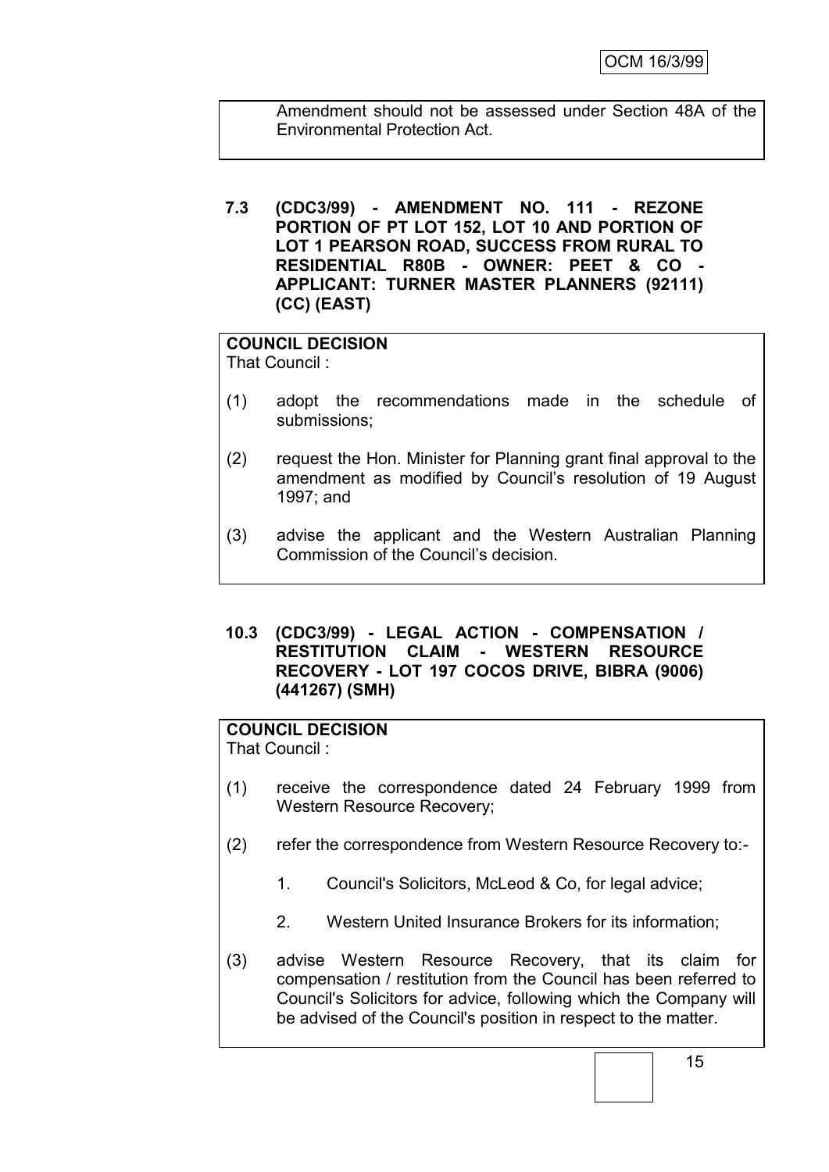Amendment should not be assessed under Section 48A of the Environmental Protection Act.

**7.3 (CDC3/99) - AMENDMENT NO. 111 - REZONE PORTION OF PT LOT 152, LOT 10 AND PORTION OF LOT 1 PEARSON ROAD, SUCCESS FROM RURAL TO RESIDENTIAL R80B - OWNER: PEET & CO - APPLICANT: TURNER MASTER PLANNERS (92111) (CC) (EAST)**

#### **COUNCIL DECISION** That Council :

- (1) adopt the recommendations made in the schedule of submissions;
- (2) request the Hon. Minister for Planning grant final approval to the amendment as modified by Council's resolution of 19 August 1997; and
- (3) advise the applicant and the Western Australian Planning Commission of the Council's decision.

#### **10.3 (CDC3/99) - LEGAL ACTION - COMPENSATION / RESTITUTION CLAIM - WESTERN RESOURCE RECOVERY - LOT 197 COCOS DRIVE, BIBRA (9006) (441267) (SMH)**

# **COUNCIL DECISION**

That Council :

- (1) receive the correspondence dated 24 February 1999 from Western Resource Recovery;
- (2) refer the correspondence from Western Resource Recovery to:-
	- 1. Council's Solicitors, McLeod & Co, for legal advice;
	- 2. Western United Insurance Brokers for its information;
- (3) advise Western Resource Recovery, that its claim for compensation / restitution from the Council has been referred to Council's Solicitors for advice, following which the Company will be advised of the Council's position in respect to the matter.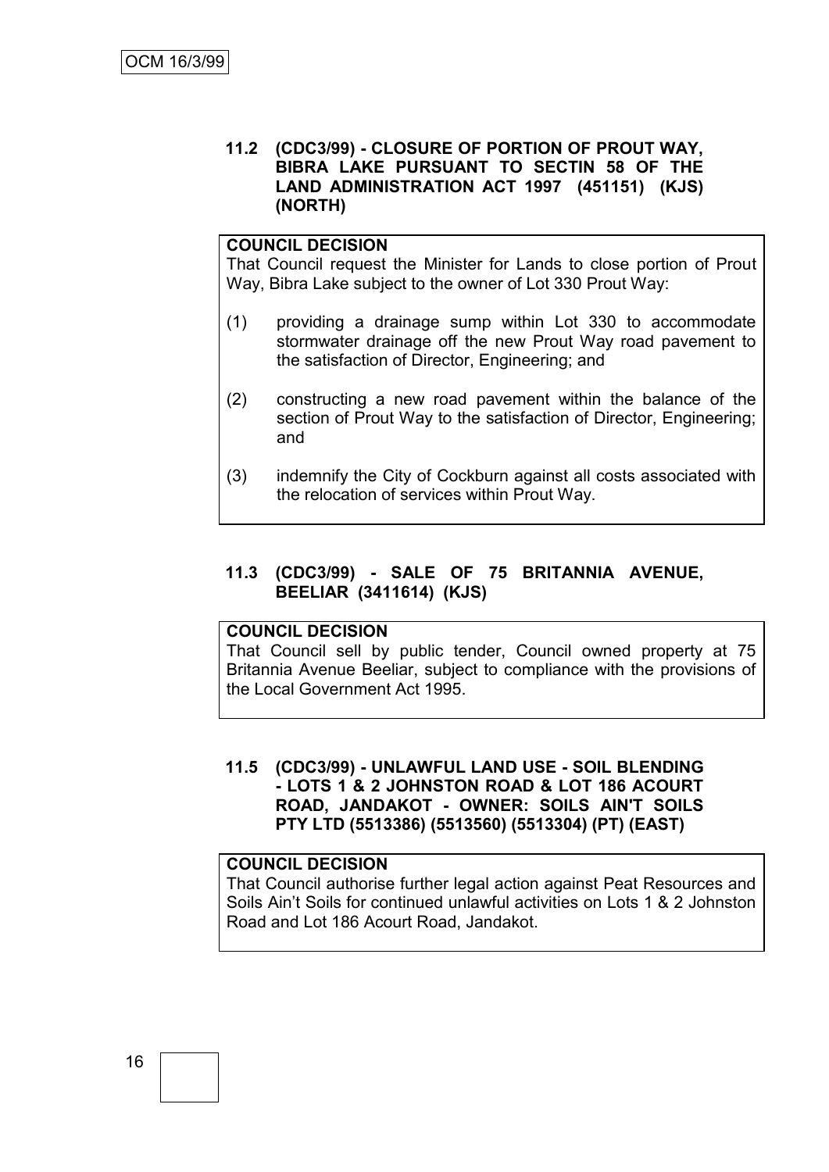#### **11.2 (CDC3/99) - CLOSURE OF PORTION OF PROUT WAY, BIBRA LAKE PURSUANT TO SECTIN 58 OF THE LAND ADMINISTRATION ACT 1997 (451151) (KJS) (NORTH)**

#### **COUNCIL DECISION**

That Council request the Minister for Lands to close portion of Prout Way, Bibra Lake subject to the owner of Lot 330 Prout Way:

- (1) providing a drainage sump within Lot 330 to accommodate stormwater drainage off the new Prout Way road pavement to the satisfaction of Director, Engineering; and
- (2) constructing a new road pavement within the balance of the section of Prout Way to the satisfaction of Director, Engineering; and
- (3) indemnify the City of Cockburn against all costs associated with the relocation of services within Prout Way.

# **11.3 (CDC3/99) - SALE OF 75 BRITANNIA AVENUE, BEELIAR (3411614) (KJS)**

#### **COUNCIL DECISION**

That Council sell by public tender, Council owned property at 75 Britannia Avenue Beeliar, subject to compliance with the provisions of the Local Government Act 1995.

#### **11.5 (CDC3/99) - UNLAWFUL LAND USE - SOIL BLENDING - LOTS 1 & 2 JOHNSTON ROAD & LOT 186 ACOURT ROAD, JANDAKOT - OWNER: SOILS AIN'T SOILS PTY LTD (5513386) (5513560) (5513304) (PT) (EAST)**

#### **COUNCIL DECISION**

That Council authorise further legal action against Peat Resources and Soils Ain't Soils for continued unlawful activities on Lots 1 & 2 Johnston Road and Lot 186 Acourt Road, Jandakot.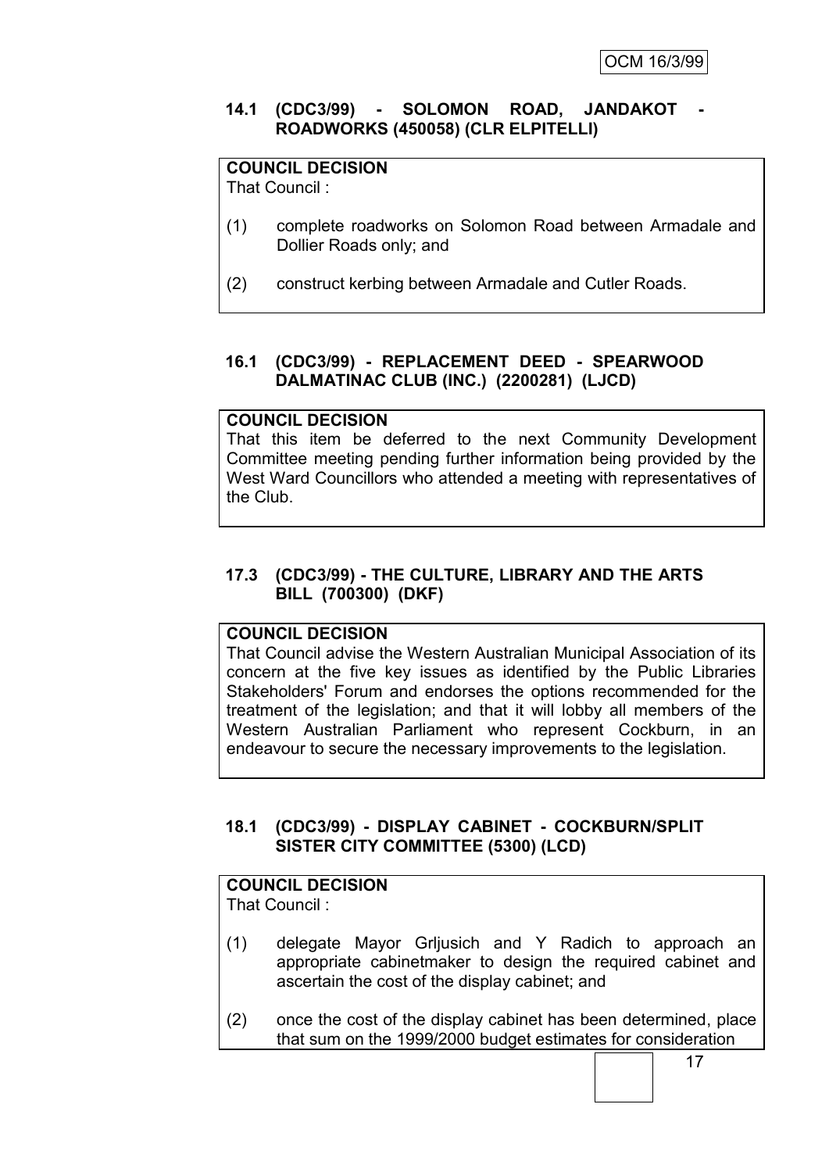#### **14.1 (CDC3/99) - SOLOMON ROAD, JANDAKOT - ROADWORKS (450058) (CLR ELPITELLI)**

# **COUNCIL DECISION**

That Council :

- (1) complete roadworks on Solomon Road between Armadale and Dollier Roads only; and
- (2) construct kerbing between Armadale and Cutler Roads.

# **16.1 (CDC3/99) - REPLACEMENT DEED - SPEARWOOD DALMATINAC CLUB (INC.) (2200281) (LJCD)**

## **COUNCIL DECISION**

That this item be deferred to the next Community Development Committee meeting pending further information being provided by the West Ward Councillors who attended a meeting with representatives of the Club.

## **17.3 (CDC3/99) - THE CULTURE, LIBRARY AND THE ARTS BILL (700300) (DKF)**

#### **COUNCIL DECISION**

That Council advise the Western Australian Municipal Association of its concern at the five key issues as identified by the Public Libraries Stakeholders' Forum and endorses the options recommended for the treatment of the legislation; and that it will lobby all members of the Western Australian Parliament who represent Cockburn, in an endeavour to secure the necessary improvements to the legislation.

## **18.1 (CDC3/99) - DISPLAY CABINET - COCKBURN/SPLIT SISTER CITY COMMITTEE (5300) (LCD)**

#### **COUNCIL DECISION**

That Council :

- (1) delegate Mayor Grljusich and Y Radich to approach an appropriate cabinetmaker to design the required cabinet and ascertain the cost of the display cabinet; and
- (2) once the cost of the display cabinet has been determined, place that sum on the 1999/2000 budget estimates for consideration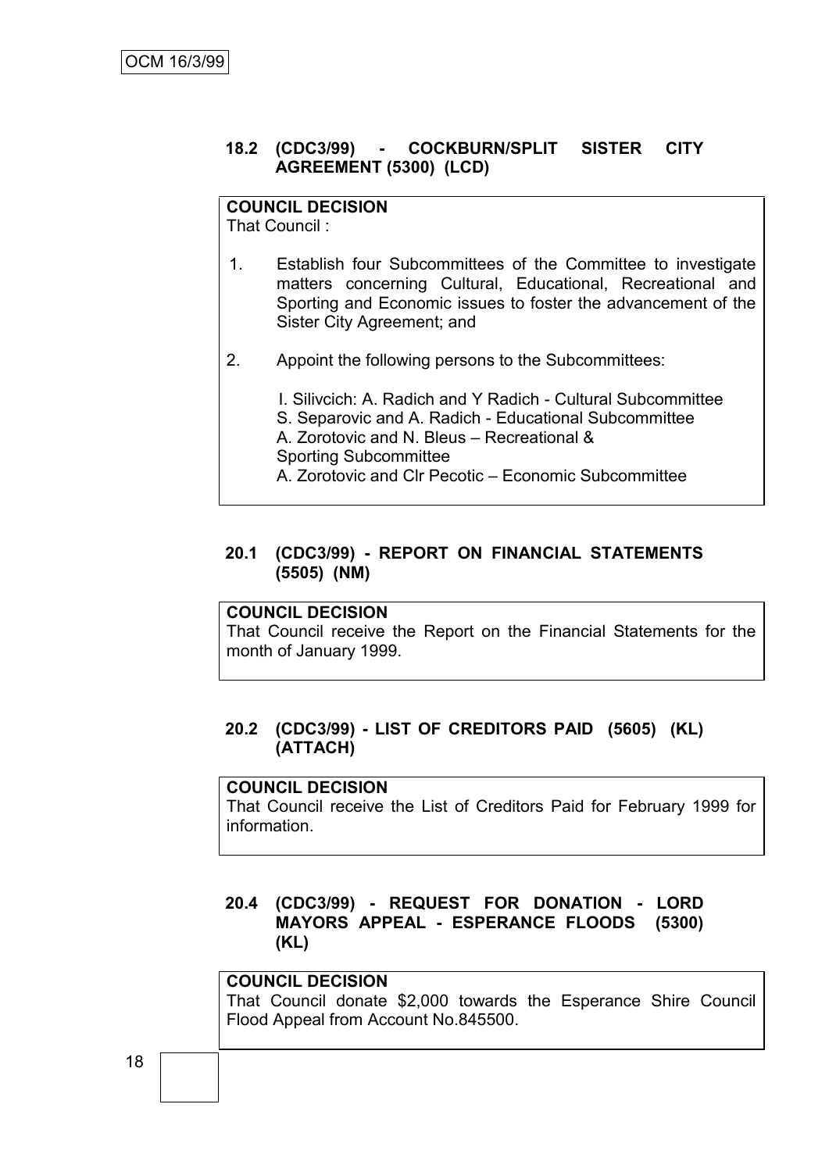#### **18.2 (CDC3/99) - COCKBURN/SPLIT SISTER CITY AGREEMENT (5300) (LCD)**

## **COUNCIL DECISION**

That Council :

- 1. Establish four Subcommittees of the Committee to investigate matters concerning Cultural, Educational, Recreational and Sporting and Economic issues to foster the advancement of the Sister City Agreement; and
- 2. Appoint the following persons to the Subcommittees:

I. Silivcich: A. Radich and Y Radich - Cultural Subcommittee S. Separovic and A. Radich - Educational Subcommittee A. Zorotovic and N. Bleus – Recreational & Sporting Subcommittee A. Zorotovic and Clr Pecotic – Economic Subcommittee

#### **20.1 (CDC3/99) - REPORT ON FINANCIAL STATEMENTS (5505) (NM)**

#### **COUNCIL DECISION**

That Council receive the Report on the Financial Statements for the month of January 1999.

#### **20.2 (CDC3/99) - LIST OF CREDITORS PAID (5605) (KL) (ATTACH)**

#### **COUNCIL DECISION**

That Council receive the List of Creditors Paid for February 1999 for information.

#### **20.4 (CDC3/99) - REQUEST FOR DONATION - LORD MAYORS APPEAL - ESPERANCE FLOODS (5300) (KL)**

#### **COUNCIL DECISION**

That Council donate \$2,000 towards the Esperance Shire Council Flood Appeal from Account No.845500.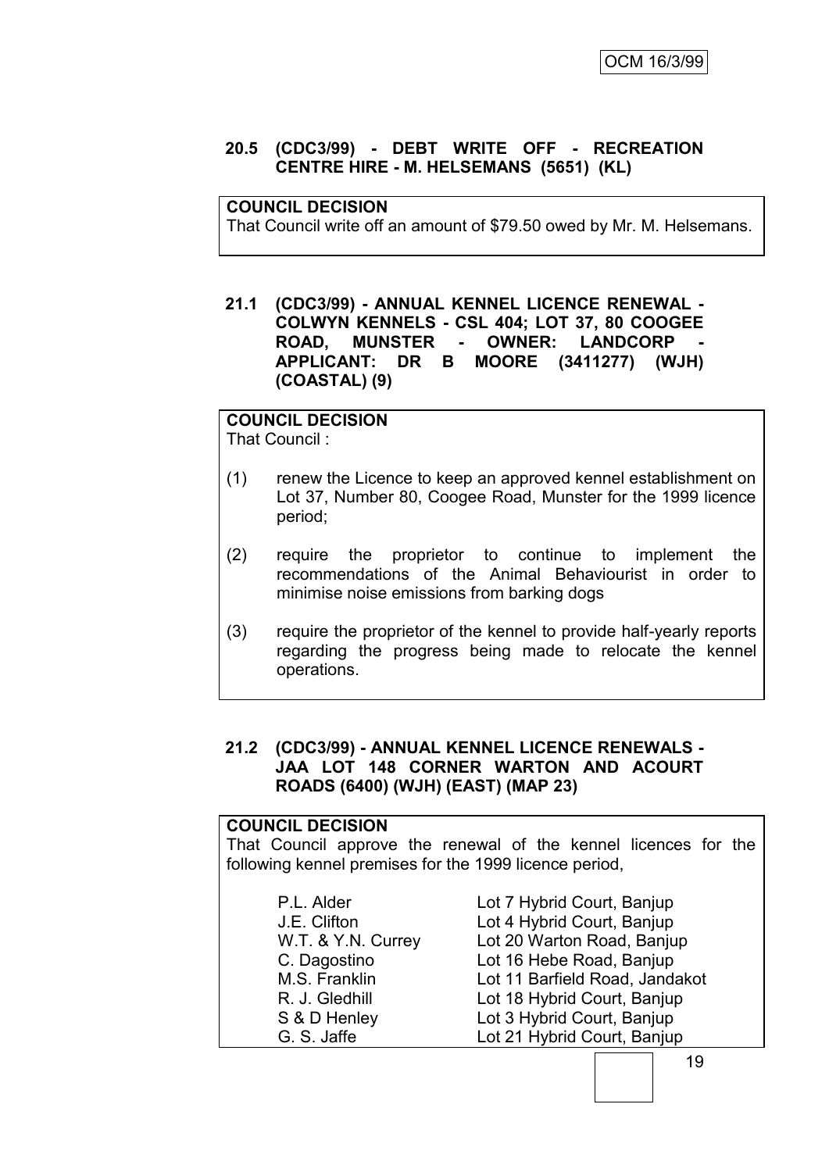## **20.5 (CDC3/99) - DEBT WRITE OFF - RECREATION CENTRE HIRE - M. HELSEMANS (5651) (KL)**

# **COUNCIL DECISION**

That Council write off an amount of \$79.50 owed by Mr. M. Helsemans.

**21.1 (CDC3/99) - ANNUAL KENNEL LICENCE RENEWAL - COLWYN KENNELS - CSL 404; LOT 37, 80 COOGEE ROAD, MUNSTER - OWNER: LANDCORP APPLICANT: DR B MOORE (3411277) (WJH) (COASTAL) (9)**

# **COUNCIL DECISION**

That Council :

- (1) renew the Licence to keep an approved kennel establishment on Lot 37, Number 80, Coogee Road, Munster for the 1999 licence period;
- (2) require the proprietor to continue to implement the recommendations of the Animal Behaviourist in order to minimise noise emissions from barking dogs
- (3) require the proprietor of the kennel to provide half-yearly reports regarding the progress being made to relocate the kennel operations.

#### **21.2 (CDC3/99) - ANNUAL KENNEL LICENCE RENEWALS - JAA LOT 148 CORNER WARTON AND ACOURT ROADS (6400) (WJH) (EAST) (MAP 23)**

## **COUNCIL DECISION**

That Council approve the renewal of the kennel licences for the following kennel premises for the 1999 licence period,

| P.L. Alder         | Lot 7 Hybrid Court, Banjup     |
|--------------------|--------------------------------|
| J.E. Clifton       | Lot 4 Hybrid Court, Banjup     |
| W.T. & Y.N. Currey | Lot 20 Warton Road, Banjup     |
| C. Dagostino       | Lot 16 Hebe Road, Banjup       |
| M.S. Franklin      | Lot 11 Barfield Road, Jandakot |
| R. J. Gledhill     | Lot 18 Hybrid Court, Banjup    |
| S & D Henley       | Lot 3 Hybrid Court, Banjup     |
| G. S. Jaffe        | Lot 21 Hybrid Court, Banjup    |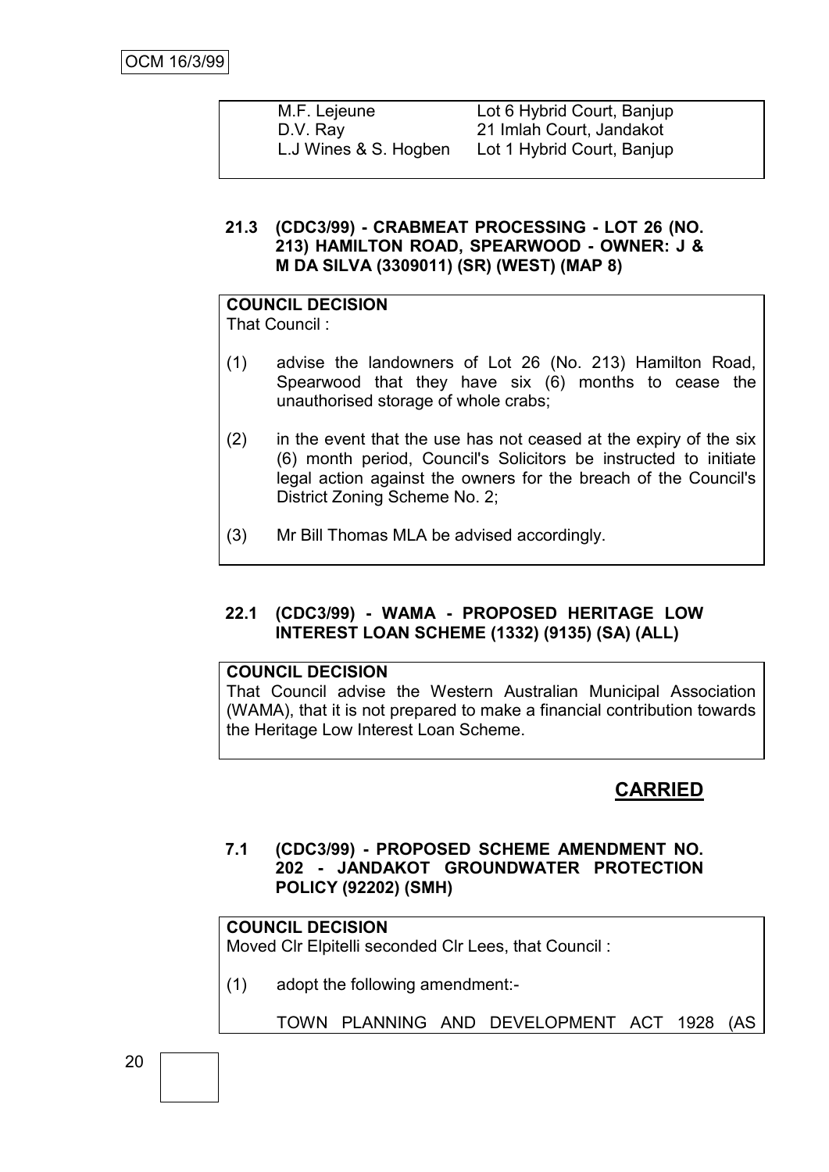| M.F. Lejeune          | Lot 6 Hybrid Court, Banjup |
|-----------------------|----------------------------|
| D.V. Ray              | 21 Imlah Court, Jandakot   |
| L.J Wines & S. Hogben | Lot 1 Hybrid Court, Banjup |
|                       |                            |

#### **21.3 (CDC3/99) - CRABMEAT PROCESSING - LOT 26 (NO. 213) HAMILTON ROAD, SPEARWOOD - OWNER: J & M DA SILVA (3309011) (SR) (WEST) (MAP 8)**

# **COUNCIL DECISION**

That Council :

- (1) advise the landowners of Lot 26 (No. 213) Hamilton Road, Spearwood that they have six (6) months to cease the unauthorised storage of whole crabs;
- (2) in the event that the use has not ceased at the expiry of the six (6) month period, Council's Solicitors be instructed to initiate legal action against the owners for the breach of the Council's District Zoning Scheme No. 2;
- (3) Mr Bill Thomas MLA be advised accordingly.

# **22.1 (CDC3/99) - WAMA - PROPOSED HERITAGE LOW INTEREST LOAN SCHEME (1332) (9135) (SA) (ALL)**

# **COUNCIL DECISION**

That Council advise the Western Australian Municipal Association (WAMA), that it is not prepared to make a financial contribution towards the Heritage Low Interest Loan Scheme.

# **CARRIED**

# **7.1 (CDC3/99) - PROPOSED SCHEME AMENDMENT NO. 202 - JANDAKOT GROUNDWATER PROTECTION POLICY (92202) (SMH)**

# **COUNCIL DECISION**

Moved Clr Elpitelli seconded Clr Lees, that Council :

(1) adopt the following amendment:-

TOWN PLANNING AND DEVELOPMENT ACT 1928 (AS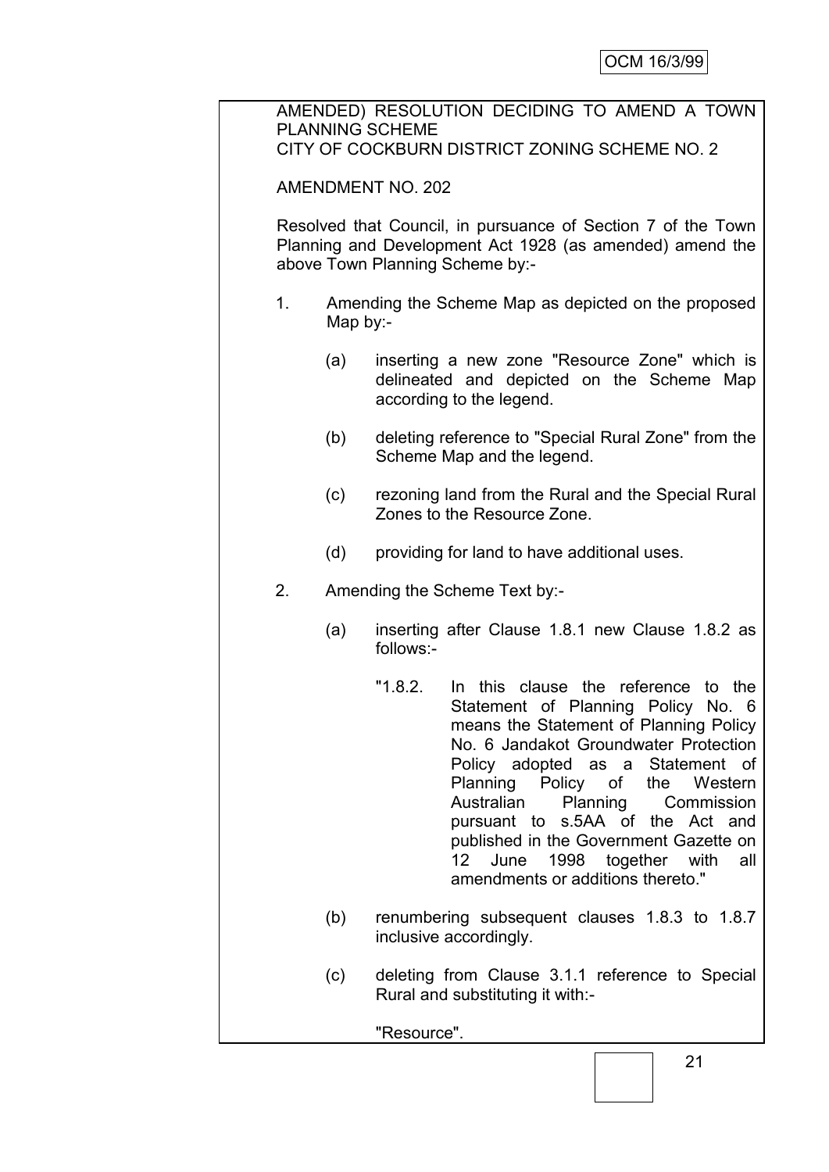| AMENDED) RESOLUTION DECIDING TO AMEND A TOWN<br><b>PLANNING SCHEME</b><br>CITY OF COCKBURN DISTRICT ZONING SCHEME NO. 2                                     |          |                                                                                                                                                                                                                                                                                                                                                                                                                                                           |  |  |
|-------------------------------------------------------------------------------------------------------------------------------------------------------------|----------|-----------------------------------------------------------------------------------------------------------------------------------------------------------------------------------------------------------------------------------------------------------------------------------------------------------------------------------------------------------------------------------------------------------------------------------------------------------|--|--|
|                                                                                                                                                             |          | <b>AMENDMENT NO. 202</b>                                                                                                                                                                                                                                                                                                                                                                                                                                  |  |  |
| Resolved that Council, in pursuance of Section 7 of the Town<br>Planning and Development Act 1928 (as amended) amend the<br>above Town Planning Scheme by:- |          |                                                                                                                                                                                                                                                                                                                                                                                                                                                           |  |  |
| 1.                                                                                                                                                          | Map by:- | Amending the Scheme Map as depicted on the proposed                                                                                                                                                                                                                                                                                                                                                                                                       |  |  |
|                                                                                                                                                             | (a)      | inserting a new zone "Resource Zone" which is<br>delineated and depicted on the Scheme<br>Map<br>according to the legend.                                                                                                                                                                                                                                                                                                                                 |  |  |
|                                                                                                                                                             | (b)      | deleting reference to "Special Rural Zone" from the<br>Scheme Map and the legend.                                                                                                                                                                                                                                                                                                                                                                         |  |  |
|                                                                                                                                                             | (c)      | rezoning land from the Rural and the Special Rural<br>Zones to the Resource Zone.                                                                                                                                                                                                                                                                                                                                                                         |  |  |
|                                                                                                                                                             | (d)      | providing for land to have additional uses.                                                                                                                                                                                                                                                                                                                                                                                                               |  |  |
| 2.                                                                                                                                                          |          | Amending the Scheme Text by:-                                                                                                                                                                                                                                                                                                                                                                                                                             |  |  |
|                                                                                                                                                             | (a)      | inserting after Clause 1.8.1 new Clause 1.8.2 as<br>follows:-                                                                                                                                                                                                                                                                                                                                                                                             |  |  |
|                                                                                                                                                             |          | "1.8.2.<br>this clause the reference<br>to the<br>In In<br>Statement of Planning Policy No.<br>6<br>means the Statement of Planning Policy<br>No. 6 Jandakot Groundwater Protection<br>Policy adopted as a Statement of<br>Planning Policy of the Western<br>Planning Commission<br>Australian<br>pursuant to s.5AA of the Act and<br>published in the Government Gazette on<br>June 1998 together with<br>12<br>all<br>amendments or additions thereto." |  |  |
|                                                                                                                                                             | (b)      | renumbering subsequent clauses 1.8.3 to 1.8.7<br>inclusive accordingly.                                                                                                                                                                                                                                                                                                                                                                                   |  |  |
|                                                                                                                                                             | (c)      | deleting from Clause 3.1.1 reference to Special<br>Rural and substituting it with:-                                                                                                                                                                                                                                                                                                                                                                       |  |  |
|                                                                                                                                                             |          | "Resource".                                                                                                                                                                                                                                                                                                                                                                                                                                               |  |  |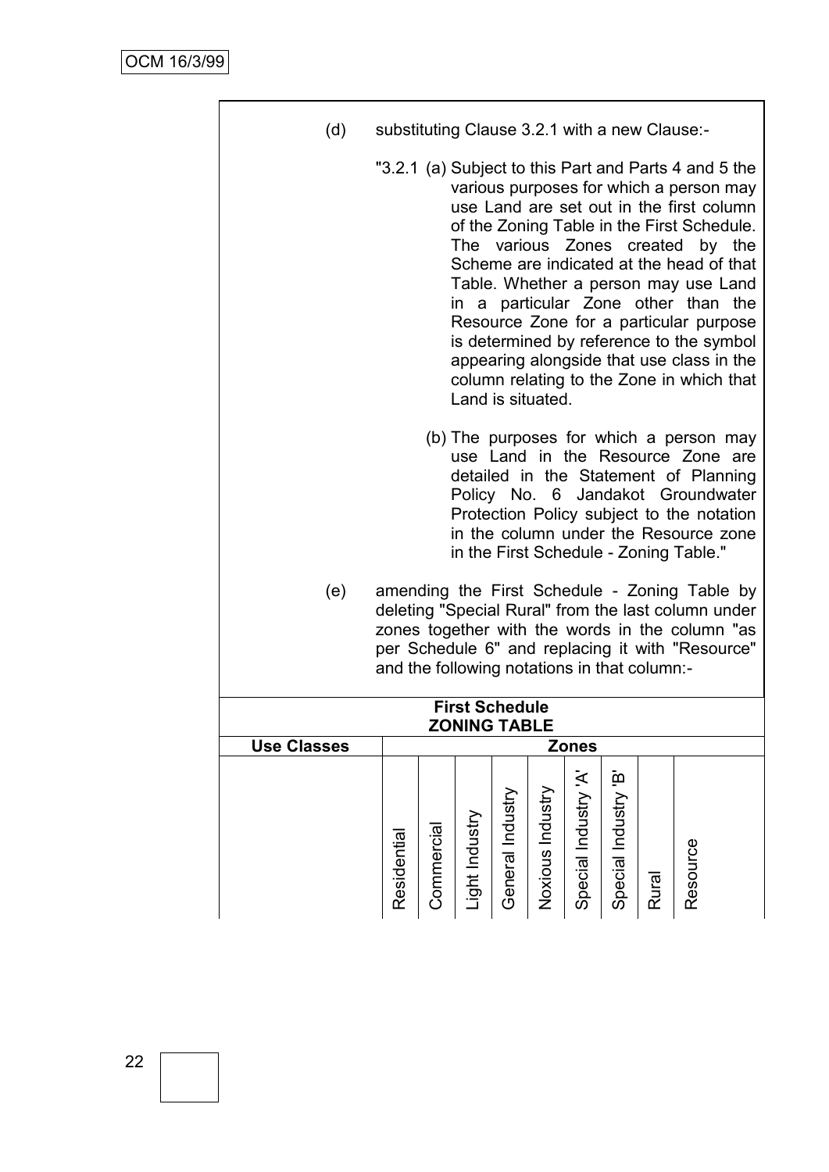- (d) substituting Clause 3.2.1 with a new Clause:-
	- "3.2.1 (a) Subject to this Part and Parts 4 and 5 the various purposes for which a person may use Land are set out in the first column of the Zoning Table in the First Schedule. The various Zones created by the Scheme are indicated at the head of that Table. Whether a person may use Land in a particular Zone other than the Resource Zone for a particular purpose is determined by reference to the symbol appearing alongside that use class in the column relating to the Zone in which that Land is situated.
		- (b) The purposes for which a person may use Land in the Resource Zone are detailed in the Statement of Planning Policy No. 6 Jandakot Groundwater Protection Policy subject to the notation in the column under the Resource zone in the First Schedule - Zoning Table."
- (e) amending the First Schedule Zoning Table by deleting "Special Rural" from the last column under zones together with the words in the column "as per Schedule 6" and replacing it with "Resource" and the following notations in that column:-

| <b>First Schedule</b><br><b>ZONING TABLE</b> |            |            |                   |                     |                     |                          |                           |       |          |  |
|----------------------------------------------|------------|------------|-------------------|---------------------|---------------------|--------------------------|---------------------------|-------|----------|--|
| <b>Use Classes</b>                           |            |            |                   |                     |                     | <b>Zones</b>             |                           |       |          |  |
|                                              | Residentia | Commercial | Industry<br>Light | Industry<br>General | Industry<br>Noxious | ₹<br>Industry<br>Special | ڣٙ<br>Industry<br>Special | Rural | Resource |  |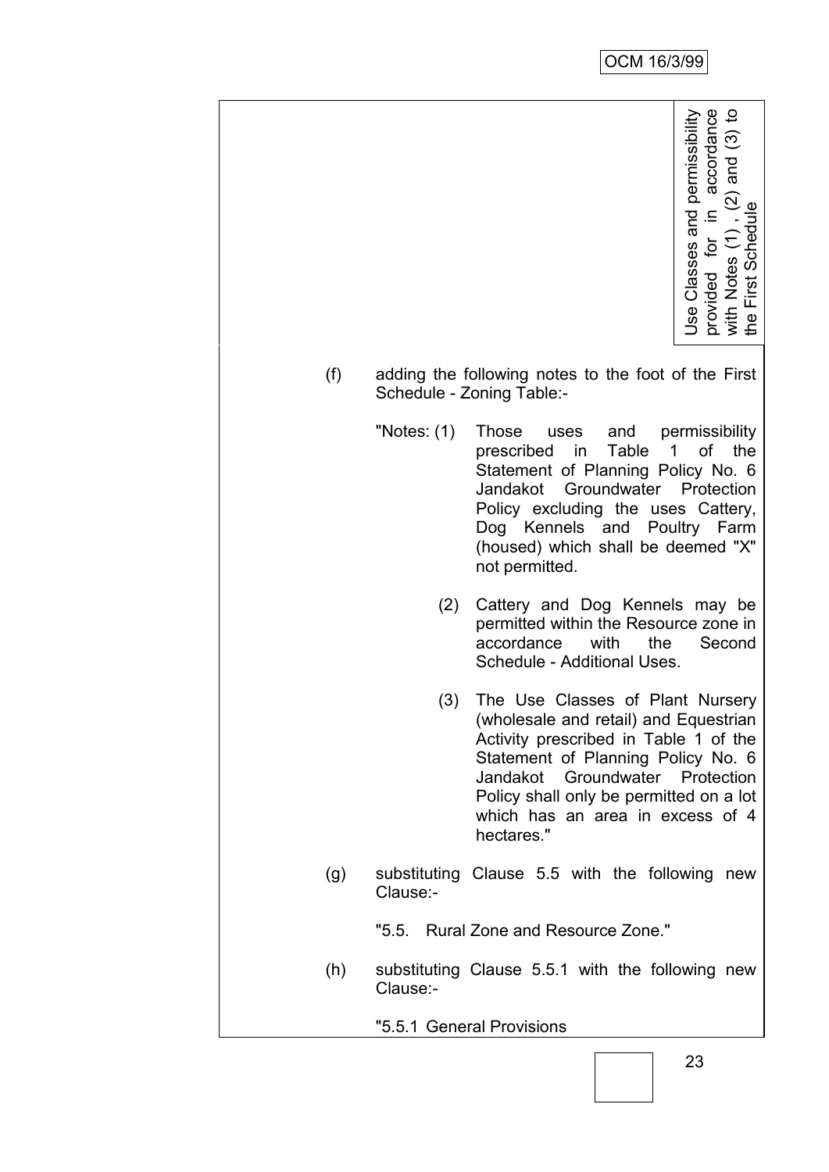- (f) adding the following notes to the foot of the First Schedule - Zoning Table:-
	- "Notes: (1) Those uses and permissibility prescribed in Table 1 of the Statement of Planning Policy No. 6 Jandakot Groundwater Protection Policy excluding the uses Cattery, Dog Kennels and Poultry Farm (housed) which shall be deemed "X" not permitted.
		- (2) Cattery and Dog Kennels may be permitted within the Resource zone in accordance with the Second Schedule - Additional Uses.
		- (3) The Use Classes of Plant Nursery (wholesale and retail) and Equestrian Activity prescribed in Table 1 of the Statement of Planning Policy No. 6 Jandakot Groundwater Protection Policy shall only be permitted on a lot which has an area in excess of 4 hectares."
- (g) substituting Clause 5.5 with the following new Clause:-
	- "5.5. Rural Zone and Resource Zone."
- (h) substituting Clause 5.5.1 with the following new Clause:-

#### "5.5.1 General Provisions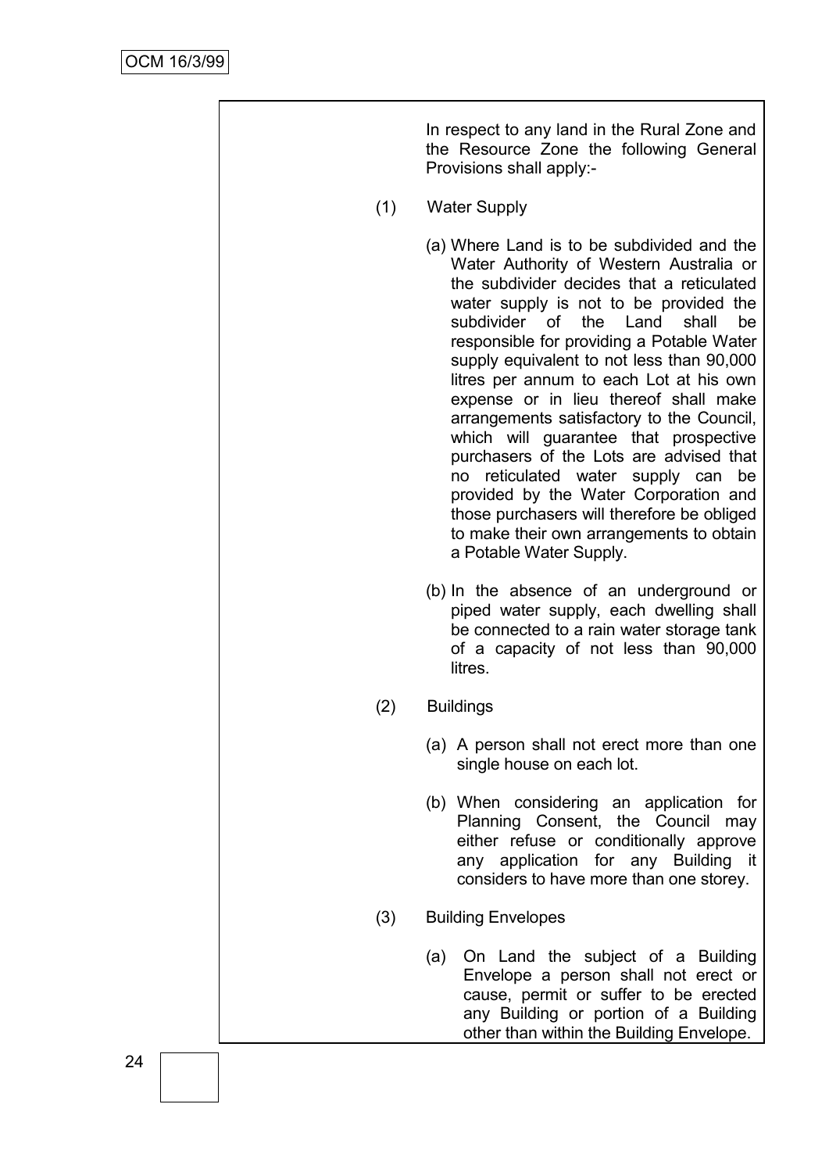In respect to any land in the Rural Zone and the Resource Zone the following General Provisions shall apply:- (1) Water Supply (a) Where Land is to be subdivided and the Water Authority of Western Australia or the subdivider decides that a reticulated water supply is not to be provided the subdivider of the Land shall be responsible for providing a Potable Water supply equivalent to not less than 90,000 litres per annum to each Lot at his own expense or in lieu thereof shall make arrangements satisfactory to the Council, which will guarantee that prospective purchasers of the Lots are advised that no reticulated water supply can be provided by the Water Corporation and those purchasers will therefore be obliged to make their own arrangements to obtain a Potable Water Supply. (b) In the absence of an underground or piped water supply, each dwelling shall be connected to a rain water storage tank of a capacity of not less than 90,000 litres. (2) Buildings (a) A person shall not erect more than one single house on each lot. (b) When considering an application for Planning Consent, the Council may either refuse or conditionally approve any application for any Building it considers to have more than one storey. (3) Building Envelopes (a) On Land the subject of a Building Envelope a person shall not erect or cause, permit or suffer to be erected any Building or portion of a Building other than within the Building Envelope.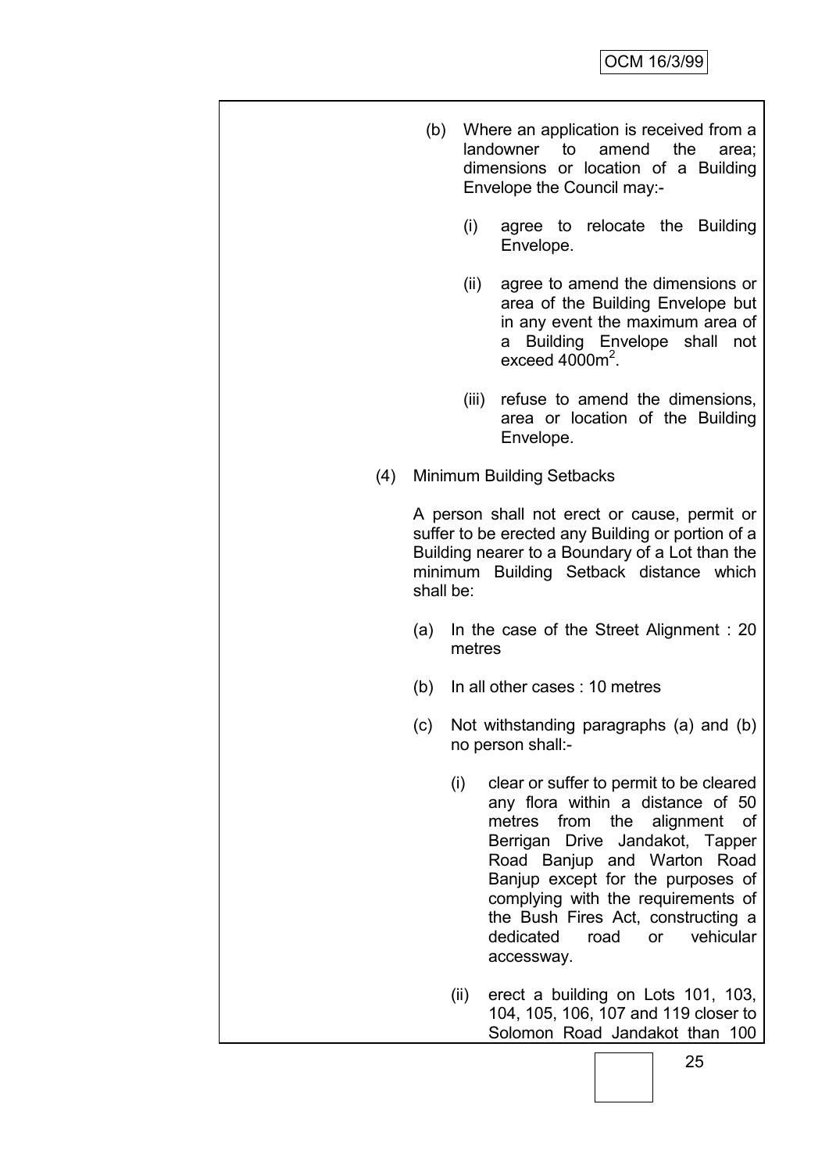- (b) Where an application is received from a landowner to amend the area; dimensions or location of a Building Envelope the Council may:-
	- (i) agree to relocate the Building Envelope.
	- (ii) agree to amend the dimensions or area of the Building Envelope but in any event the maximum area of a Building Envelope shall not exceed  $4000m^2$ .
	- (iii) refuse to amend the dimensions, area or location of the Building Envelope.
- (4) Minimum Building Setbacks

A person shall not erect or cause, permit or suffer to be erected any Building or portion of a Building nearer to a Boundary of a Lot than the minimum Building Setback distance which shall be:

- (a) In the case of the Street Alignment : 20 metres
- (b) In all other cases : 10 metres
- (c) Not withstanding paragraphs (a) and (b) no person shall:-
	- (i) clear or suffer to permit to be cleared any flora within a distance of 50 metres from the alignment of Berrigan Drive Jandakot, Tapper Road Banjup and Warton Road Banjup except for the purposes of complying with the requirements of the Bush Fires Act, constructing a dedicated road or vehicular accessway.
	- (ii) erect a building on Lots 101, 103, 104, 105, 106, 107 and 119 closer to Solomon Road Jandakot than 100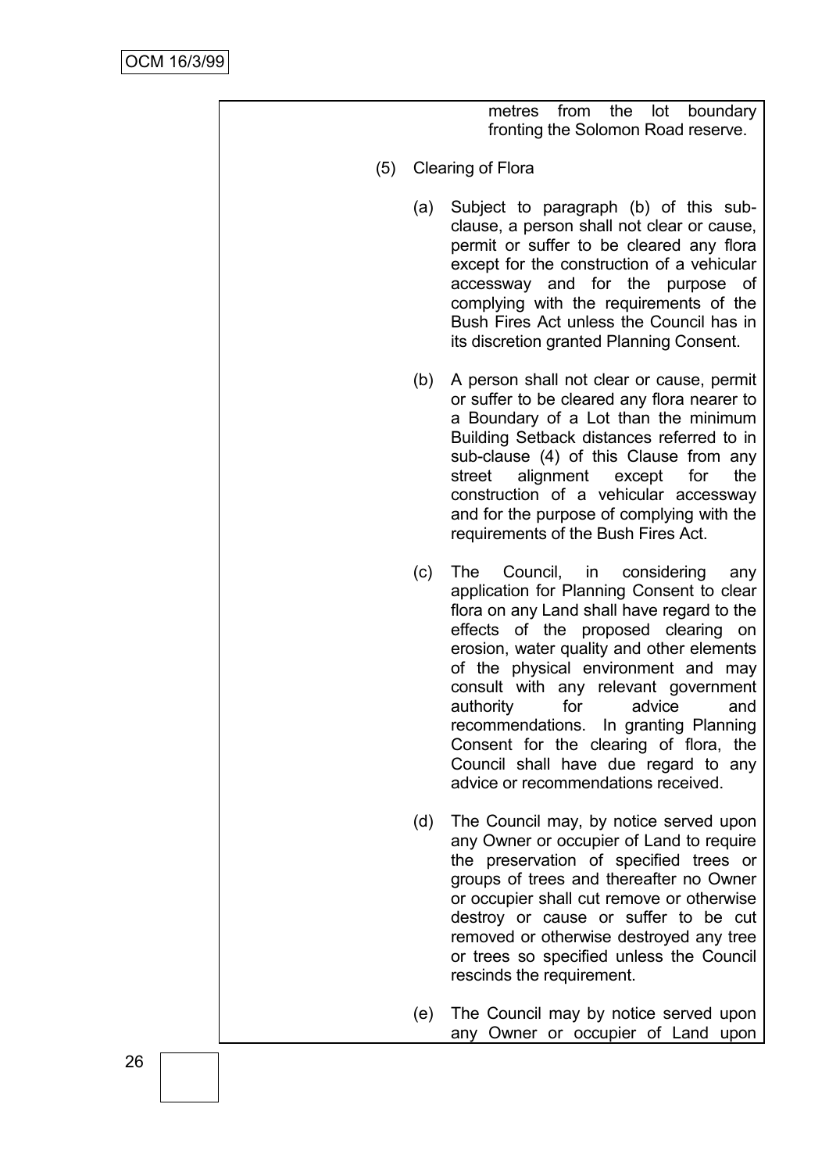metres from the lot boundary fronting the Solomon Road reserve.

- (5) Clearing of Flora
	- (a) Subject to paragraph (b) of this subclause, a person shall not clear or cause, permit or suffer to be cleared any flora except for the construction of a vehicular accessway and for the purpose of complying with the requirements of the Bush Fires Act unless the Council has in its discretion granted Planning Consent.
	- (b) A person shall not clear or cause, permit or suffer to be cleared any flora nearer to a Boundary of a Lot than the minimum Building Setback distances referred to in sub-clause (4) of this Clause from any street alignment except for the construction of a vehicular accessway and for the purpose of complying with the requirements of the Bush Fires Act.
	- (c) The Council, in considering any application for Planning Consent to clear flora on any Land shall have regard to the effects of the proposed clearing on erosion, water quality and other elements of the physical environment and may consult with any relevant government authority for advice and recommendations. In granting Planning Consent for the clearing of flora, the Council shall have due regard to any advice or recommendations received.
	- (d) The Council may, by notice served upon any Owner or occupier of Land to require the preservation of specified trees or groups of trees and thereafter no Owner or occupier shall cut remove or otherwise destroy or cause or suffer to be cut removed or otherwise destroyed any tree or trees so specified unless the Council rescinds the requirement.
	- (e) The Council may by notice served upon any Owner or occupier of Land upon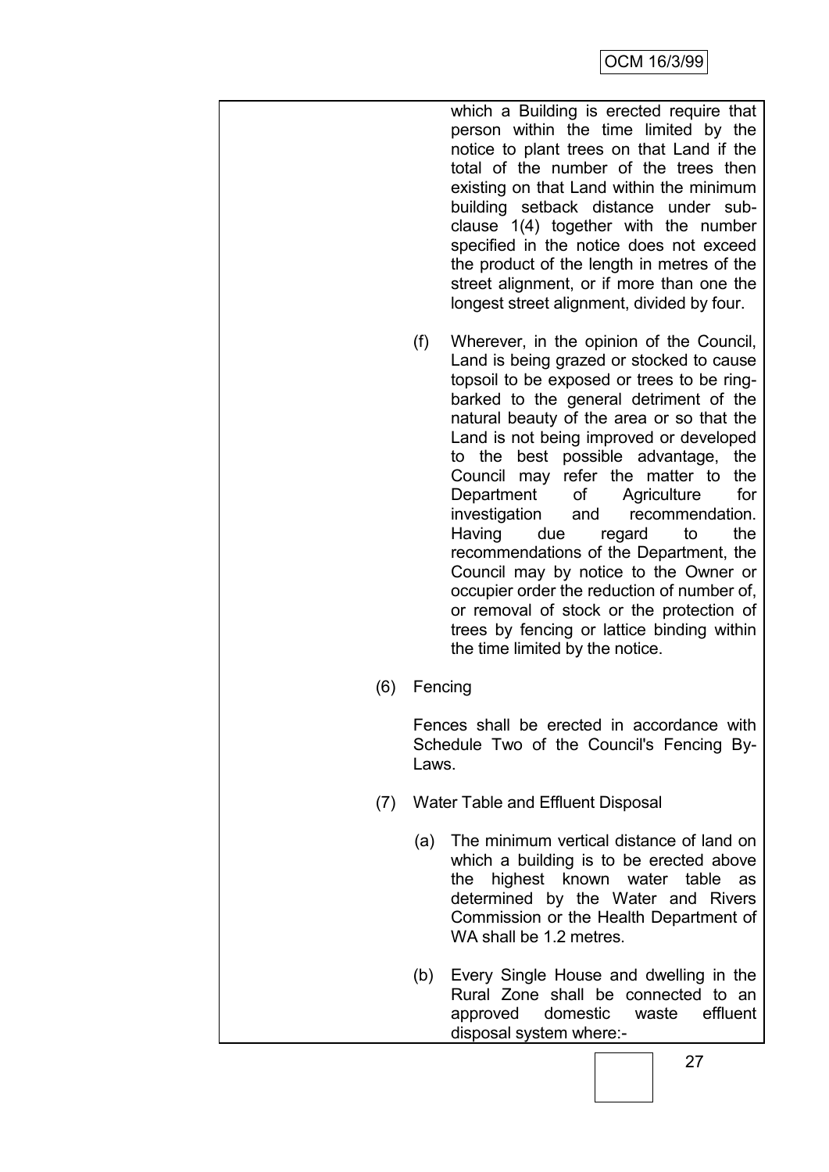which a Building is erected require that person within the time limited by the notice to plant trees on that Land if the total of the number of the trees then existing on that Land within the minimum building setback distance under subclause 1(4) together with the number specified in the notice does not exceed the product of the length in metres of the street alignment, or if more than one the longest street alignment, divided by four.

- (f) Wherever, in the opinion of the Council, Land is being grazed or stocked to cause topsoil to be exposed or trees to be ringbarked to the general detriment of the natural beauty of the area or so that the Land is not being improved or developed to the best possible advantage, the Council may refer the matter to the Department of Agriculture for investigation and recommendation. Having due regard to the recommendations of the Department, the Council may by notice to the Owner or occupier order the reduction of number of, or removal of stock or the protection of trees by fencing or lattice binding within the time limited by the notice.
- (6) Fencing

Fences shall be erected in accordance with Schedule Two of the Council's Fencing By-Laws.

- (7) Water Table and Effluent Disposal
	- (a) The minimum vertical distance of land on which a building is to be erected above the highest known water table as determined by the Water and Rivers Commission or the Health Department of WA shall be 1.2 metres.
	- (b) Every Single House and dwelling in the Rural Zone shall be connected to an approved domestic waste effluent disposal system where:-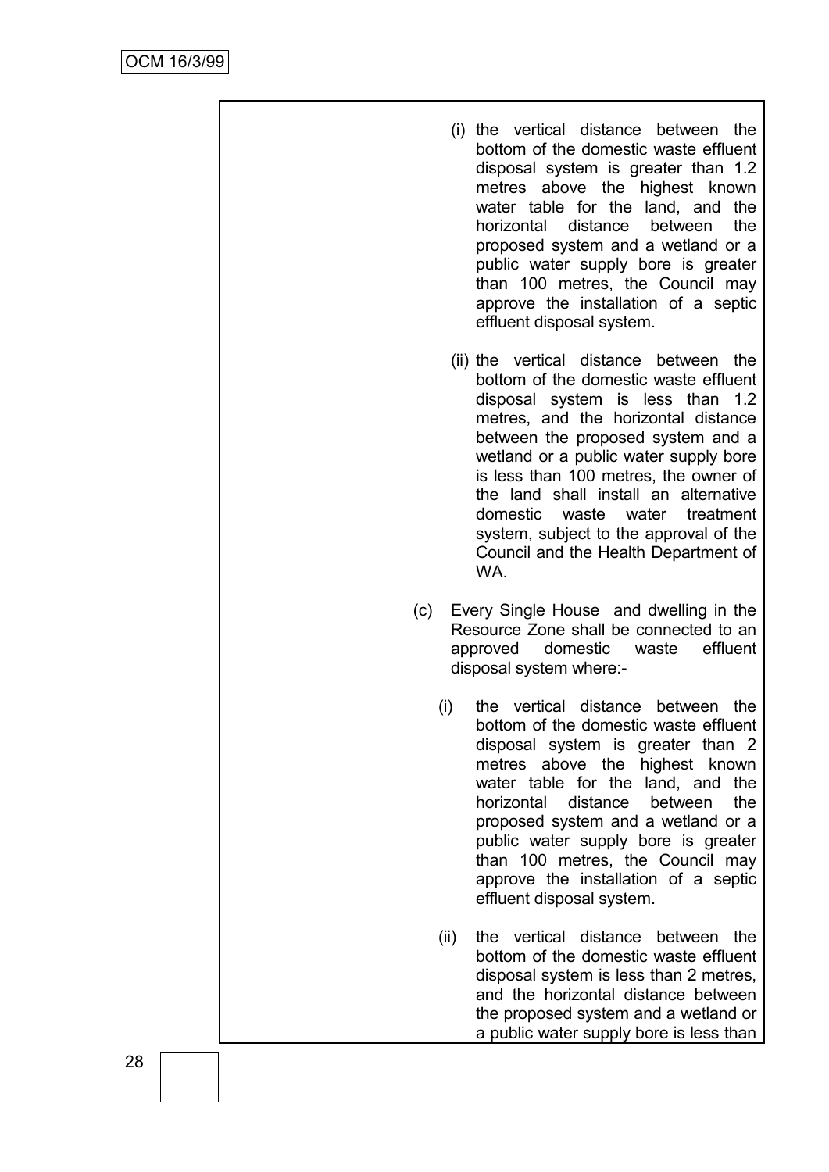- (i) the vertical distance between the bottom of the domestic waste effluent disposal system is greater than 1.2 metres above the highest known water table for the land, and the horizontal distance between the proposed system and a wetland or a public water supply bore is greater than 100 metres, the Council may approve the installation of a septic effluent disposal system.
- (ii) the vertical distance between the bottom of the domestic waste effluent disposal system is less than 1.2 metres, and the horizontal distance between the proposed system and a wetland or a public water supply bore is less than 100 metres, the owner of the land shall install an alternative domestic waste water treatment system, subject to the approval of the Council and the Health Department of WA.
- (c) Every Single House and dwelling in the Resource Zone shall be connected to an approved domestic waste effluent disposal system where:-
	- (i) the vertical distance between the bottom of the domestic waste effluent disposal system is greater than 2 metres above the highest known water table for the land, and the horizontal distance between the proposed system and a wetland or a public water supply bore is greater than 100 metres, the Council may approve the installation of a septic effluent disposal system.
	- (ii) the vertical distance between the bottom of the domestic waste effluent disposal system is less than 2 metres, and the horizontal distance between the proposed system and a wetland or a public water supply bore is less than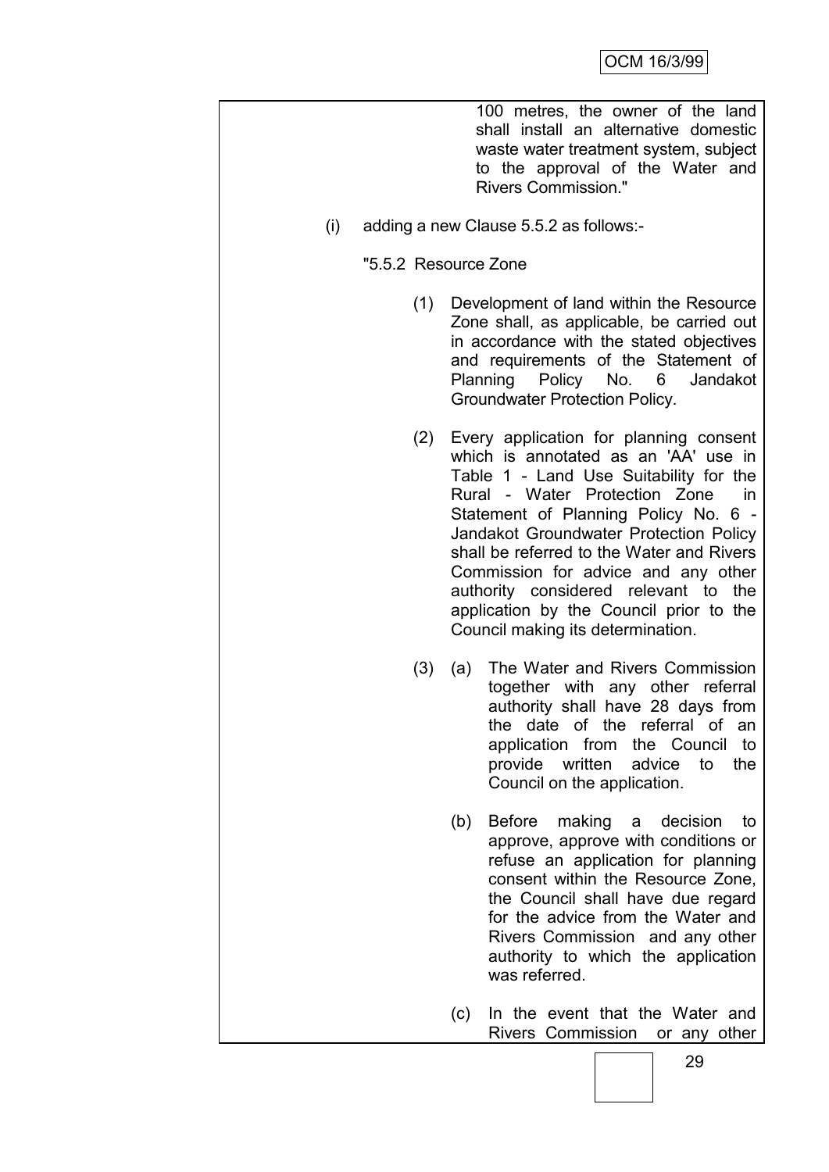|     |                                        | 100 metres, the owner of the land<br>shall install an alternative domestic<br>waste water treatment system, subject<br>to the approval of the Water and<br><b>Rivers Commission."</b>                                                                                                                                                                                                                                                                                  |  |  |
|-----|----------------------------------------|------------------------------------------------------------------------------------------------------------------------------------------------------------------------------------------------------------------------------------------------------------------------------------------------------------------------------------------------------------------------------------------------------------------------------------------------------------------------|--|--|
| (i) | adding a new Clause 5.5.2 as follows:- |                                                                                                                                                                                                                                                                                                                                                                                                                                                                        |  |  |
|     |                                        | "5.5.2 Resource Zone                                                                                                                                                                                                                                                                                                                                                                                                                                                   |  |  |
|     | (1)                                    | Development of land within the Resource<br>Zone shall, as applicable, be carried out<br>in accordance with the stated objectives<br>and requirements of the Statement of<br>Planning Policy No.<br>Jandakot<br>6<br><b>Groundwater Protection Policy.</b>                                                                                                                                                                                                              |  |  |
|     | (2)                                    | Every application for planning consent<br>which is annotated as an 'AA' use in<br>Table 1 - Land Use Suitability for the<br>Rural - Water Protection Zone<br>in i<br>Statement of Planning Policy No. 6 -<br><b>Jandakot Groundwater Protection Policy</b><br>shall be referred to the Water and Rivers<br>Commission for advice and any other<br>authority considered relevant to the<br>application by the Council prior to the<br>Council making its determination. |  |  |
|     | (3)                                    | The Water and Rivers Commission<br>(a)<br>together with any other referral<br>authority shall have 28 days from<br>the date<br>of the referral of<br>an<br>application from the Council to<br>provide written<br>advice<br>to<br>the<br>Council on the application.                                                                                                                                                                                                    |  |  |
|     |                                        | <b>Before</b><br>making<br>(b)<br>decision<br>a -<br>to<br>approve, approve with conditions or<br>refuse an application for planning<br>consent within the Resource Zone,<br>the Council shall have due regard<br>for the advice from the Water and<br>Rivers Commission and any other<br>authority to which the application<br>was referred.                                                                                                                          |  |  |
|     |                                        | In the event that the Water and<br>(c)<br>Rivers Commission or any other                                                                                                                                                                                                                                                                                                                                                                                               |  |  |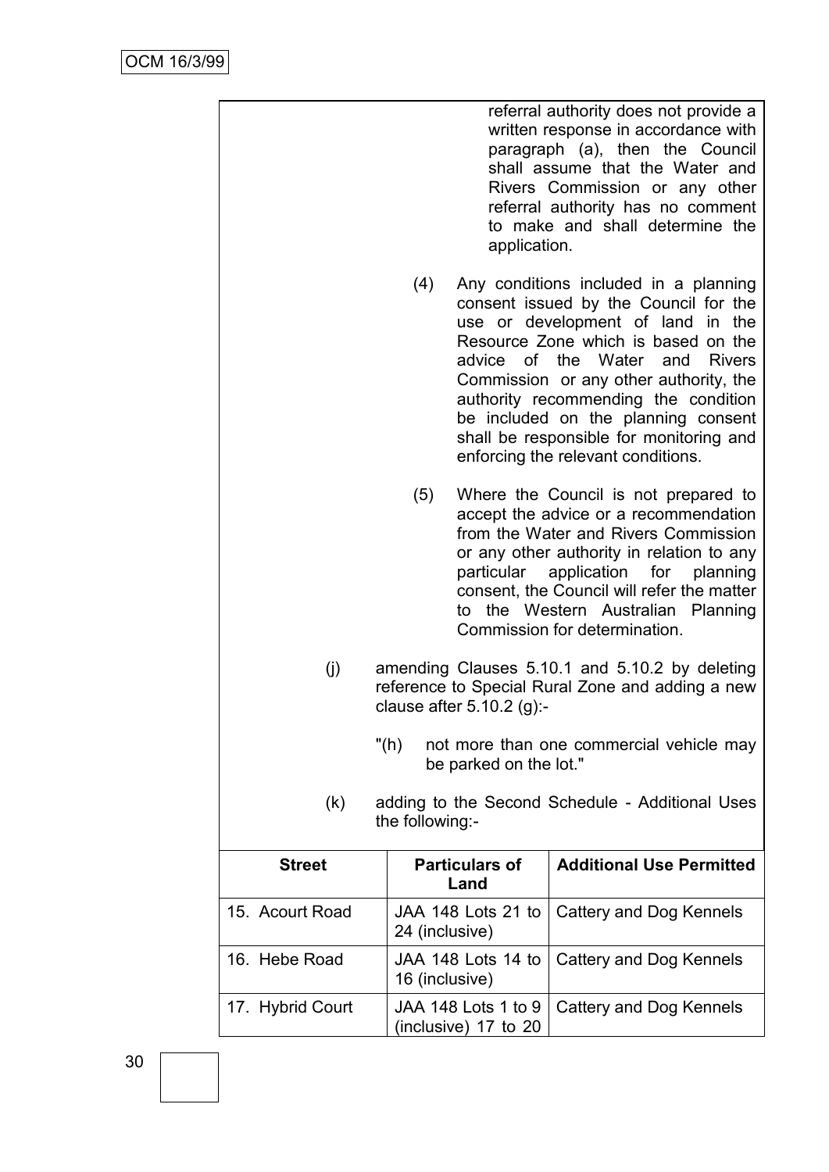|                                                                           |                | application.                                | referral authority does not provide a<br>written response in accordance with<br>paragraph (a), then the Council<br>shall assume that the Water and<br>Rivers Commission or any other<br>referral authority has no comment<br>to make and shall determine the                                                                                                                                                     |  |
|---------------------------------------------------------------------------|----------------|---------------------------------------------|------------------------------------------------------------------------------------------------------------------------------------------------------------------------------------------------------------------------------------------------------------------------------------------------------------------------------------------------------------------------------------------------------------------|--|
|                                                                           | (4)            |                                             | Any conditions included in a planning<br>consent issued by the Council for the<br>use or development of land in the<br>Resource Zone which is based on the<br>advice of the Water and<br><b>Rivers</b><br>Commission or any other authority, the<br>authority recommending the condition<br>be included on the planning consent<br>shall be responsible for monitoring and<br>enforcing the relevant conditions. |  |
|                                                                           | (5)            | particular                                  | Where the Council is not prepared to<br>accept the advice or a recommendation<br>from the Water and Rivers Commission<br>or any other authority in relation to any<br>application<br>for<br>planning<br>consent, the Council will refer the matter<br>to the Western Australian Planning<br>Commission for determination.                                                                                        |  |
| (j)                                                                       |                | clause after $5.10.2$ (g):-                 | amending Clauses 5.10.1 and 5.10.2 by deleting<br>reference to Special Rural Zone and adding a new                                                                                                                                                                                                                                                                                                               |  |
|                                                                           | $"$ (h)        | be parked on the lot."                      | not more than one commercial vehicle may                                                                                                                                                                                                                                                                                                                                                                         |  |
| (k)<br>adding to the Second Schedule - Additional Uses<br>the following:- |                |                                             |                                                                                                                                                                                                                                                                                                                                                                                                                  |  |
| <b>Street</b>                                                             |                | <b>Particulars of</b><br>Land               | <b>Additional Use Permitted</b>                                                                                                                                                                                                                                                                                                                                                                                  |  |
| 15. Acourt Road                                                           | 24 (inclusive) | JAA 148 Lots 21 to                          | Cattery and Dog Kennels                                                                                                                                                                                                                                                                                                                                                                                          |  |
| 16. Hebe Road                                                             | 16 (inclusive) | JAA 148 Lots 14 to                          | Cattery and Dog Kennels                                                                                                                                                                                                                                                                                                                                                                                          |  |
| 17. Hybrid Court                                                          |                | JAA 148 Lots 1 to 9<br>(inclusive) 17 to 20 | Cattery and Dog Kennels                                                                                                                                                                                                                                                                                                                                                                                          |  |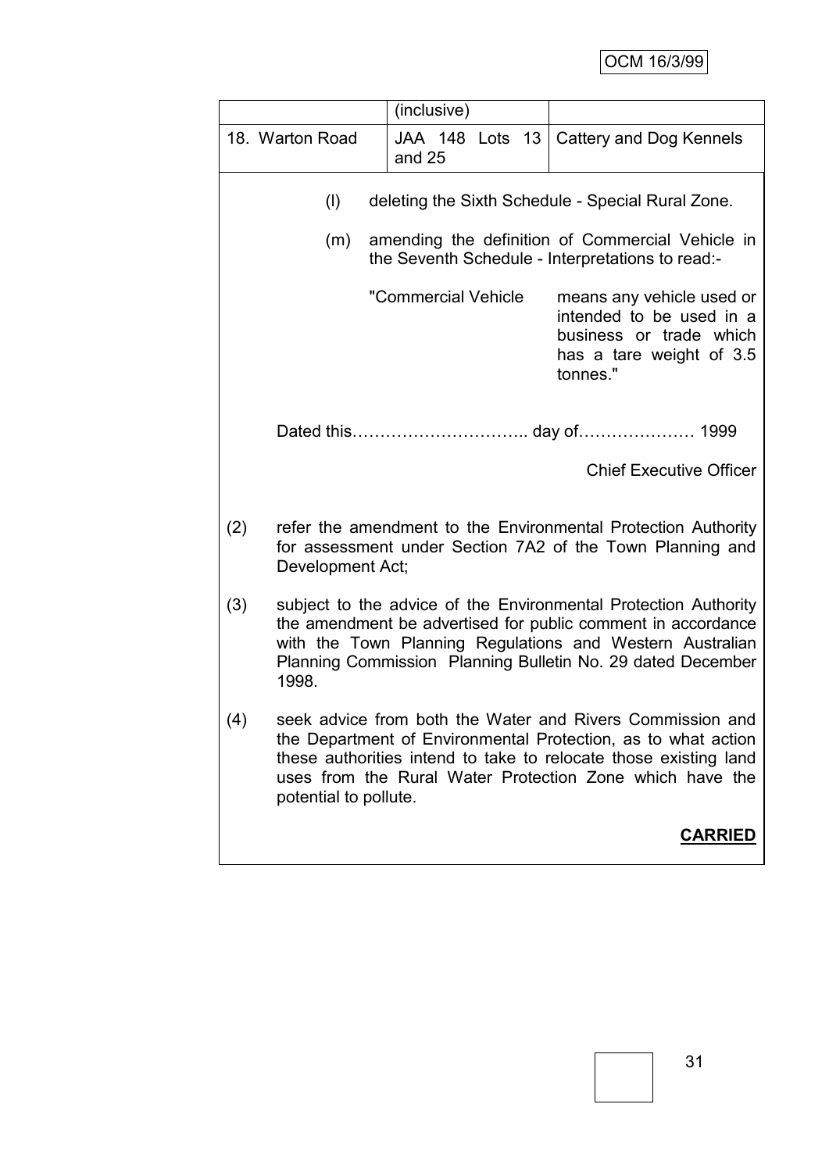|                                                                                                                                                                                                                                                                                            | (inclusive)                                                                                                                                     |                                |  |  |  |  |
|--------------------------------------------------------------------------------------------------------------------------------------------------------------------------------------------------------------------------------------------------------------------------------------------|-------------------------------------------------------------------------------------------------------------------------------------------------|--------------------------------|--|--|--|--|
| 18. Warton Road                                                                                                                                                                                                                                                                            | JAA 148 Lots 13<br>and 25                                                                                                                       | Cattery and Dog Kennels        |  |  |  |  |
| (1)<br>deleting the Sixth Schedule - Special Rural Zone.                                                                                                                                                                                                                                   |                                                                                                                                                 |                                |  |  |  |  |
| (m)                                                                                                                                                                                                                                                                                        | amending the definition of Commercial Vehicle in<br>the Seventh Schedule - Interpretations to read:-                                            |                                |  |  |  |  |
|                                                                                                                                                                                                                                                                                            | "Commercial Vehicle<br>means any vehicle used or<br>intended to be used in a<br>business or trade which<br>has a tare weight of 3.5<br>tonnes." |                                |  |  |  |  |
|                                                                                                                                                                                                                                                                                            |                                                                                                                                                 |                                |  |  |  |  |
|                                                                                                                                                                                                                                                                                            |                                                                                                                                                 | <b>Chief Executive Officer</b> |  |  |  |  |
| (2)<br>refer the amendment to the Environmental Protection Authority<br>for assessment under Section 7A2 of the Town Planning and<br>Development Act;                                                                                                                                      |                                                                                                                                                 |                                |  |  |  |  |
| (3)<br>subject to the advice of the Environmental Protection Authority<br>the amendment be advertised for public comment in accordance<br>with the Town Planning Regulations and Western Australian<br>Planning Commission Planning Bulletin No. 29 dated December<br>1998.                |                                                                                                                                                 |                                |  |  |  |  |
| seek advice from both the Water and Rivers Commission and<br>(4)<br>the Department of Environmental Protection, as to what action<br>these authorities intend to take to relocate those existing land<br>uses from the Rural Water Protection Zone which have the<br>potential to pollute. |                                                                                                                                                 |                                |  |  |  |  |
|                                                                                                                                                                                                                                                                                            |                                                                                                                                                 | <b>CARRIED</b>                 |  |  |  |  |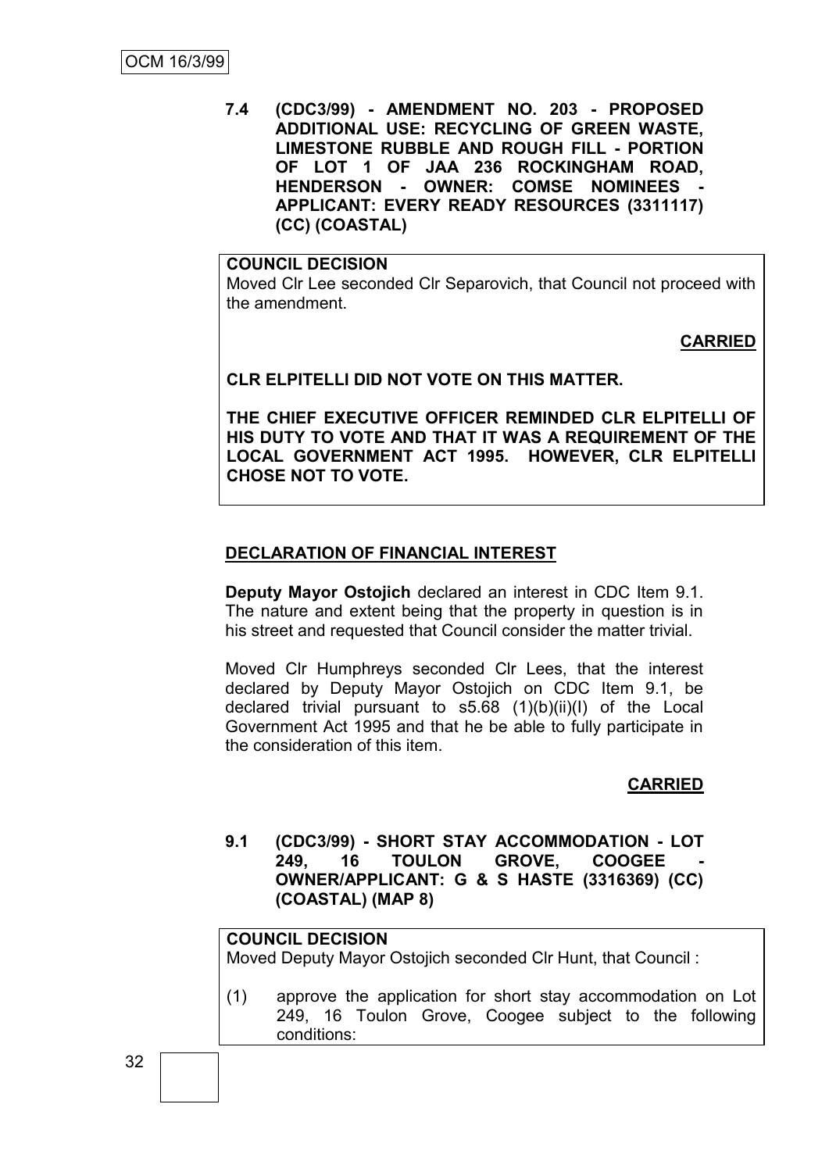**7.4 (CDC3/99) - AMENDMENT NO. 203 - PROPOSED ADDITIONAL USE: RECYCLING OF GREEN WASTE, LIMESTONE RUBBLE AND ROUGH FILL - PORTION OF LOT 1 OF JAA 236 ROCKINGHAM ROAD, HENDERSON - OWNER: COMSE NOMINEES APPLICANT: EVERY READY RESOURCES (3311117) (CC) (COASTAL)**

**COUNCIL DECISION**

Moved Clr Lee seconded Clr Separovich, that Council not proceed with the amendment.

**CARRIED**

**CLR ELPITELLI DID NOT VOTE ON THIS MATTER.**

**THE CHIEF EXECUTIVE OFFICER REMINDED CLR ELPITELLI OF HIS DUTY TO VOTE AND THAT IT WAS A REQUIREMENT OF THE LOCAL GOVERNMENT ACT 1995. HOWEVER, CLR ELPITELLI CHOSE NOT TO VOTE.**

## **DECLARATION OF FINANCIAL INTEREST**

**Deputy Mayor Ostojich** declared an interest in CDC Item 9.1. The nature and extent being that the property in question is in his street and requested that Council consider the matter trivial.

Moved Clr Humphreys seconded Clr Lees, that the interest declared by Deputy Mayor Ostojich on CDC Item 9.1, be declared trivial pursuant to s5.68 (1)(b)(ii)(I) of the Local Government Act 1995 and that he be able to fully participate in the consideration of this item.

# **CARRIED**

**9.1 (CDC3/99) - SHORT STAY ACCOMMODATION - LOT**  249, 16 TOULON GROVE, COOGEE **OWNER/APPLICANT: G & S HASTE (3316369) (CC) (COASTAL) (MAP 8)**

#### **COUNCIL DECISION**

Moved Deputy Mayor Ostojich seconded Clr Hunt, that Council :

(1) approve the application for short stay accommodation on Lot 249, 16 Toulon Grove, Coogee subject to the following conditions: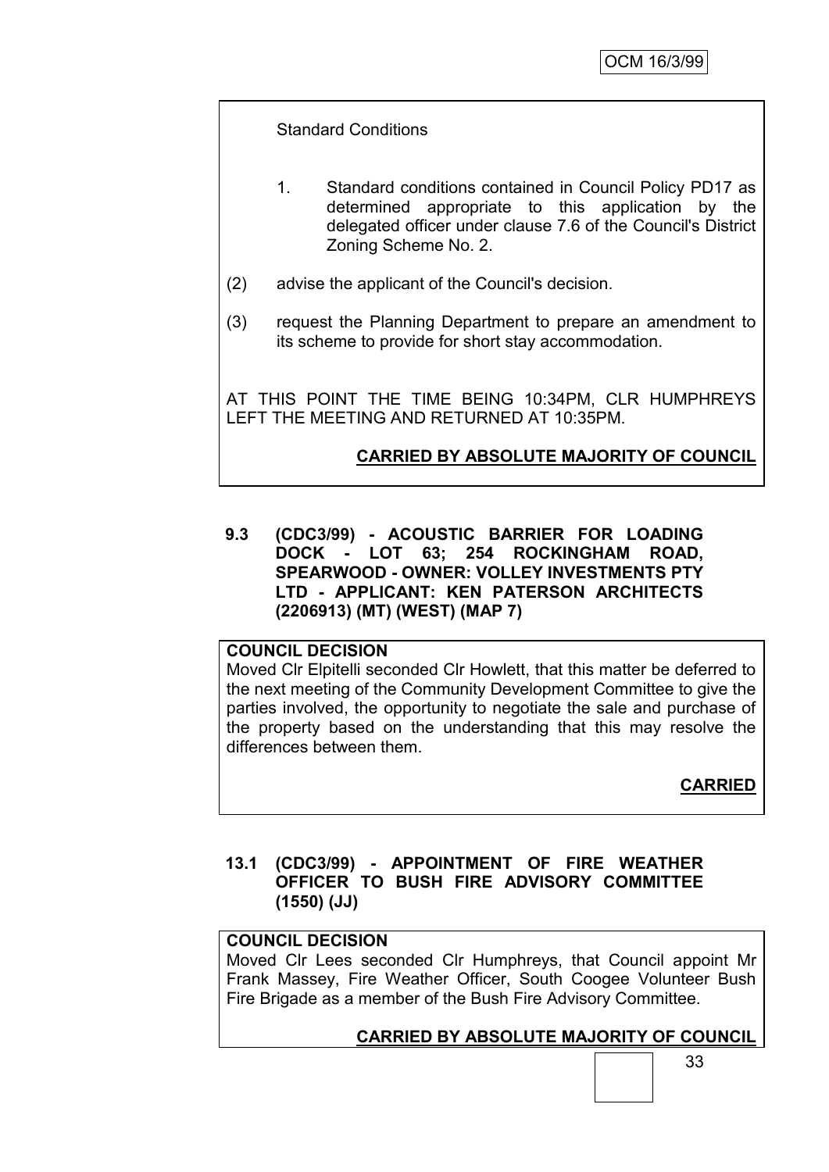# Standard Conditions

- 1. Standard conditions contained in Council Policy PD17 as determined appropriate to this application by the delegated officer under clause 7.6 of the Council's District Zoning Scheme No. 2.
- (2) advise the applicant of the Council's decision.
- (3) request the Planning Department to prepare an amendment to its scheme to provide for short stay accommodation.

AT THIS POINT THE TIME BEING 10:34PM, CLR HUMPHREYS LEFT THE MEETING AND RETURNED AT 10:35PM.

# **CARRIED BY ABSOLUTE MAJORITY OF COUNCIL**

**9.3 (CDC3/99) - ACOUSTIC BARRIER FOR LOADING DOCK - LOT 63; 254 ROCKINGHAM ROAD, SPEARWOOD - OWNER: VOLLEY INVESTMENTS PTY LTD - APPLICANT: KEN PATERSON ARCHITECTS (2206913) (MT) (WEST) (MAP 7)**

#### **COUNCIL DECISION**

Moved Clr Elpitelli seconded Clr Howlett, that this matter be deferred to the next meeting of the Community Development Committee to give the parties involved, the opportunity to negotiate the sale and purchase of the property based on the understanding that this may resolve the differences between them.

**CARRIED**

# **13.1 (CDC3/99) - APPOINTMENT OF FIRE WEATHER OFFICER TO BUSH FIRE ADVISORY COMMITTEE (1550) (JJ)**

#### **COUNCIL DECISION**

Moved Clr Lees seconded Clr Humphreys, that Council appoint Mr Frank Massey, Fire Weather Officer, South Coogee Volunteer Bush Fire Brigade as a member of the Bush Fire Advisory Committee.

# **CARRIED BY ABSOLUTE MAJORITY OF COUNCIL**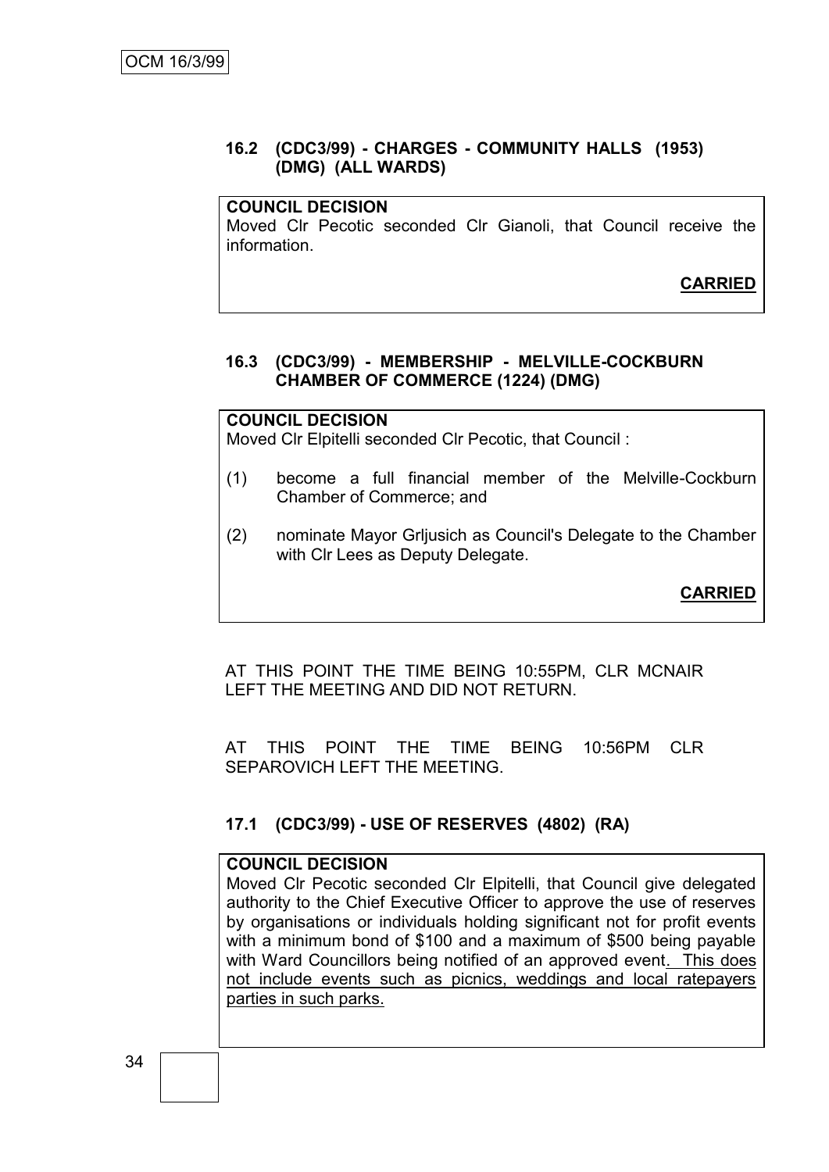#### **16.2 (CDC3/99) - CHARGES - COMMUNITY HALLS (1953) (DMG) (ALL WARDS)**

#### **COUNCIL DECISION**

Moved Clr Pecotic seconded Clr Gianoli, that Council receive the information.

**CARRIED**

#### **16.3 (CDC3/99) - MEMBERSHIP - MELVILLE-COCKBURN CHAMBER OF COMMERCE (1224) (DMG)**

#### **COUNCIL DECISION**

Moved Clr Elpitelli seconded Clr Pecotic, that Council :

- (1) become a full financial member of the Melville-Cockburn Chamber of Commerce; and
- (2) nominate Mayor Grljusich as Council's Delegate to the Chamber with Clr Lees as Deputy Delegate.

**CARRIED**

AT THIS POINT THE TIME BEING 10:55PM, CLR MCNAIR LEFT THE MEETING AND DID NOT RETURN.

AT THIS POINT THE TIME BEING 10:56PM CLR SEPAROVICH LEFT THE MEETING.

#### **17.1 (CDC3/99) - USE OF RESERVES (4802) (RA)**

#### **COUNCIL DECISION**

Moved Clr Pecotic seconded Clr Elpitelli, that Council give delegated authority to the Chief Executive Officer to approve the use of reserves by organisations or individuals holding significant not for profit events with a minimum bond of \$100 and a maximum of \$500 being payable with Ward Councillors being notified of an approved event. This does not include events such as picnics, weddings and local ratepayers parties in such parks.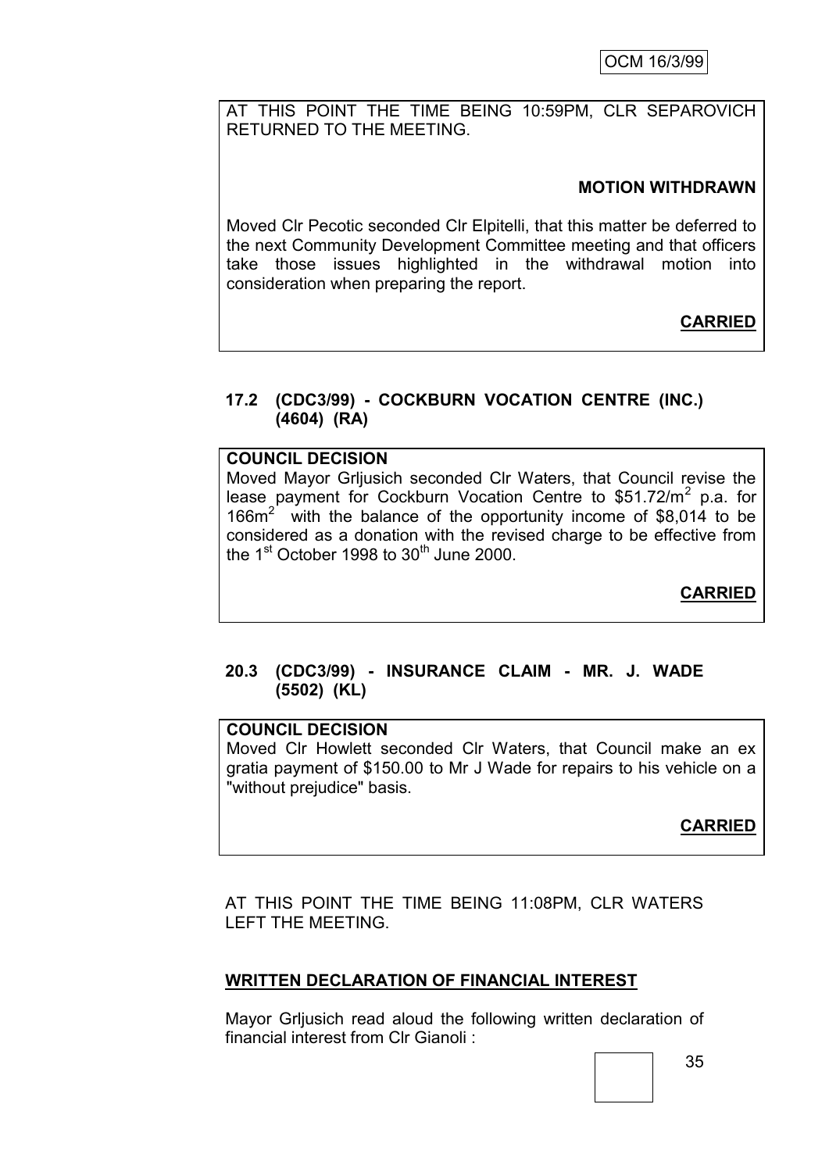AT THIS POINT THE TIME BEING 10:59PM, CLR SEPAROVICH RETURNED TO THE MEETING.

# **MOTION WITHDRAWN**

Moved Clr Pecotic seconded Clr Elpitelli, that this matter be deferred to the next Community Development Committee meeting and that officers take those issues highlighted in the withdrawal motion into consideration when preparing the report.

# **CARRIED**

# **17.2 (CDC3/99) - COCKBURN VOCATION CENTRE (INC.) (4604) (RA)**

## **COUNCIL DECISION**

Moved Mayor Grljusich seconded Clr Waters, that Council revise the lease payment for Cockburn Vocation Centre to \$51.72/m<sup>2</sup> p.a. for 166 $m^2$  with the balance of the opportunity income of \$8,014 to be considered as a donation with the revised charge to be effective from the 1st October 1998 to  $30<sup>th</sup>$  June 2000.

**CARRIED**

## **20.3 (CDC3/99) - INSURANCE CLAIM - MR. J. WADE (5502) (KL)**

### **COUNCIL DECISION**

Moved Clr Howlett seconded Clr Waters, that Council make an ex gratia payment of \$150.00 to Mr J Wade for repairs to his vehicle on a "without prejudice" basis.

# **CARRIED**

AT THIS POINT THE TIME BEING 11:08PM, CLR WATERS LEFT THE MEETING.

# **WRITTEN DECLARATION OF FINANCIAL INTEREST**

Mayor Grljusich read aloud the following written declaration of financial interest from Clr Gianoli :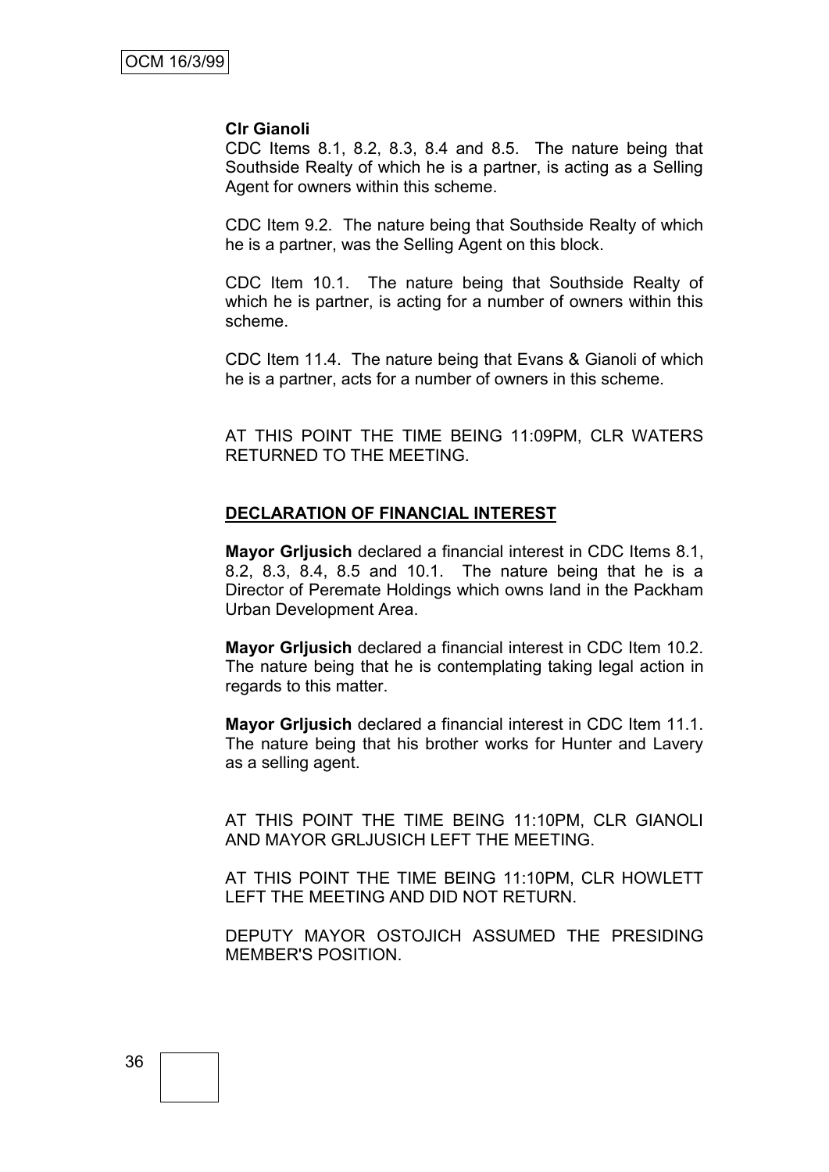#### **Clr Gianoli**

CDC Items 8.1, 8.2, 8.3, 8.4 and 8.5. The nature being that Southside Realty of which he is a partner, is acting as a Selling Agent for owners within this scheme.

CDC Item 9.2. The nature being that Southside Realty of which he is a partner, was the Selling Agent on this block.

CDC Item 10.1. The nature being that Southside Realty of which he is partner, is acting for a number of owners within this scheme.

CDC Item 11.4. The nature being that Evans & Gianoli of which he is a partner, acts for a number of owners in this scheme.

AT THIS POINT THE TIME BEING 11:09PM, CLR WATERS RETURNED TO THE MEETING.

# **DECLARATION OF FINANCIAL INTEREST**

**Mayor Grljusich** declared a financial interest in CDC Items 8.1, 8.2, 8.3, 8.4, 8.5 and 10.1. The nature being that he is a Director of Peremate Holdings which owns land in the Packham Urban Development Area.

**Mayor Grljusich** declared a financial interest in CDC Item 10.2. The nature being that he is contemplating taking legal action in regards to this matter.

**Mayor Grljusich** declared a financial interest in CDC Item 11.1. The nature being that his brother works for Hunter and Lavery as a selling agent.

AT THIS POINT THE TIME BEING 11:10PM, CLR GIANOLI AND MAYOR GRLJUSICH LEFT THE MEETING.

AT THIS POINT THE TIME BEING 11:10PM, CLR HOWLETT LEFT THE MEETING AND DID NOT RETURN.

DEPUTY MAYOR OSTOJICH ASSUMED THE PRESIDING MEMBER'S POSITION.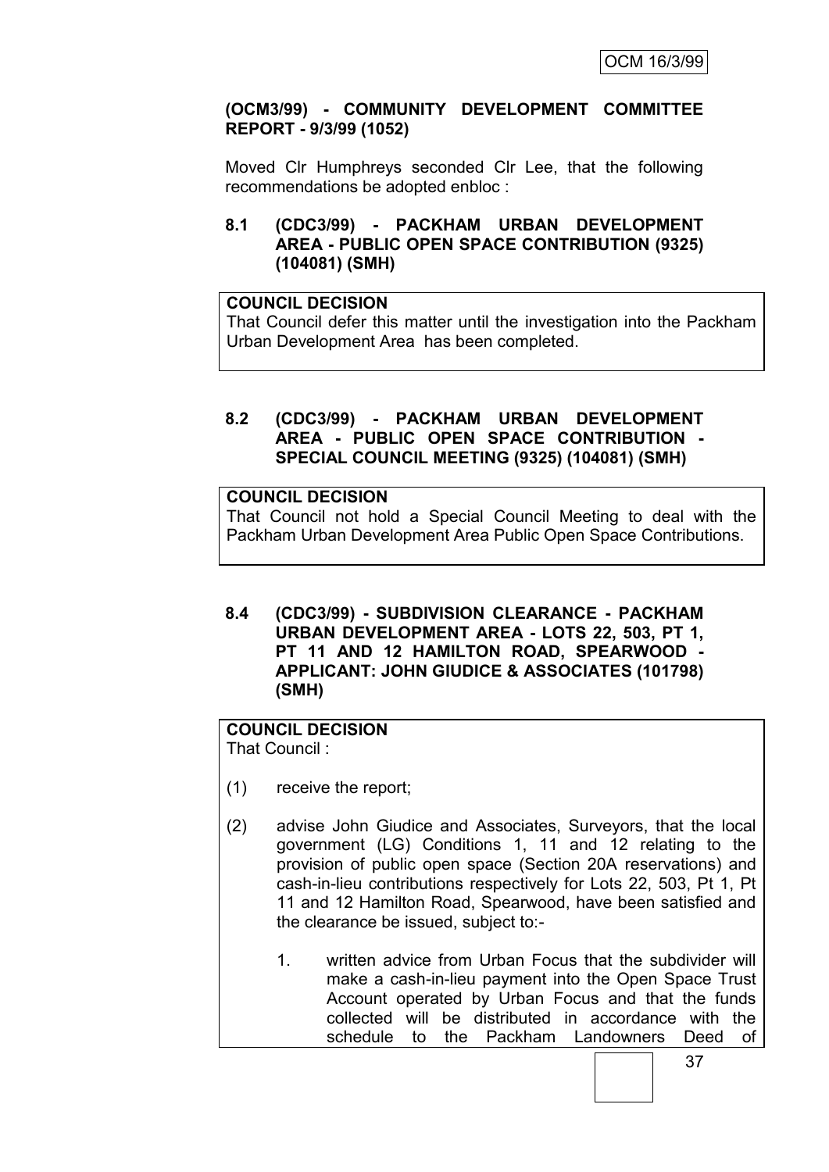## **(OCM3/99) - COMMUNITY DEVELOPMENT COMMITTEE REPORT - 9/3/99 (1052)**

Moved Clr Humphreys seconded Clr Lee, that the following recommendations be adopted enbloc :

# **8.1 (CDC3/99) - PACKHAM URBAN DEVELOPMENT AREA - PUBLIC OPEN SPACE CONTRIBUTION (9325) (104081) (SMH)**

## **COUNCIL DECISION**

That Council defer this matter until the investigation into the Packham Urban Development Area has been completed.

#### **8.2 (CDC3/99) - PACKHAM URBAN DEVELOPMENT AREA - PUBLIC OPEN SPACE CONTRIBUTION - SPECIAL COUNCIL MEETING (9325) (104081) (SMH)**

#### **COUNCIL DECISION**

That Council not hold a Special Council Meeting to deal with the Packham Urban Development Area Public Open Space Contributions.

#### **8.4 (CDC3/99) - SUBDIVISION CLEARANCE - PACKHAM URBAN DEVELOPMENT AREA - LOTS 22, 503, PT 1, PT 11 AND 12 HAMILTON ROAD, SPEARWOOD - APPLICANT: JOHN GIUDICE & ASSOCIATES (101798) (SMH)**

#### **COUNCIL DECISION** That Council :

- (1) receive the report;
- (2) advise John Giudice and Associates, Surveyors, that the local government (LG) Conditions 1, 11 and 12 relating to the provision of public open space (Section 20A reservations) and cash-in-lieu contributions respectively for Lots 22, 503, Pt 1, Pt 11 and 12 Hamilton Road, Spearwood, have been satisfied and the clearance be issued, subject to:-
	- 1. written advice from Urban Focus that the subdivider will make a cash-in-lieu payment into the Open Space Trust Account operated by Urban Focus and that the funds collected will be distributed in accordance with the schedule to the Packham Landowners Deed of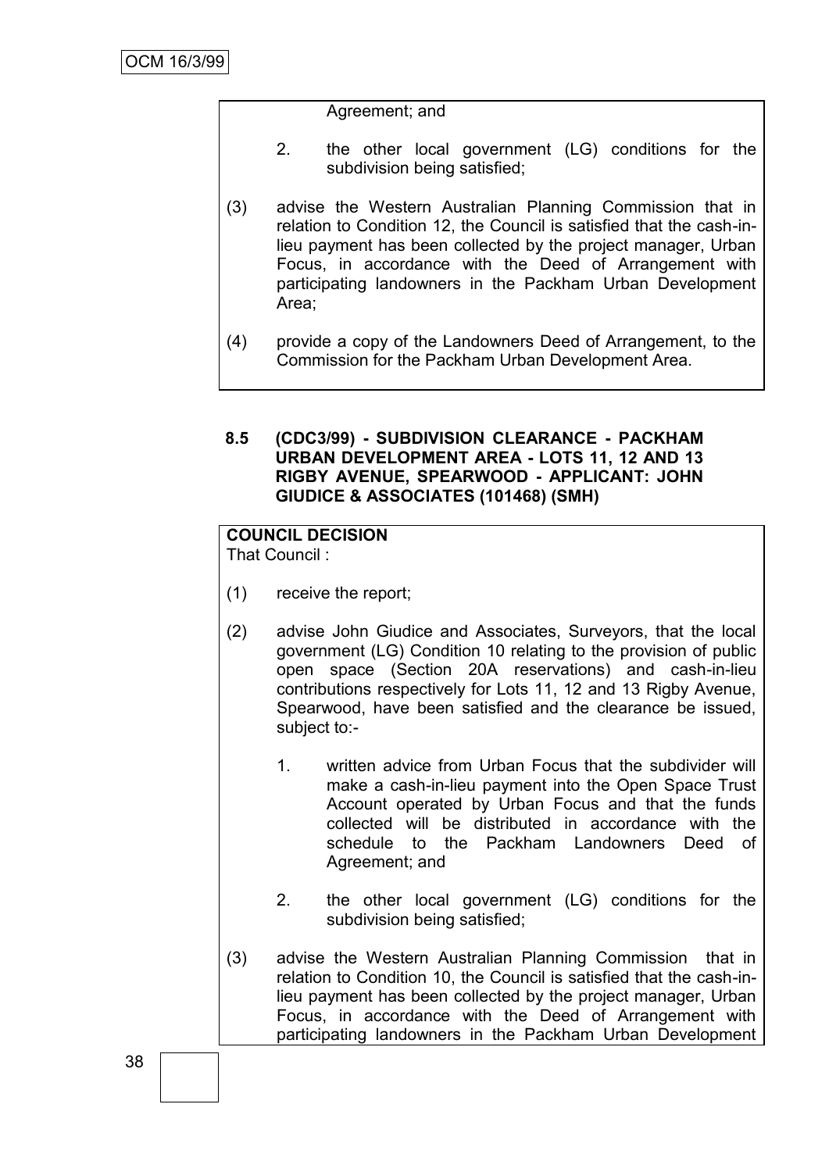## Agreement; and

- 2. the other local government (LG) conditions for the subdivision being satisfied;
- (3) advise the Western Australian Planning Commission that in relation to Condition 12, the Council is satisfied that the cash-inlieu payment has been collected by the project manager, Urban Focus, in accordance with the Deed of Arrangement with participating landowners in the Packham Urban Development Area;
- (4) provide a copy of the Landowners Deed of Arrangement, to the Commission for the Packham Urban Development Area.

#### **8.5 (CDC3/99) - SUBDIVISION CLEARANCE - PACKHAM URBAN DEVELOPMENT AREA - LOTS 11, 12 AND 13 RIGBY AVENUE, SPEARWOOD - APPLICANT: JOHN GIUDICE & ASSOCIATES (101468) (SMH)**

# **COUNCIL DECISION**

That Council :

- (1) receive the report;
- (2) advise John Giudice and Associates, Surveyors, that the local government (LG) Condition 10 relating to the provision of public open space (Section 20A reservations) and cash-in-lieu contributions respectively for Lots 11, 12 and 13 Rigby Avenue, Spearwood, have been satisfied and the clearance be issued, subject to:-
	- 1. written advice from Urban Focus that the subdivider will make a cash-in-lieu payment into the Open Space Trust Account operated by Urban Focus and that the funds collected will be distributed in accordance with the schedule to the Packham Landowners Deed of Agreement; and
	- 2. the other local government (LG) conditions for the subdivision being satisfied;
- (3) advise the Western Australian Planning Commission that in relation to Condition 10, the Council is satisfied that the cash-inlieu payment has been collected by the project manager, Urban Focus, in accordance with the Deed of Arrangement with participating landowners in the Packham Urban Development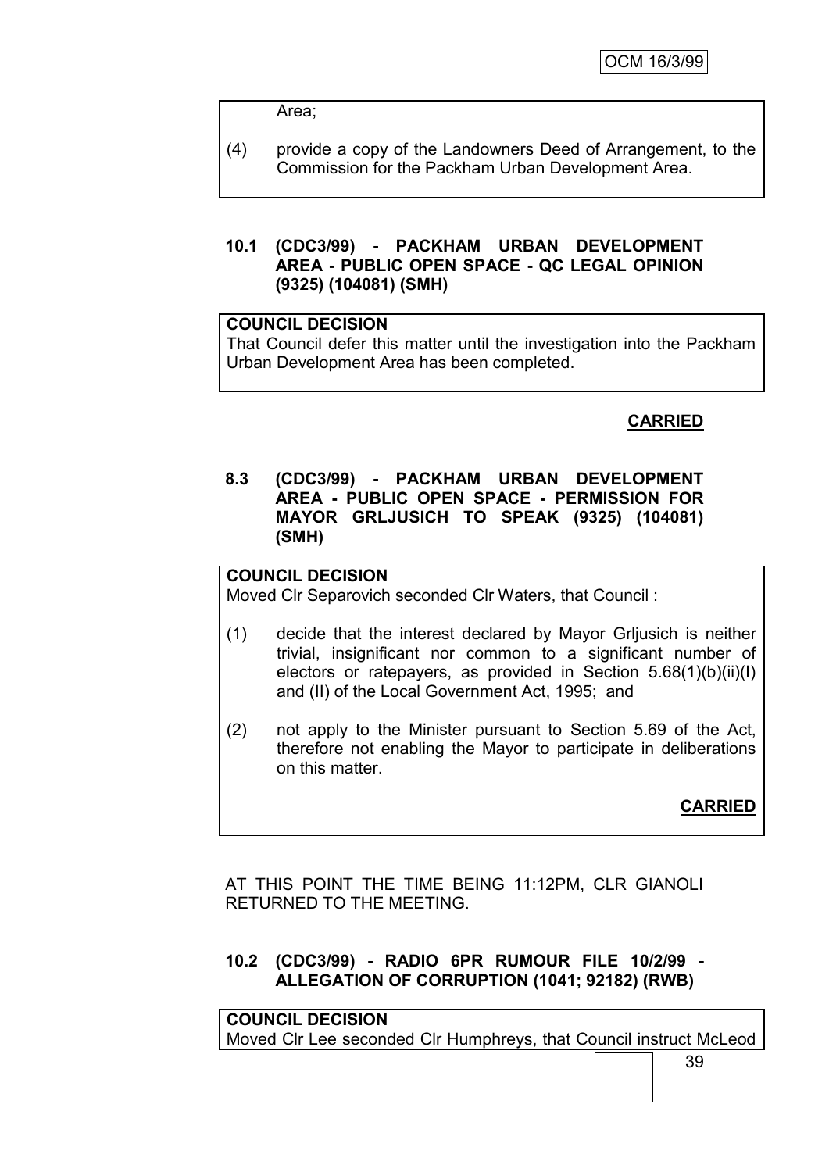Area;

(4) provide a copy of the Landowners Deed of Arrangement, to the Commission for the Packham Urban Development Area.

#### **10.1 (CDC3/99) - PACKHAM URBAN DEVELOPMENT AREA - PUBLIC OPEN SPACE - QC LEGAL OPINION (9325) (104081) (SMH)**

#### **COUNCIL DECISION**

That Council defer this matter until the investigation into the Packham Urban Development Area has been completed.

# **CARRIED**

#### **8.3 (CDC3/99) - PACKHAM URBAN DEVELOPMENT AREA - PUBLIC OPEN SPACE - PERMISSION FOR MAYOR GRLJUSICH TO SPEAK (9325) (104081) (SMH)**

# **COUNCIL DECISION**

Moved Clr Separovich seconded Clr Waters, that Council :

- (1) decide that the interest declared by Mayor Grljusich is neither trivial, insignificant nor common to a significant number of electors or ratepayers, as provided in Section 5.68(1)(b)(ii)(I) and (II) of the Local Government Act, 1995; and
- (2) not apply to the Minister pursuant to Section 5.69 of the Act, therefore not enabling the Mayor to participate in deliberations on this matter.

**CARRIED**

AT THIS POINT THE TIME BEING 11:12PM, CLR GIANOLI RETURNED TO THE MEETING.

# **10.2 (CDC3/99) - RADIO 6PR RUMOUR FILE 10/2/99 - ALLEGATION OF CORRUPTION (1041; 92182) (RWB)**

**COUNCIL DECISION** Moved Clr Lee seconded Clr Humphreys, that Council instruct McLeod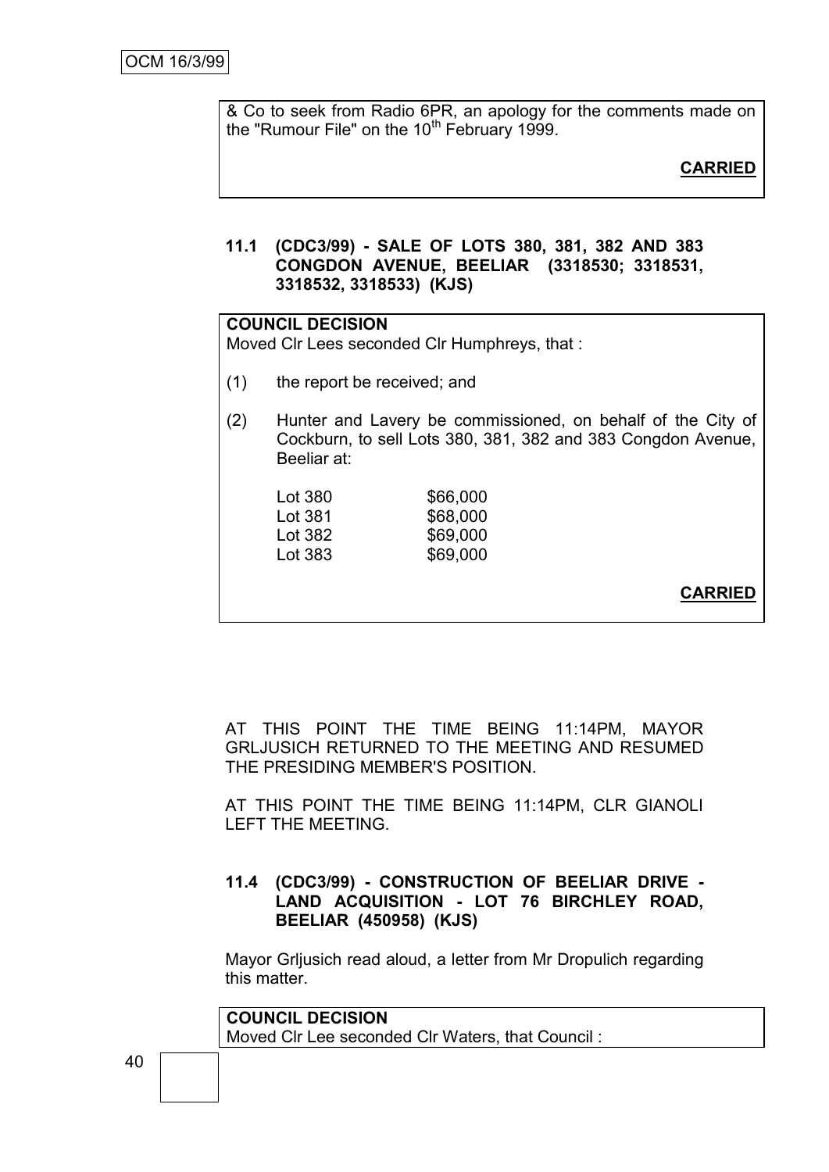& Co to seek from Radio 6PR, an apology for the comments made on the "Rumour File" on the  $10<sup>th</sup>$  February 1999.

**CARRIED**

#### **11.1 (CDC3/99) - SALE OF LOTS 380, 381, 382 AND 383 CONGDON AVENUE, BEELIAR (3318530; 3318531, 3318532, 3318533) (KJS)**

#### **COUNCIL DECISION**

Moved Clr Lees seconded Clr Humphreys, that :

- (1) the report be received; and
- (2) Hunter and Lavery be commissioned, on behalf of the City of Cockburn, to sell Lots 380, 381, 382 and 383 Congdon Avenue, Beeliar at:

| Lot 380 | \$66,000 |
|---------|----------|
| Lot 381 | \$68,000 |
| Lot 382 | \$69,000 |
| Lot 383 | \$69,000 |

**CARRIED**

AT THIS POINT THE TIME BEING 11:14PM, MAYOR GRLJUSICH RETURNED TO THE MEETING AND RESUMED THE PRESIDING MEMBER'S POSITION.

AT THIS POINT THE TIME BEING 11:14PM, CLR GIANOLI LEFT THE MEETING.

#### **11.4 (CDC3/99) - CONSTRUCTION OF BEELIAR DRIVE - LAND ACQUISITION - LOT 76 BIRCHLEY ROAD, BEELIAR (450958) (KJS)**

Mayor Grljusich read aloud, a letter from Mr Dropulich regarding this matter.

**COUNCIL DECISION** Moved Clr Lee seconded Clr Waters, that Council :

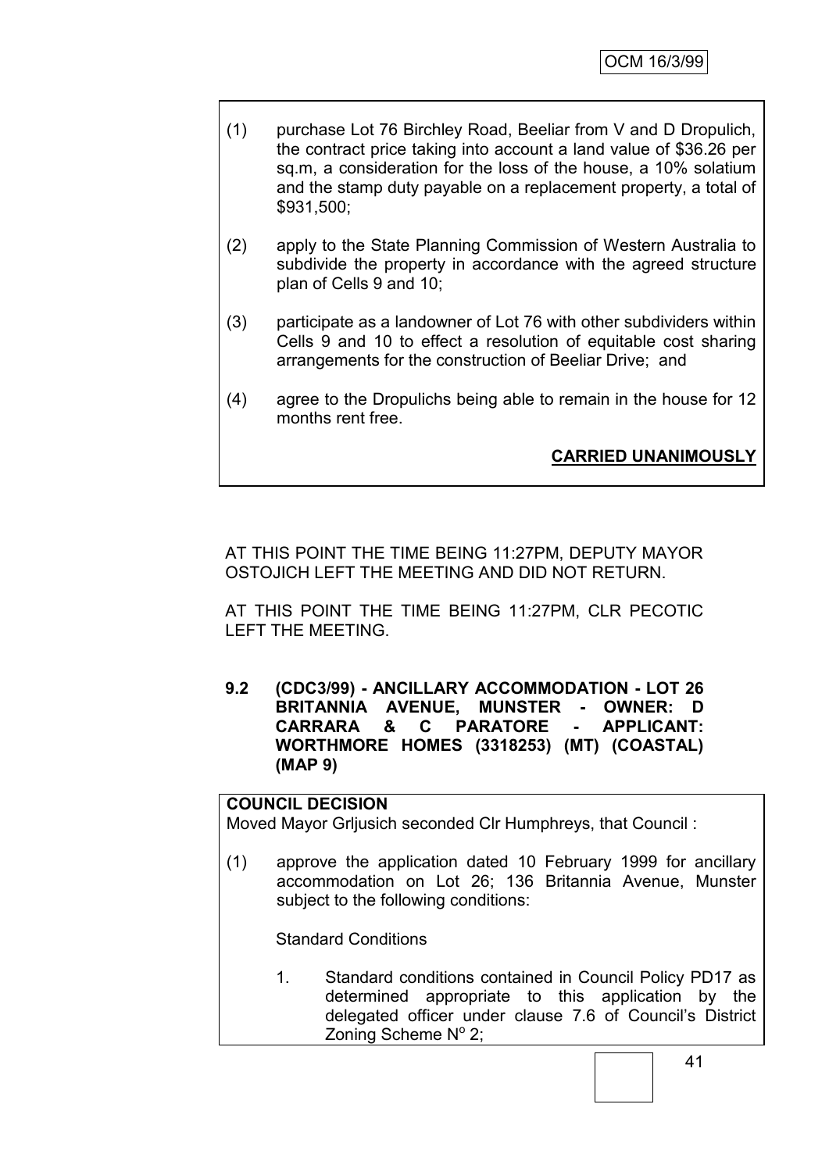- (1) purchase Lot 76 Birchley Road, Beeliar from V and D Dropulich, the contract price taking into account a land value of \$36.26 per sq.m, a consideration for the loss of the house, a 10% solatium and the stamp duty payable on a replacement property, a total of \$931,500;
- (2) apply to the State Planning Commission of Western Australia to subdivide the property in accordance with the agreed structure plan of Cells 9 and 10;
- (3) participate as a landowner of Lot 76 with other subdividers within Cells 9 and 10 to effect a resolution of equitable cost sharing arrangements for the construction of Beeliar Drive; and
- (4) agree to the Dropulichs being able to remain in the house for 12 months rent free.

# **CARRIED UNANIMOUSLY**

AT THIS POINT THE TIME BEING 11:27PM, DEPUTY MAYOR OSTOJICH LEFT THE MEETING AND DID NOT RETURN.

AT THIS POINT THE TIME BEING 11:27PM, CLR PECOTIC LEFT THE MEETING.

**9.2 (CDC3/99) - ANCILLARY ACCOMMODATION - LOT 26 BRITANNIA AVENUE, MUNSTER - OWNER: D CARRARA & C PARATORE - APPLICANT: WORTHMORE HOMES (3318253) (MT) (COASTAL) (MAP 9)**

# **COUNCIL DECISION**

Moved Mayor Grljusich seconded Clr Humphreys, that Council :

(1) approve the application dated 10 February 1999 for ancillary accommodation on Lot 26; 136 Britannia Avenue, Munster subject to the following conditions:

Standard Conditions

1. Standard conditions contained in Council Policy PD17 as determined appropriate to this application by the delegated officer under clause 7.6 of Council's District Zoning Scheme Nº 2;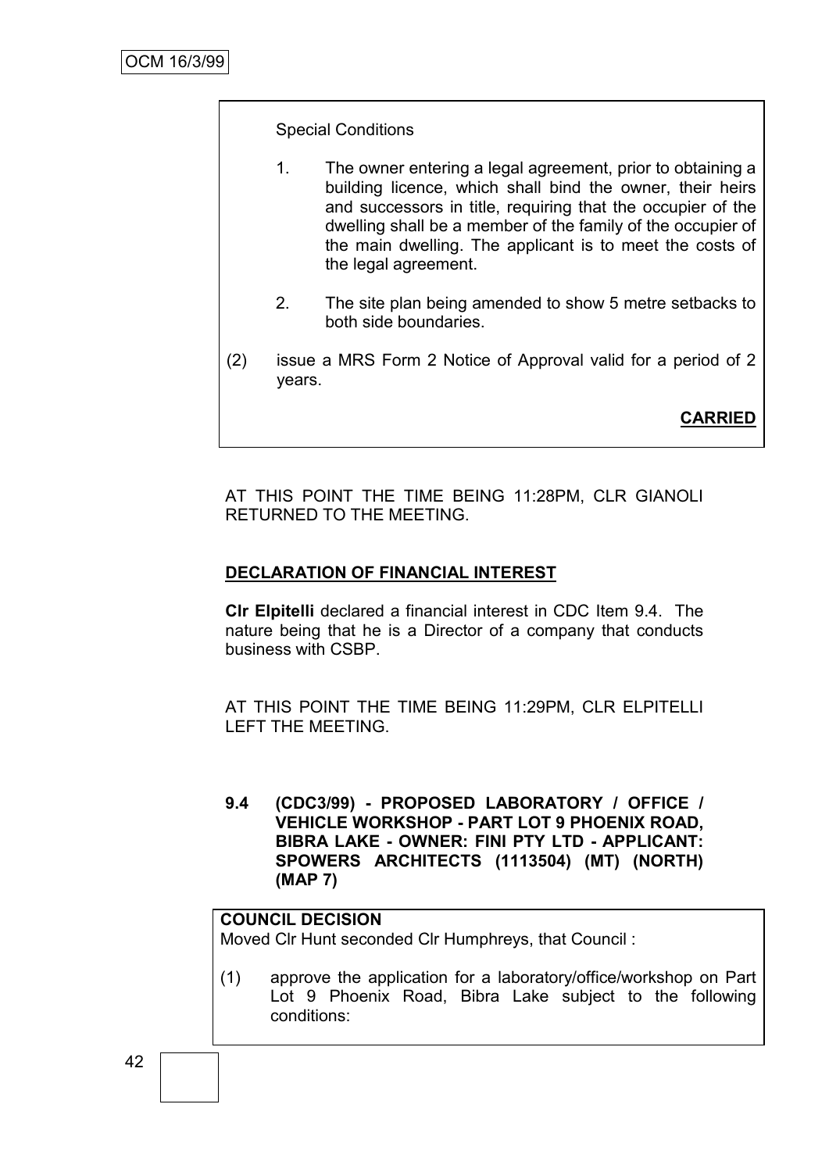Special Conditions

- 1. The owner entering a legal agreement, prior to obtaining a building licence, which shall bind the owner, their heirs and successors in title, requiring that the occupier of the dwelling shall be a member of the family of the occupier of the main dwelling. The applicant is to meet the costs of the legal agreement.
- 2. The site plan being amended to show 5 metre setbacks to both side boundaries.
- (2) issue a MRS Form 2 Notice of Approval valid for a period of 2 years.

**CARRIED**

AT THIS POINT THE TIME BEING 11:28PM, CLR GIANOLI RETURNED TO THE MEETING.

## **DECLARATION OF FINANCIAL INTEREST**

**Clr Elpitelli** declared a financial interest in CDC Item 9.4. The nature being that he is a Director of a company that conducts business with CSBP.

AT THIS POINT THE TIME BEING 11:29PM, CLR ELPITELLI LEFT THE MEETING.

**9.4 (CDC3/99) - PROPOSED LABORATORY / OFFICE / VEHICLE WORKSHOP - PART LOT 9 PHOENIX ROAD, BIBRA LAKE - OWNER: FINI PTY LTD - APPLICANT: SPOWERS ARCHITECTS (1113504) (MT) (NORTH) (MAP 7)**

#### **COUNCIL DECISION**

Moved Clr Hunt seconded Clr Humphreys, that Council :

(1) approve the application for a laboratory/office/workshop on Part Lot 9 Phoenix Road, Bibra Lake subject to the following conditions: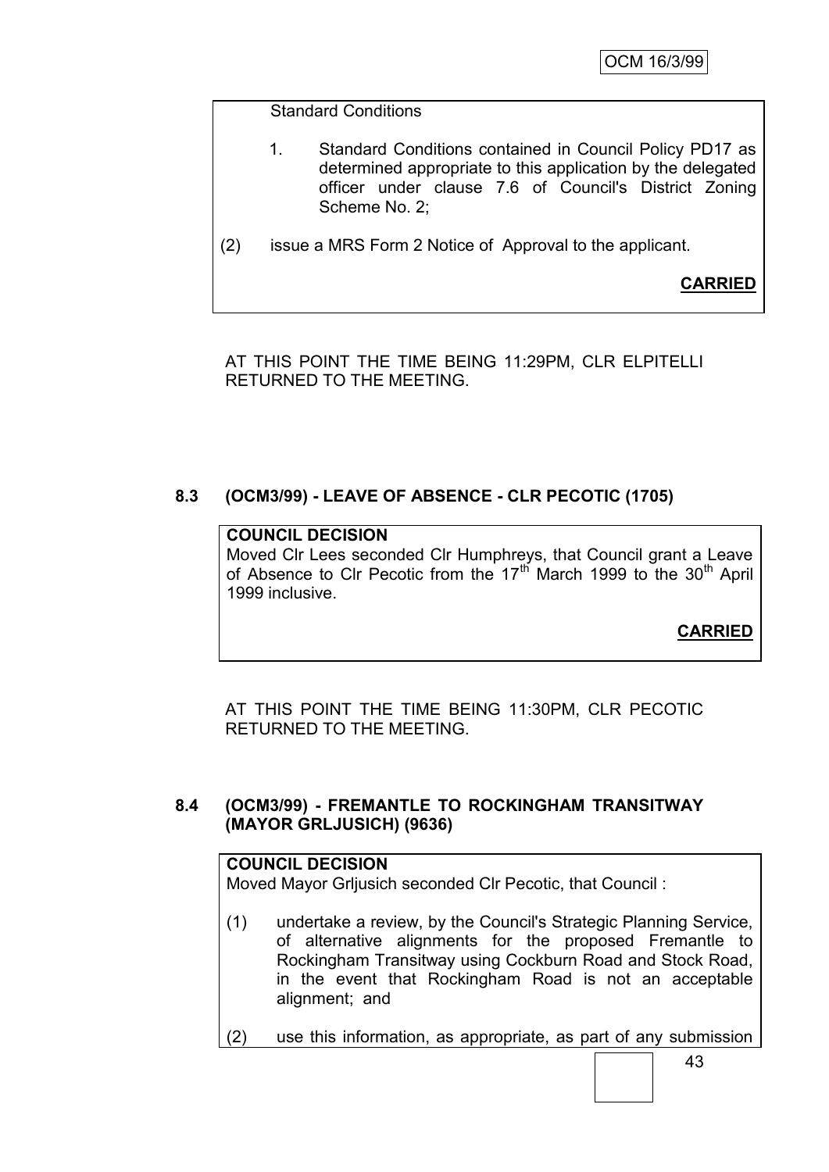#### Standard Conditions

- 1. Standard Conditions contained in Council Policy PD17 as determined appropriate to this application by the delegated officer under clause 7.6 of Council's District Zoning Scheme No. 2;
- (2) issue a MRS Form 2 Notice of Approval to the applicant.

**CARRIED**

AT THIS POINT THE TIME BEING 11:29PM, CLR ELPITELLI RETURNED TO THE MEETING.

## **8.3 (OCM3/99) - LEAVE OF ABSENCE - CLR PECOTIC (1705)**

#### **COUNCIL DECISION**

Moved Clr Lees seconded Clr Humphreys, that Council grant a Leave of Absence to Clr Pecotic from the 17<sup>th</sup> March 1999 to the 30<sup>th</sup> April 1999 inclusive.

**CARRIED**

AT THIS POINT THE TIME BEING 11:30PM, CLR PECOTIC RETURNED TO THE MEETING.

#### **8.4 (OCM3/99) - FREMANTLE TO ROCKINGHAM TRANSITWAY (MAYOR GRLJUSICH) (9636)**

#### **COUNCIL DECISION**

Moved Mayor Grljusich seconded Clr Pecotic, that Council :

- (1) undertake a review, by the Council's Strategic Planning Service, of alternative alignments for the proposed Fremantle to Rockingham Transitway using Cockburn Road and Stock Road, in the event that Rockingham Road is not an acceptable alignment; and
- (2) use this information, as appropriate, as part of any submission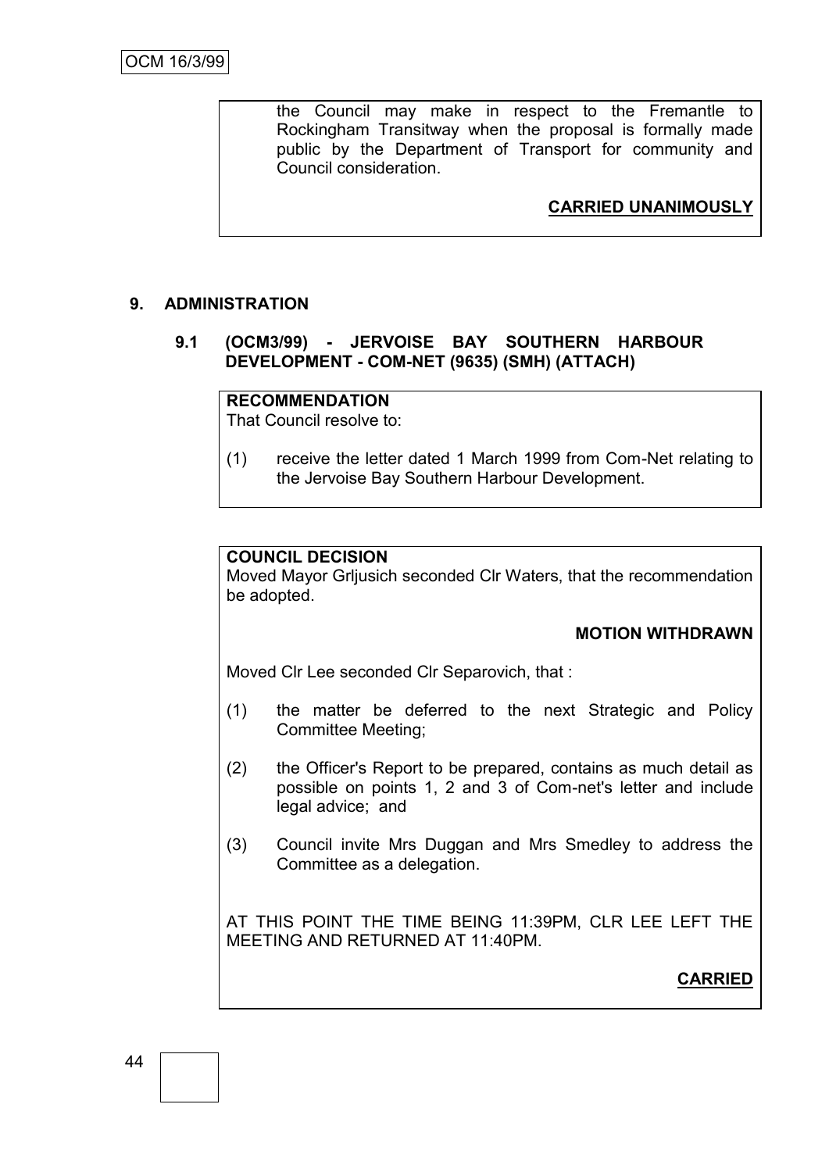the Council may make in respect to the Fremantle to Rockingham Transitway when the proposal is formally made public by the Department of Transport for community and Council consideration.

**CARRIED UNANIMOUSLY**

# **9. ADMINISTRATION**

**9.1 (OCM3/99) - JERVOISE BAY SOUTHERN HARBOUR DEVELOPMENT - COM-NET (9635) (SMH) (ATTACH)**

#### **RECOMMENDATION**

That Council resolve to:

(1) receive the letter dated 1 March 1999 from Com-Net relating to the Jervoise Bay Southern Harbour Development.

#### **COUNCIL DECISION**

Moved Mayor Grljusich seconded Clr Waters, that the recommendation be adopted.

#### **MOTION WITHDRAWN**

Moved Clr Lee seconded Clr Separovich, that :

- (1) the matter be deferred to the next Strategic and Policy Committee Meeting;
- (2) the Officer's Report to be prepared, contains as much detail as possible on points 1, 2 and 3 of Com-net's letter and include legal advice; and
- (3) Council invite Mrs Duggan and Mrs Smedley to address the Committee as a delegation.

AT THIS POINT THE TIME BEING 11:39PM, CLR LEE LEFT THE MEETING AND RETURNED AT 11:40PM.

#### **CARRIED**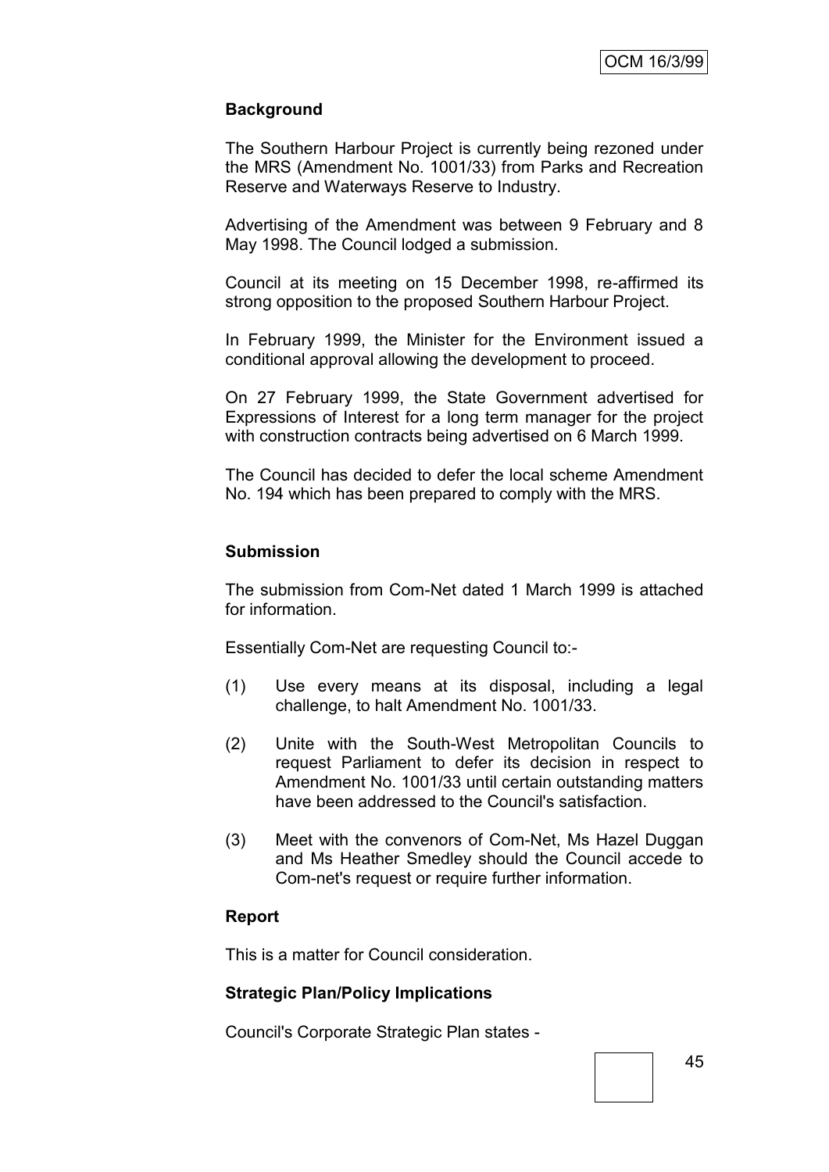# **Background**

The Southern Harbour Project is currently being rezoned under the MRS (Amendment No. 1001/33) from Parks and Recreation Reserve and Waterways Reserve to Industry.

Advertising of the Amendment was between 9 February and 8 May 1998. The Council lodged a submission.

Council at its meeting on 15 December 1998, re-affirmed its strong opposition to the proposed Southern Harbour Project.

In February 1999, the Minister for the Environment issued a conditional approval allowing the development to proceed.

On 27 February 1999, the State Government advertised for Expressions of Interest for a long term manager for the project with construction contracts being advertised on 6 March 1999.

The Council has decided to defer the local scheme Amendment No. 194 which has been prepared to comply with the MRS.

#### **Submission**

The submission from Com-Net dated 1 March 1999 is attached for information.

Essentially Com-Net are requesting Council to:-

- (1) Use every means at its disposal, including a legal challenge, to halt Amendment No. 1001/33.
- (2) Unite with the South-West Metropolitan Councils to request Parliament to defer its decision in respect to Amendment No. 1001/33 until certain outstanding matters have been addressed to the Council's satisfaction.
- (3) Meet with the convenors of Com-Net, Ms Hazel Duggan and Ms Heather Smedley should the Council accede to Com-net's request or require further information.

#### **Report**

This is a matter for Council consideration.

#### **Strategic Plan/Policy Implications**

Council's Corporate Strategic Plan states -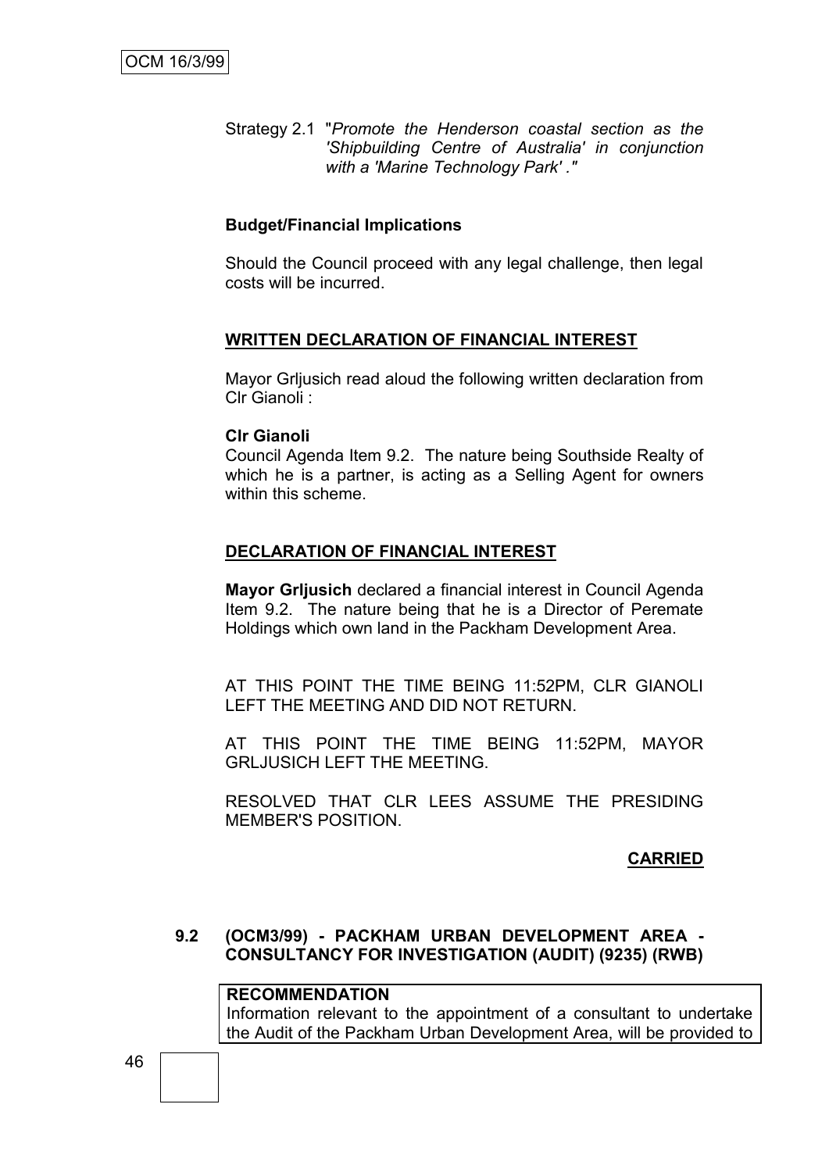Strategy 2.1 "*Promote the Henderson coastal section as the 'Shipbuilding Centre of Australia' in conjunction with a 'Marine Technology Park' ."*

#### **Budget/Financial Implications**

Should the Council proceed with any legal challenge, then legal costs will be incurred.

#### **WRITTEN DECLARATION OF FINANCIAL INTEREST**

Mayor Grljusich read aloud the following written declaration from Clr Gianoli :

#### **Clr Gianoli**

Council Agenda Item 9.2. The nature being Southside Realty of which he is a partner, is acting as a Selling Agent for owners within this scheme.

#### **DECLARATION OF FINANCIAL INTEREST**

**Mayor Grljusich** declared a financial interest in Council Agenda Item 9.2. The nature being that he is a Director of Peremate Holdings which own land in the Packham Development Area.

AT THIS POINT THE TIME BEING 11:52PM, CLR GIANOLI LEFT THE MEETING AND DID NOT RETURN.

AT THIS POINT THE TIME BEING 11:52PM, MAYOR GRLJUSICH LEFT THE MEETING.

RESOLVED THAT CLR LEES ASSUME THE PRESIDING MEMBER'S POSITION.

#### **CARRIED**

#### **9.2 (OCM3/99) - PACKHAM URBAN DEVELOPMENT AREA - CONSULTANCY FOR INVESTIGATION (AUDIT) (9235) (RWB)**

#### **RECOMMENDATION**

Information relevant to the appointment of a consultant to undertake the Audit of the Packham Urban Development Area, will be provided to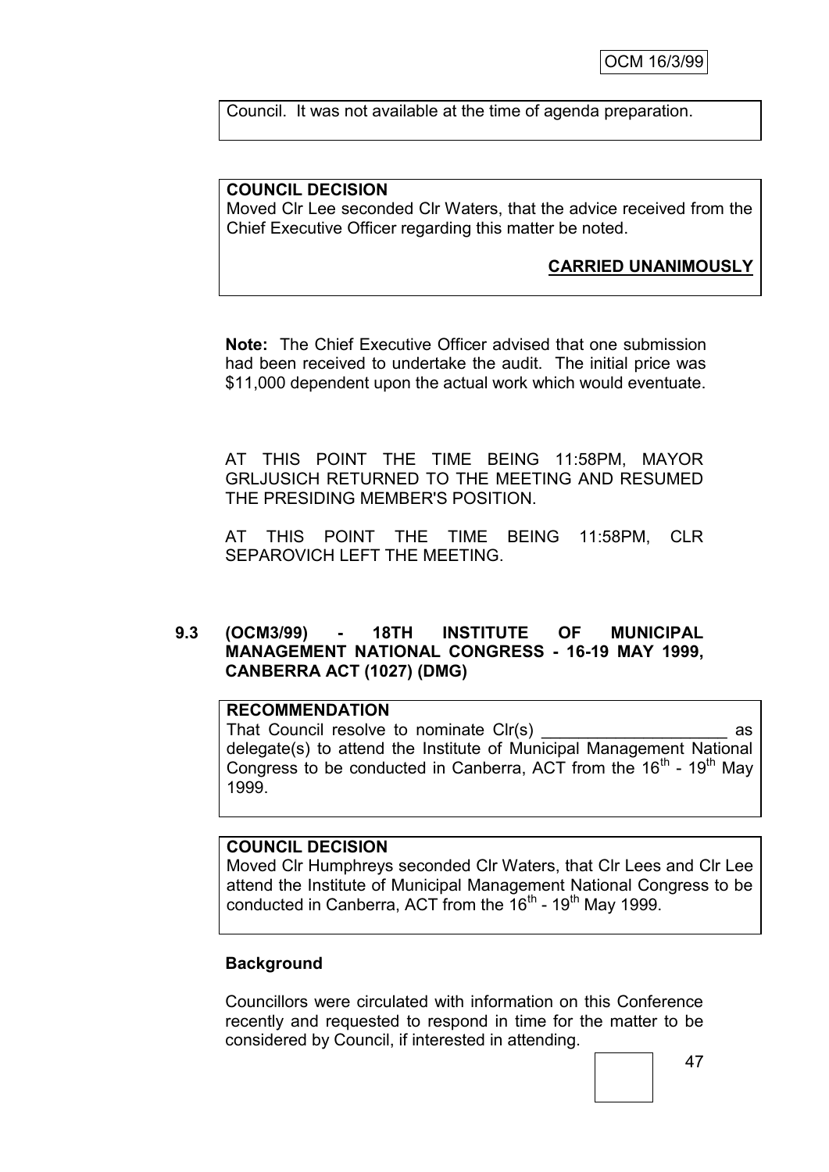Council. It was not available at the time of agenda preparation.

#### **COUNCIL DECISION**

Moved Clr Lee seconded Clr Waters, that the advice received from the Chief Executive Officer regarding this matter be noted.

#### **CARRIED UNANIMOUSLY**

**Note:** The Chief Executive Officer advised that one submission had been received to undertake the audit. The initial price was \$11,000 dependent upon the actual work which would eventuate.

AT THIS POINT THE TIME BEING 11:58PM, MAYOR GRLJUSICH RETURNED TO THE MEETING AND RESUMED THE PRESIDING MEMBER'S POSITION.

AT THIS POINT THE TIME BEING 11:58PM, CLR SEPAROVICH LEFT THE MEETING.

#### **9.3 (OCM3/99) - 18TH INSTITUTE OF MUNICIPAL MANAGEMENT NATIONAL CONGRESS - 16-19 MAY 1999, CANBERRA ACT (1027) (DMG)**

# **RECOMMENDATION**

That Council resolve to nominate Clr(s) example as delegate(s) to attend the Institute of Municipal Management National Congress to be conducted in Canberra, ACT from the  $16<sup>th</sup>$  -  $19<sup>th</sup>$  May 1999.

#### **COUNCIL DECISION**

Moved Clr Humphreys seconded Clr Waters, that Clr Lees and Clr Lee attend the Institute of Municipal Management National Congress to be conducted in Canberra, ACT from the  $16<sup>th</sup>$  - 19<sup>th</sup> May 1999.

#### **Background**

Councillors were circulated with information on this Conference recently and requested to respond in time for the matter to be considered by Council, if interested in attending.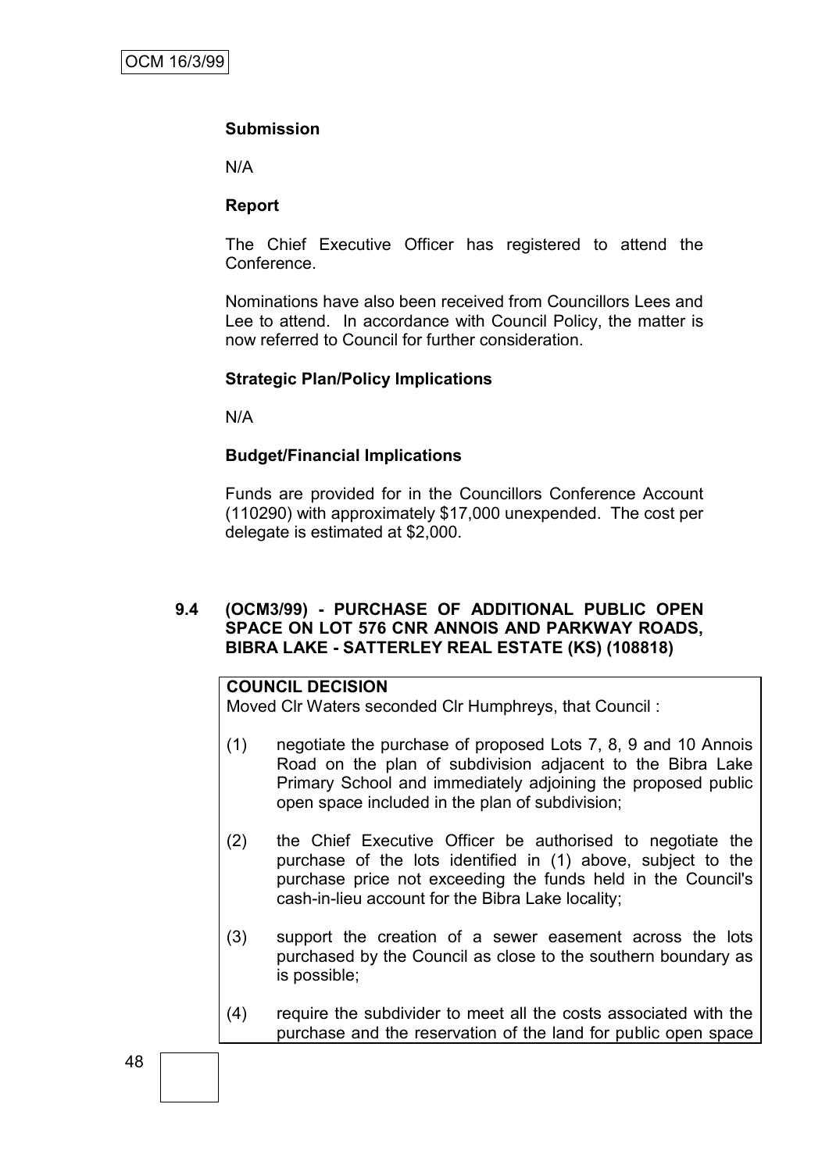## **Submission**

N/A

#### **Report**

The Chief Executive Officer has registered to attend the Conference.

Nominations have also been received from Councillors Lees and Lee to attend. In accordance with Council Policy, the matter is now referred to Council for further consideration.

#### **Strategic Plan/Policy Implications**

N/A

## **Budget/Financial Implications**

Funds are provided for in the Councillors Conference Account (110290) with approximately \$17,000 unexpended. The cost per delegate is estimated at \$2,000.

#### **9.4 (OCM3/99) - PURCHASE OF ADDITIONAL PUBLIC OPEN SPACE ON LOT 576 CNR ANNOIS AND PARKWAY ROADS, BIBRA LAKE - SATTERLEY REAL ESTATE (KS) (108818)**

#### **COUNCIL DECISION**

Moved Clr Waters seconded Clr Humphreys, that Council :

- (1) negotiate the purchase of proposed Lots 7, 8, 9 and 10 Annois Road on the plan of subdivision adjacent to the Bibra Lake Primary School and immediately adjoining the proposed public open space included in the plan of subdivision;
- (2) the Chief Executive Officer be authorised to negotiate the purchase of the lots identified in (1) above, subject to the purchase price not exceeding the funds held in the Council's cash-in-lieu account for the Bibra Lake locality;
- (3) support the creation of a sewer easement across the lots purchased by the Council as close to the southern boundary as is possible;
- (4) require the subdivider to meet all the costs associated with the purchase and the reservation of the land for public open space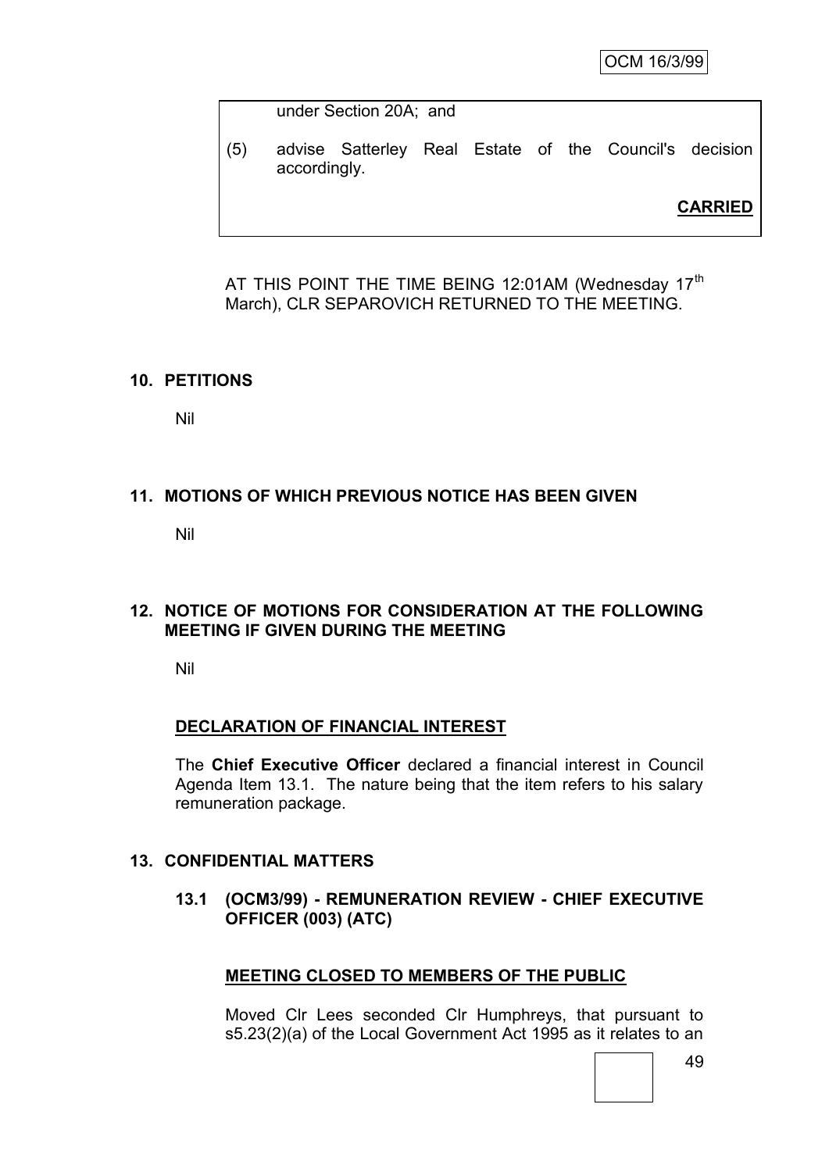OCM 16/3/99

under Section 20A; and

(5) advise Satterley Real Estate of the Council's decision accordingly.

**CARRIED**

AT THIS POINT THE TIME BEING 12:01AM (Wednesday 17<sup>th</sup> March), CLR SEPAROVICH RETURNED TO THE MEETING.

#### **10. PETITIONS**

Nil

#### **11. MOTIONS OF WHICH PREVIOUS NOTICE HAS BEEN GIVEN**

Nil

#### **12. NOTICE OF MOTIONS FOR CONSIDERATION AT THE FOLLOWING MEETING IF GIVEN DURING THE MEETING**

Nil

#### **DECLARATION OF FINANCIAL INTEREST**

The **Chief Executive Officer** declared a financial interest in Council Agenda Item 13.1. The nature being that the item refers to his salary remuneration package.

#### **13. CONFIDENTIAL MATTERS**

**13.1 (OCM3/99) - REMUNERATION REVIEW - CHIEF EXECUTIVE OFFICER (003) (ATC)**

#### **MEETING CLOSED TO MEMBERS OF THE PUBLIC**

Moved Clr Lees seconded Clr Humphreys, that pursuant to s5.23(2)(a) of the Local Government Act 1995 as it relates to an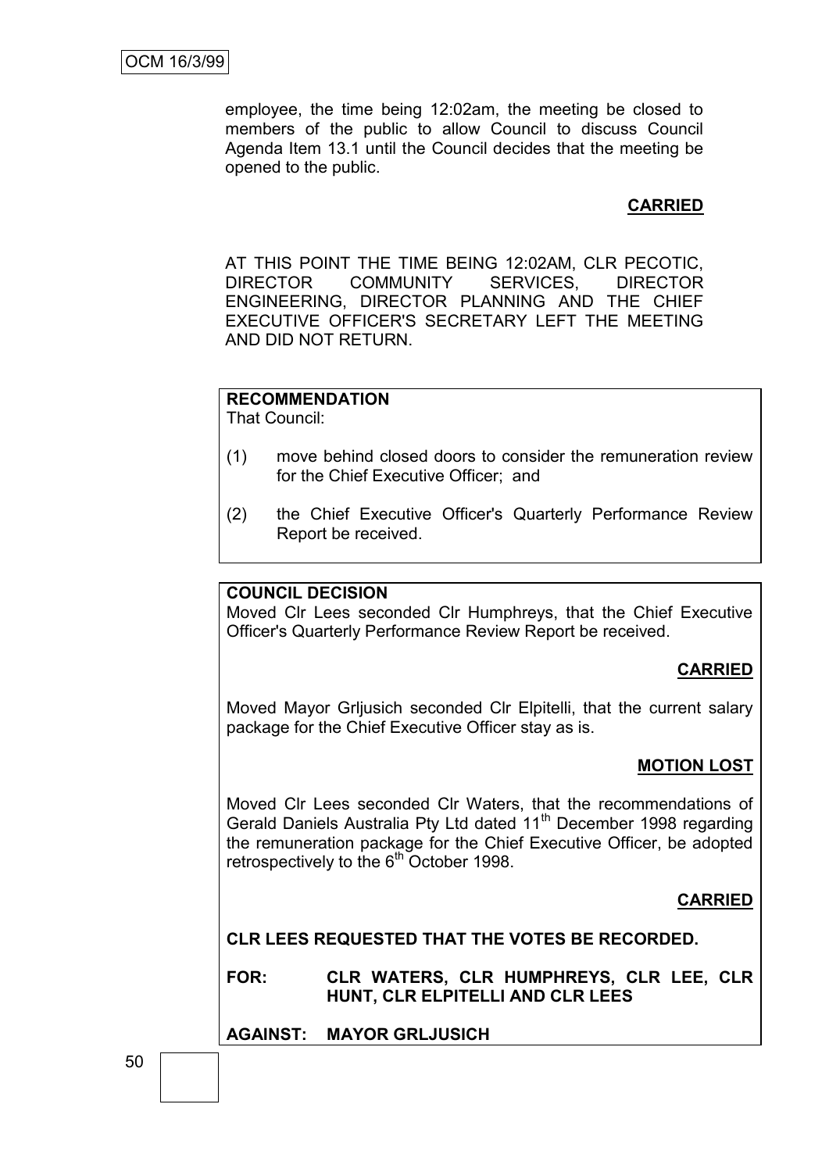employee, the time being 12:02am, the meeting be closed to members of the public to allow Council to discuss Council Agenda Item 13.1 until the Council decides that the meeting be opened to the public.

# **CARRIED**

AT THIS POINT THE TIME BEING 12:02AM, CLR PECOTIC,<br>DIRECTOR COMMUNITY SERVICES. DIRECTOR DIRECTOR COMMUNITY SERVICES, DIRECTOR ENGINEERING, DIRECTOR PLANNING AND THE CHIEF EXECUTIVE OFFICER'S SECRETARY LEFT THE MEETING AND DID NOT RETURN.

#### **RECOMMENDATION**

That Council:

- (1) move behind closed doors to consider the remuneration review for the Chief Executive Officer; and
- (2) the Chief Executive Officer's Quarterly Performance Review Report be received.

#### **COUNCIL DECISION**

Moved Clr Lees seconded Clr Humphreys, that the Chief Executive Officer's Quarterly Performance Review Report be received.

#### **CARRIED**

Moved Mayor Grljusich seconded Clr Elpitelli, that the current salary package for the Chief Executive Officer stay as is.

#### **MOTION LOST**

Moved Clr Lees seconded Clr Waters, that the recommendations of Gerald Daniels Australia Pty Ltd dated 11<sup>th</sup> December 1998 regarding the remuneration package for the Chief Executive Officer, be adopted retrospectively to the  $6<sup>th</sup>$  October 1998.

#### **CARRIED**

**CLR LEES REQUESTED THAT THE VOTES BE RECORDED.**

**FOR: CLR WATERS, CLR HUMPHREYS, CLR LEE, CLR HUNT, CLR ELPITELLI AND CLR LEES**

#### **AGAINST: MAYOR GRLJUSICH**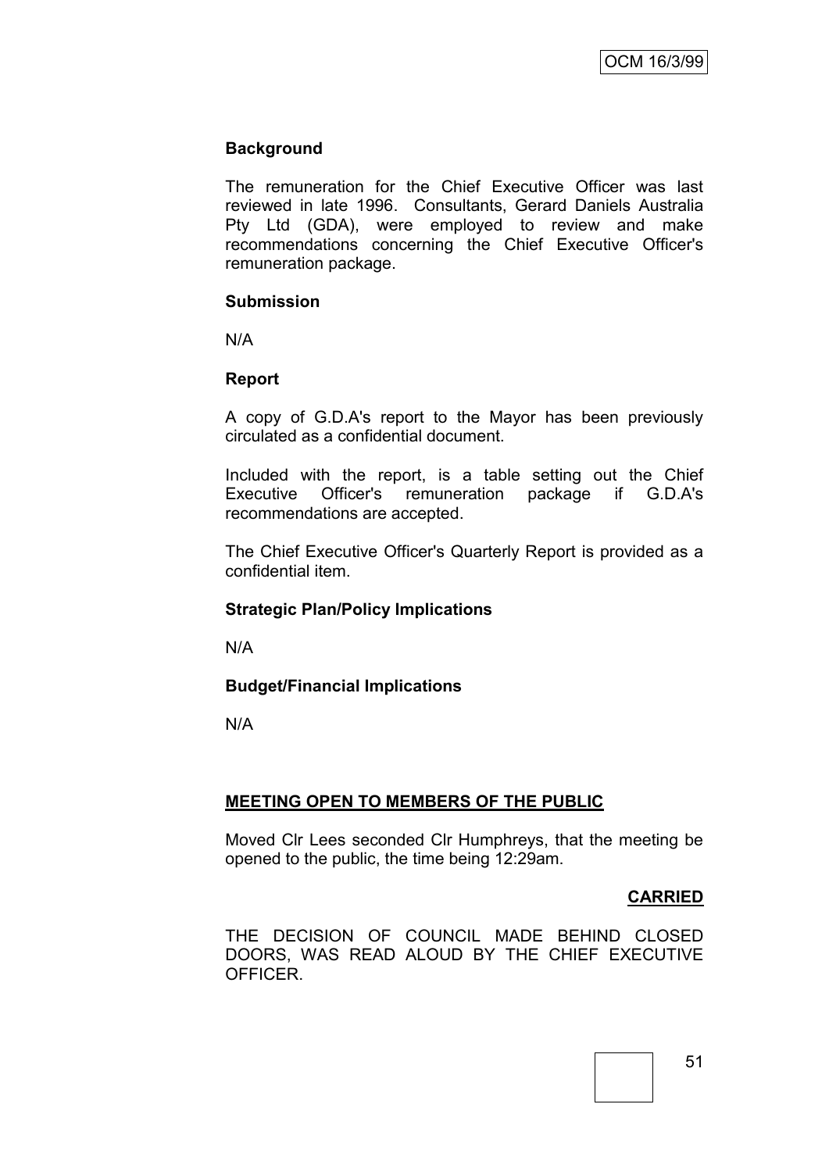## **Background**

The remuneration for the Chief Executive Officer was last reviewed in late 1996. Consultants, Gerard Daniels Australia Pty Ltd (GDA), were employed to review and make recommendations concerning the Chief Executive Officer's remuneration package.

#### **Submission**

N/A

## **Report**

A copy of G.D.A's report to the Mayor has been previously circulated as a confidential document.

Included with the report, is a table setting out the Chief Executive Officer's remuneration package if G.D.A's recommendations are accepted.

The Chief Executive Officer's Quarterly Report is provided as a confidential item.

#### **Strategic Plan/Policy Implications**

N/A

#### **Budget/Financial Implications**

N/A

# **MEETING OPEN TO MEMBERS OF THE PUBLIC**

Moved Clr Lees seconded Clr Humphreys, that the meeting be opened to the public, the time being 12:29am.

# **CARRIED**

THE DECISION OF COUNCIL MADE BEHIND CLOSED DOORS, WAS READ ALOUD BY THE CHIEF EXECUTIVE OFFICER.